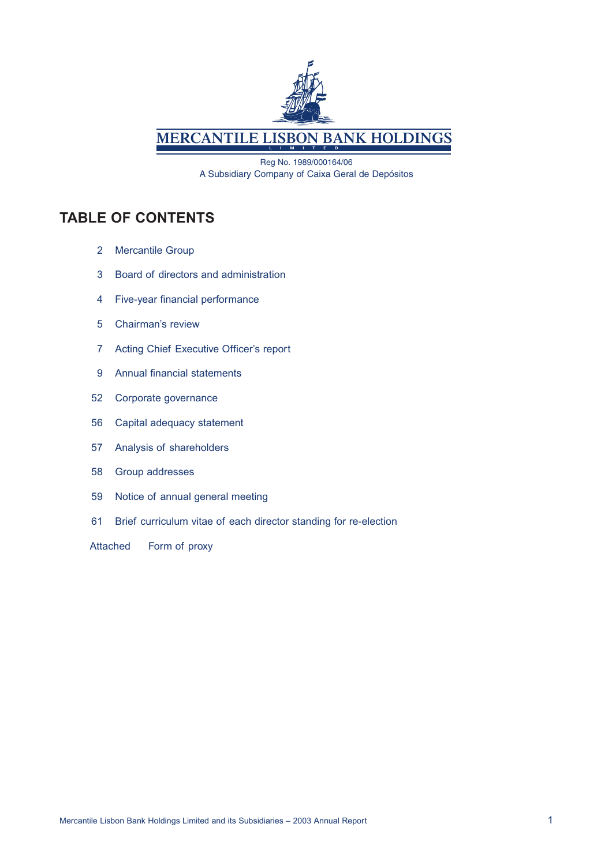

**MERCANTILE LISBON BANK HOLDINGS** 

Reg No. 1989/000164/06 A Subsidiary Company of Caixa Geral de Depósitos

# **TABLE OF CONTENTS**

- 2 Mercantile Group
- 3 Board of directors and administration
- 4 Five-year financial performance
- 5 Chairman's review
- 7 Acting Chief Executive Officer's report
- 9 Annual financial statements
- 52 Corporate governance
- 56 Capital adequacy statement
- 57 Analysis of shareholders
- 58 Group addresses
- 59 Notice of annual general meeting
- 61 Brief curriculum vitae of each director standing for re-election
- Attached Form of proxy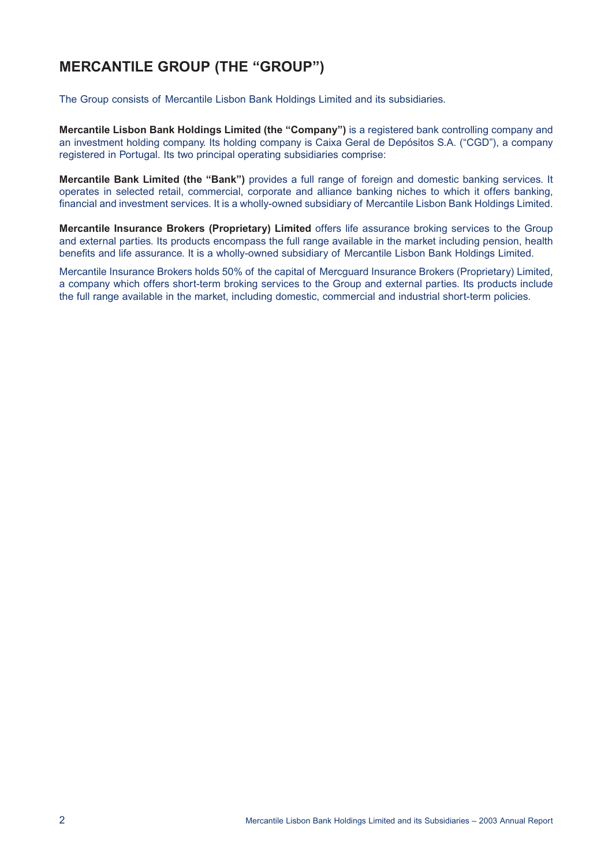# **MERCANTILE GROUP (THE "GROUP")**

The Group consists of Mercantile Lisbon Bank Holdings Limited and its subsidiaries.

**Mercantile Lisbon Bank Holdings Limited (the "Company")** is a registered bank controlling company and an investment holding company. Its holding company is Caixa Geral de Depósitos S.A. ("CGD"), a company registered in Portugal. Its two principal operating subsidiaries comprise:

**Mercantile Bank Limited (the "Bank")** provides a full range of foreign and domestic banking services. It operates in selected retail, commercial, corporate and alliance banking niches to which it offers banking, financial and investment services. It is a wholly-owned subsidiary of Mercantile Lisbon Bank Holdings Limited.

**Mercantile Insurance Brokers (Proprietary) Limited** offers life assurance broking services to the Group and external parties. Its products encompass the full range available in the market including pension, health benefits and life assurance. It is a wholly-owned subsidiary of Mercantile Lisbon Bank Holdings Limited.

Mercantile Insurance Brokers holds 50% of the capital of Mercguard Insurance Brokers (Proprietary) Limited, a company which offers short-term broking services to the Group and external parties. Its products include the full range available in the market, including domestic, commercial and industrial short-term policies.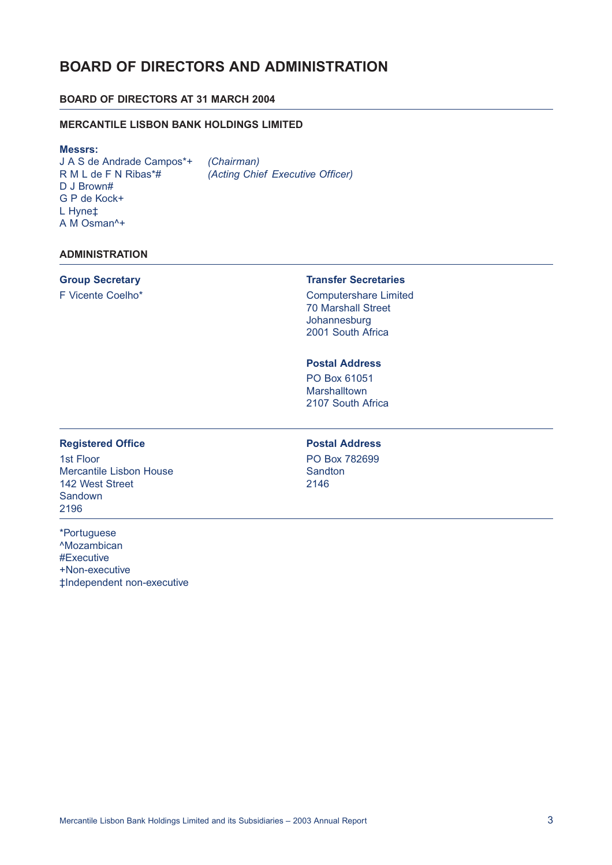# **BOARD OF DIRECTORS AND ADMINISTRATION**

# **BOARD OF DIRECTORS AT 31 MARCH 2004**

### **MERCANTILE LISBON BANK HOLDINGS LIMITED**

#### **Messrs:**

J A S de Andrade Campos\*+ *(Chairman)* D J Brown# G P de Kock+ L Hyne‡ A M Osman^+

*(Acting Chief Executive Officer)* 

### **ADMINISTRATION**

# **Group Secretary**

F Vicente Coelho\*

#### **Transfer Secretaries**

Computershare Limited 70 Marshall Street Johannesburg 2001 South Africa

# **Postal Address**

PO Box 61051 **Marshalltown** 2107 South Africa

### **Registered Office Postal Address**

1st Floor **PO Box 782699** Mercantile Lisbon House Sandton 142 West Street 2146 Sandown 2196

\*Portuguese ^Mozambican #Executive +Non-executive ‡Independent non-executive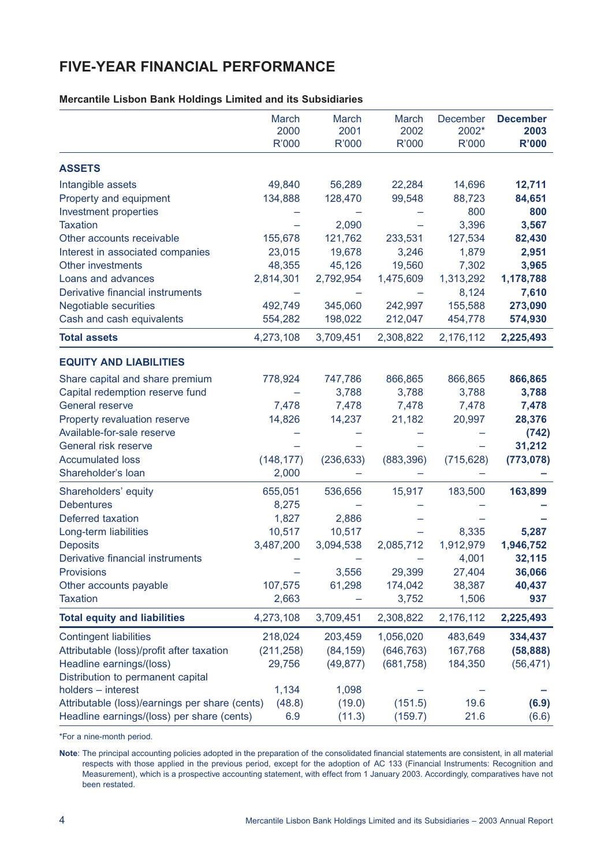# **FIVE-YEAR FINANCIAL PERFORMANCE**

**Mercantile Lisbon Bank Holdings Limited and its Subsidiaries**

|                                                | March<br>2000 | March<br>2001 | March<br>2002 | December<br>2002* | <b>December</b><br>2003 |
|------------------------------------------------|---------------|---------------|---------------|-------------------|-------------------------|
|                                                | R'000         | R'000         | R'000         | R'000             | <b>R'000</b>            |
| <b>ASSETS</b>                                  |               |               |               |                   |                         |
| Intangible assets                              | 49,840        | 56,289        | 22,284        | 14,696            | 12,711                  |
| Property and equipment                         | 134,888       | 128,470       | 99,548        | 88,723            | 84,651                  |
| Investment properties                          |               |               |               | 800               | 800                     |
| <b>Taxation</b>                                |               | 2,090         |               | 3,396             | 3,567                   |
| Other accounts receivable                      | 155,678       | 121,762       | 233,531       | 127,534           | 82,430                  |
| Interest in associated companies               | 23,015        | 19,678        | 3,246         | 1,879             | 2,951                   |
| <b>Other investments</b>                       | 48,355        | 45,126        | 19,560        | 7,302             | 3,965                   |
| Loans and advances                             | 2,814,301     | 2,792,954     | 1,475,609     | 1,313,292         | 1,178,788               |
| Derivative financial instruments               |               |               |               | 8,124             | 7,610                   |
| <b>Negotiable securities</b>                   | 492,749       | 345,060       | 242,997       | 155,588           | 273,090                 |
| Cash and cash equivalents                      | 554,282       | 198,022       | 212,047       | 454,778           | 574,930                 |
| <b>Total assets</b>                            | 4,273,108     | 3,709,451     | 2,308,822     | 2,176,112         | 2,225,493               |
| <b>EQUITY AND LIABILITIES</b>                  |               |               |               |                   |                         |
| Share capital and share premium                | 778,924       | 747,786       | 866,865       | 866,865           | 866,865                 |
| Capital redemption reserve fund                |               | 3,788         | 3,788         | 3,788             | 3,788                   |
| <b>General reserve</b>                         | 7,478         | 7,478         | 7,478         | 7,478             | 7,478                   |
| Property revaluation reserve                   | 14,826        | 14,237        | 21,182        | 20,997            | 28,376                  |
| Available-for-sale reserve                     |               |               |               |                   | (742)                   |
| General risk reserve                           |               |               |               |                   | 31,212                  |
| <b>Accumulated loss</b>                        | (148, 177)    | (236, 633)    | (883, 396)    | (715, 628)        | (773, 078)              |
| Shareholder's loan                             | 2,000         |               |               |                   |                         |
| Shareholders' equity                           | 655,051       | 536,656       | 15,917        | 183,500           | 163,899                 |
| <b>Debentures</b>                              | 8,275         |               |               |                   |                         |
| <b>Deferred taxation</b>                       | 1,827         | 2,886         |               |                   |                         |
| Long-term liabilities                          | 10,517        | 10,517        |               | 8,335             | 5,287                   |
| <b>Deposits</b>                                | 3,487,200     | 3,094,538     | 2,085,712     | 1,912,979         | 1,946,752               |
| Derivative financial instruments               |               |               |               | 4,001             | 32,115                  |
| <b>Provisions</b>                              |               | 3,556         | 29,399        | 27,404            | 36,066                  |
| Other accounts payable                         | 107,575       | 61,298        | 174,042       | 38,387            | 40,437                  |
| <b>Taxation</b>                                | 2,663         |               | 3,752         | 1,506             | 937                     |
| <b>Total equity and liabilities</b>            | 4,273,108     | 3,709,451     | 2,308,822     | 2,176,112         | 2,225,493               |
| <b>Contingent liabilities</b>                  | 218,024       | 203,459       | 1,056,020     | 483,649           | 334,437                 |
| Attributable (loss)/profit after taxation      | (211, 258)    | (84, 159)     | (646, 763)    | 167,768           | (58, 888)               |
| Headline earnings/(loss)                       | 29,756        | (49, 877)     | (681, 758)    | 184,350           | (56, 471)               |
| Distribution to permanent capital              |               |               |               |                   |                         |
| holders - interest                             | 1,134         | 1,098         |               |                   |                         |
| Attributable (loss)/earnings per share (cents) | (48.8)        | (19.0)        | (151.5)       | 19.6              | (6.9)                   |
| Headline earnings/(loss) per share (cents)     | 6.9           | (11.3)        | (159.7)       | 21.6              | (6.6)                   |

\*For a nine-month period.

**Note**: The principal accounting policies adopted in the preparation of the consolidated financial statements are consistent, in all material respects with those applied in the previous period, except for the adoption of AC 133 (Financial Instruments: Recognition and Measurement), which is a prospective accounting statement, with effect from 1 January 2003. Accordingly, comparatives have not been restated.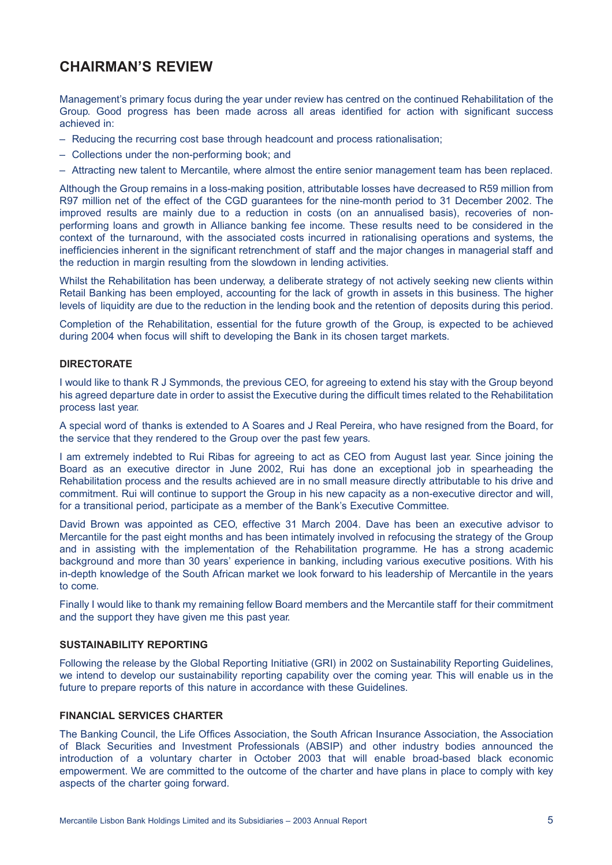# **CHAIRMAN'S REVIEW**

Management's primary focus during the year under review has centred on the continued Rehabilitation of the Group. Good progress has been made across all areas identified for action with significant success achieved in:

- Reducing the recurring cost base through headcount and process rationalisation;
- Collections under the non-performing book; and
- Attracting new talent to Mercantile, where almost the entire senior management team has been replaced.

Although the Group remains in a loss-making position, attributable losses have decreased to R59 million from R97 million net of the effect of the CGD guarantees for the nine-month period to 31 December 2002. The improved results are mainly due to a reduction in costs (on an annualised basis), recoveries of nonperforming loans and growth in Alliance banking fee income. These results need to be considered in the context of the turnaround, with the associated costs incurred in rationalising operations and systems, the inefficiencies inherent in the significant retrenchment of staff and the major changes in managerial staff and the reduction in margin resulting from the slowdown in lending activities.

Whilst the Rehabilitation has been underway, a deliberate strategy of not actively seeking new clients within Retail Banking has been employed, accounting for the lack of growth in assets in this business. The higher levels of liquidity are due to the reduction in the lending book and the retention of deposits during this period.

Completion of the Rehabilitation, essential for the future growth of the Group, is expected to be achieved during 2004 when focus will shift to developing the Bank in its chosen target markets.

### **DIRECTORATE**

I would like to thank R J Symmonds, the previous CEO, for agreeing to extend his stay with the Group beyond his agreed departure date in order to assist the Executive during the difficult times related to the Rehabilitation process last year.

A special word of thanks is extended to A Soares and J Real Pereira, who have resigned from the Board, for the service that they rendered to the Group over the past few years.

I am extremely indebted to Rui Ribas for agreeing to act as CEO from August last year. Since joining the Board as an executive director in June 2002, Rui has done an exceptional job in spearheading the Rehabilitation process and the results achieved are in no small measure directly attributable to his drive and commitment. Rui will continue to support the Group in his new capacity as a non-executive director and will, for a transitional period, participate as a member of the Bank's Executive Committee.

David Brown was appointed as CEO, effective 31 March 2004. Dave has been an executive advisor to Mercantile for the past eight months and has been intimately involved in refocusing the strategy of the Group and in assisting with the implementation of the Rehabilitation programme. He has a strong academic background and more than 30 years' experience in banking, including various executive positions. With his in-depth knowledge of the South African market we look forward to his leadership of Mercantile in the years to come.

Finally I would like to thank my remaining fellow Board members and the Mercantile staff for their commitment and the support they have given me this past year.

### **SUSTAINABILITY REPORTING**

Following the release by the Global Reporting Initiative (GRI) in 2002 on Sustainability Reporting Guidelines, we intend to develop our sustainability reporting capability over the coming year. This will enable us in the future to prepare reports of this nature in accordance with these Guidelines.

### **FINANCIAL SERVICES CHARTER**

The Banking Council, the Life Offices Association, the South African Insurance Association, the Association of Black Securities and Investment Professionals (ABSIP) and other industry bodies announced the introduction of a voluntary charter in October 2003 that will enable broad-based black economic empowerment. We are committed to the outcome of the charter and have plans in place to comply with key aspects of the charter going forward.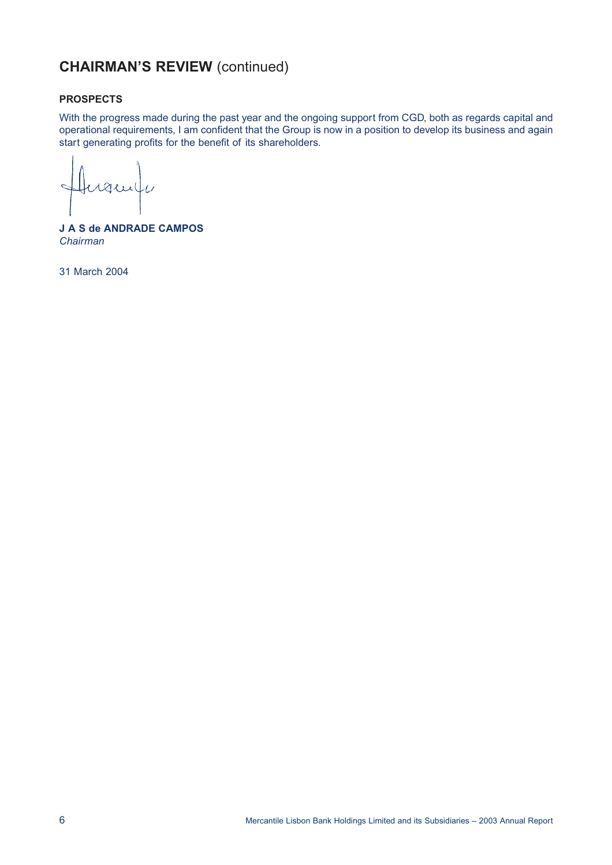# **CHAIRMAN'S REVIEW** (continued)

### **PROSPECTS**

With the progress made during the past year and the ongoing support from CGD, both as regards capital and operational requirements, I am confident that the Group is now in a position to develop its business and again start generating profits for the benefit of its shareholders.

 $\overline{C}$ rani  $\overline{A}$ 

**J A S de ANDRADE CAMPOS** *Chairman*

31 March 2004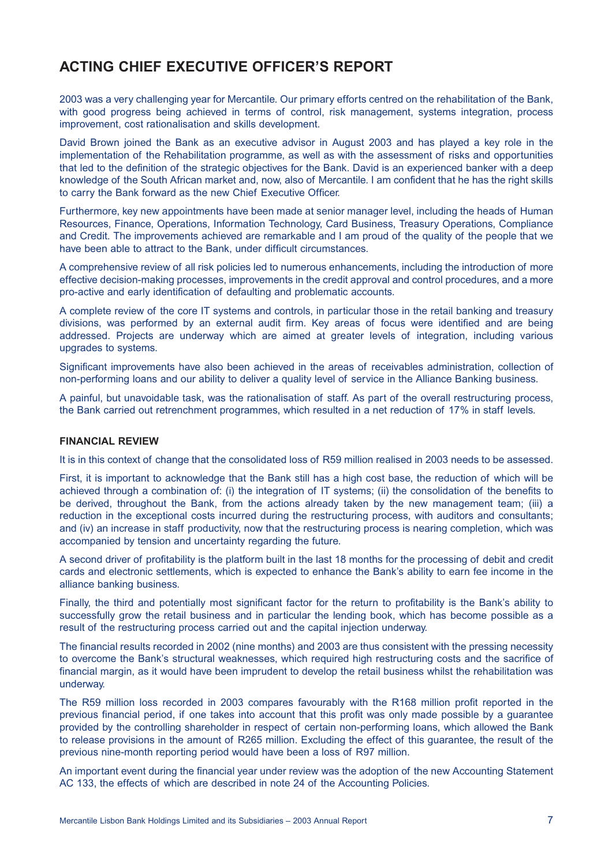# **ACTING CHIEF EXECUTIVE OFFICER'S REPORT**

2003 was a very challenging year for Mercantile. Our primary efforts centred on the rehabilitation of the Bank, with good progress being achieved in terms of control, risk management, systems integration, process improvement, cost rationalisation and skills development.

David Brown joined the Bank as an executive advisor in August 2003 and has played a key role in the implementation of the Rehabilitation programme, as well as with the assessment of risks and opportunities that led to the definition of the strategic objectives for the Bank. David is an experienced banker with a deep knowledge of the South African market and, now, also of Mercantile. I am confident that he has the right skills to carry the Bank forward as the new Chief Executive Officer.

Furthermore, key new appointments have been made at senior manager level, including the heads of Human Resources, Finance, Operations, Information Technology, Card Business, Treasury Operations, Compliance and Credit. The improvements achieved are remarkable and I am proud of the quality of the people that we have been able to attract to the Bank, under difficult circumstances.

A comprehensive review of all risk policies led to numerous enhancements, including the introduction of more effective decision-making processes, improvements in the credit approval and control procedures, and a more pro-active and early identification of defaulting and problematic accounts.

A complete review of the core IT systems and controls, in particular those in the retail banking and treasury divisions, was performed by an external audit firm. Key areas of focus were identified and are being addressed. Projects are underway which are aimed at greater levels of integration, including various upgrades to systems.

Significant improvements have also been achieved in the areas of receivables administration, collection of non-performing loans and our ability to deliver a quality level of service in the Alliance Banking business.

A painful, but unavoidable task, was the rationalisation of staff. As part of the overall restructuring process, the Bank carried out retrenchment programmes, which resulted in a net reduction of 17% in staff levels.

#### **FINANCIAL REVIEW**

It is in this context of change that the consolidated loss of R59 million realised in 2003 needs to be assessed.

First, it is important to acknowledge that the Bank still has a high cost base, the reduction of which will be achieved through a combination of: (i) the integration of IT systems; (ii) the consolidation of the benefits to be derived, throughout the Bank, from the actions already taken by the new management team; (iii) a reduction in the exceptional costs incurred during the restructuring process, with auditors and consultants; and (iv) an increase in staff productivity, now that the restructuring process is nearing completion, which was accompanied by tension and uncertainty regarding the future.

A second driver of profitability is the platform built in the last 18 months for the processing of debit and credit cards and electronic settlements, which is expected to enhance the Bank's ability to earn fee income in the alliance banking business.

Finally, the third and potentially most significant factor for the return to profitability is the Bank's ability to successfully grow the retail business and in particular the lending book, which has become possible as a result of the restructuring process carried out and the capital injection underway.

The financial results recorded in 2002 (nine months) and 2003 are thus consistent with the pressing necessity to overcome the Bank's structural weaknesses, which required high restructuring costs and the sacrifice of financial margin, as it would have been imprudent to develop the retail business whilst the rehabilitation was underway.

The R59 million loss recorded in 2003 compares favourably with the R168 million profit reported in the previous financial period, if one takes into account that this profit was only made possible by a guarantee provided by the controlling shareholder in respect of certain non-performing loans, which allowed the Bank to release provisions in the amount of R265 million. Excluding the effect of this guarantee, the result of the previous nine-month reporting period would have been a loss of R97 million.

An important event during the financial year under review was the adoption of the new Accounting Statement AC 133, the effects of which are described in note 24 of the Accounting Policies.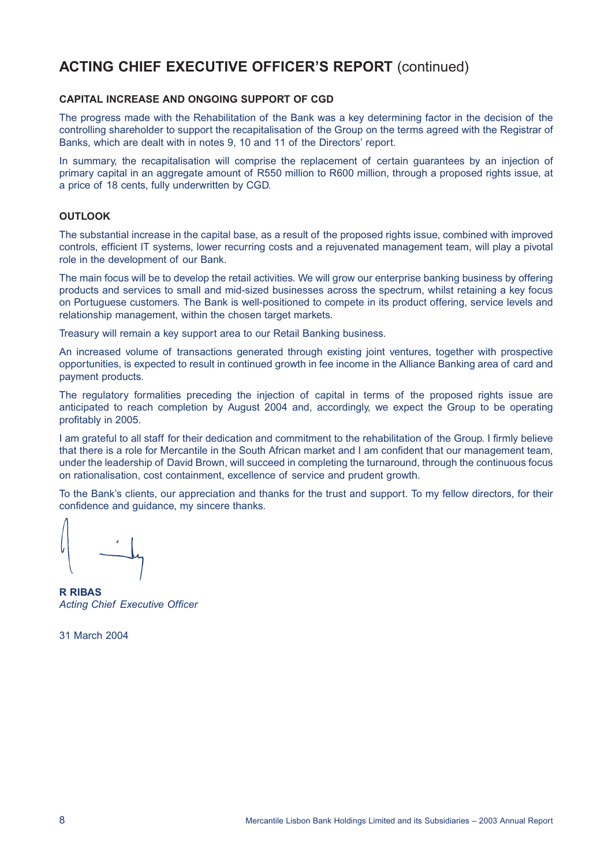# **ACTING CHIEF EXECUTIVE OFFICER'S REPORT** (continued)

### **CAPITAL INCREASE AND ONGOING SUPPORT OF CGD**

The progress made with the Rehabilitation of the Bank was a key determining factor in the decision of the controlling shareholder to support the recapitalisation of the Group on the terms agreed with the Registrar of Banks, which are dealt with in notes 9, 10 and 11 of the Directors' report.

In summary, the recapitalisation will comprise the replacement of certain guarantees by an injection of primary capital in an aggregate amount of R550 million to R600 million, through a proposed rights issue, at a price of 18 cents, fully underwritten by CGD.

#### **OUTLOOK**

The substantial increase in the capital base, as a result of the proposed rights issue, combined with improved controls, efficient IT systems, lower recurring costs and a rejuvenated management team, will play a pivotal role in the development of our Bank.

The main focus will be to develop the retail activities. We will grow our enterprise banking business by offering products and services to small and mid-sized businesses across the spectrum, whilst retaining a key focus on Portuguese customers. The Bank is well-positioned to compete in its product offering, service levels and relationship management, within the chosen target markets.

Treasury will remain a key support area to our Retail Banking business.

An increased volume of transactions generated through existing joint ventures, together with prospective opportunities, is expected to result in continued growth in fee income in the Alliance Banking area of card and payment products.

The regulatory formalities preceding the injection of capital in terms of the proposed rights issue are anticipated to reach completion by August 2004 and, accordingly, we expect the Group to be operating profitably in 2005.

I am grateful to all staff for their dedication and commitment to the rehabilitation of the Group. I firmly believe that there is a role for Mercantile in the South African market and I am confident that our management team, under the leadership of David Brown, will succeed in completing the turnaround, through the continuous focus on rationalisation, cost containment, excellence of service and prudent growth.

To the Bank's clients, our appreciation and thanks for the trust and support. To my fellow directors, for their confidence and guidance, my sincere thanks.

**R RIBAS** *Acting Chief Executive Officer*

31 March 2004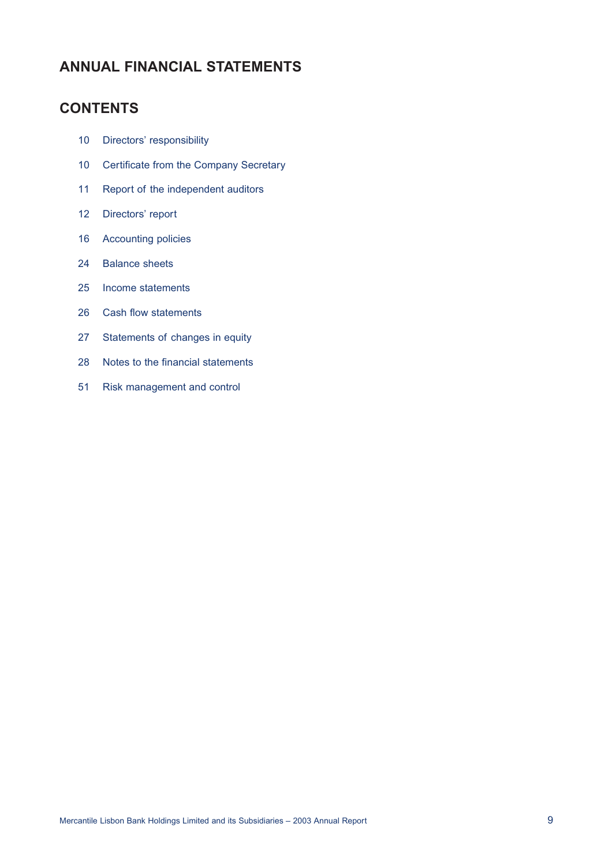# **ANNUAL FINANCIAL STATEMENTS**

# **CONTENTS**

- 10 Directors' responsibility
- 10 Certificate from the Company Secretary
- 11 Report of the independent auditors
- 12 Directors' report
- 16 Accounting policies
- 24 Balance sheets
- 25 Income statements
- 26 Cash flow statements
- 27 Statements of changes in equity
- 28 Notes to the financial statements
- 51 Risk management and control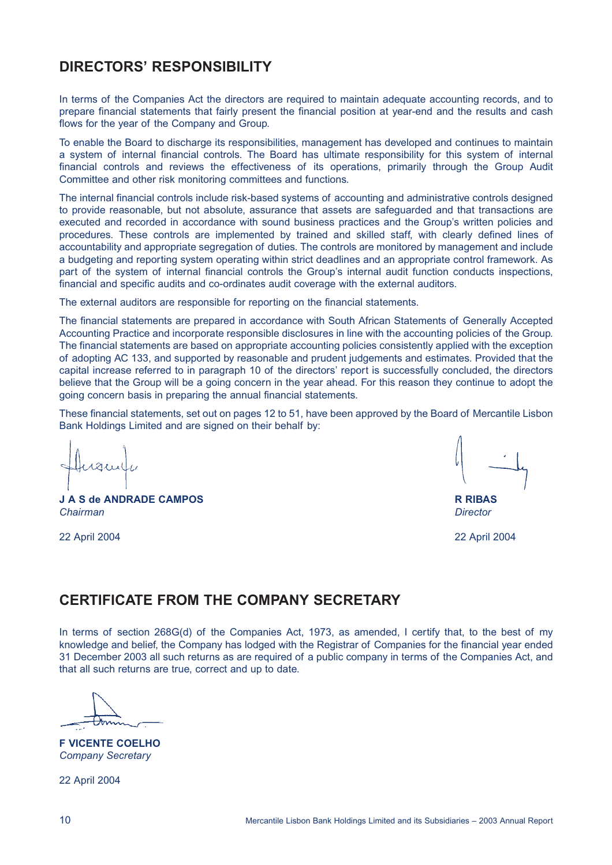# **DIRECTORS' RESPONSIBILITY**

In terms of the Companies Act the directors are required to maintain adequate accounting records, and to prepare financial statements that fairly present the financial position at year-end and the results and cash flows for the year of the Company and Group.

To enable the Board to discharge its responsibilities, management has developed and continues to maintain a system of internal financial controls. The Board has ultimate responsibility for this system of internal financial controls and reviews the effectiveness of its operations, primarily through the Group Audit Committee and other risk monitoring committees and functions.

The internal financial controls include risk-based systems of accounting and administrative controls designed to provide reasonable, but not absolute, assurance that assets are safeguarded and that transactions are executed and recorded in accordance with sound business practices and the Group's written policies and procedures. These controls are implemented by trained and skilled staff, with clearly defined lines of accountability and appropriate segregation of duties. The controls are monitored by management and include a budgeting and reporting system operating within strict deadlines and an appropriate control framework. As part of the system of internal financial controls the Group's internal audit function conducts inspections, financial and specific audits and co-ordinates audit coverage with the external auditors.

The external auditors are responsible for reporting on the financial statements.

The financial statements are prepared in accordance with South African Statements of Generally Accepted Accounting Practice and incorporate responsible disclosures in line with the accounting policies of the Group. The financial statements are based on appropriate accounting policies consistently applied with the exception of adopting AC 133, and supported by reasonable and prudent judgements and estimates. Provided that the capital increase referred to in paragraph 10 of the directors' report is successfully concluded, the directors believe that the Group will be a going concern in the year ahead. For this reason they continue to adopt the going concern basis in preparing the annual financial statements.

These financial statements, set out on pages 12 to 51, have been approved by the Board of Mercantile Lisbon Bank Holdings Limited and are signed on their behalf by:

 $\triangle$  2222

**J A S de ANDRADE CAMPOS R RIBAS** *Chairman Director*

22 April 2004 22 April 2004

# **CERTIFICATE FROM THE COMPANY SECRETARY**

In terms of section 268G(d) of the Companies Act, 1973, as amended, I certify that, to the best of my knowledge and belief, the Company has lodged with the Registrar of Companies for the financial year ended 31 December 2003 all such returns as are required of a public company in terms of the Companies Act, and that all such returns are true, correct and up to date.

**F VICENTE COELHO** *Company Secretary*

22 April 2004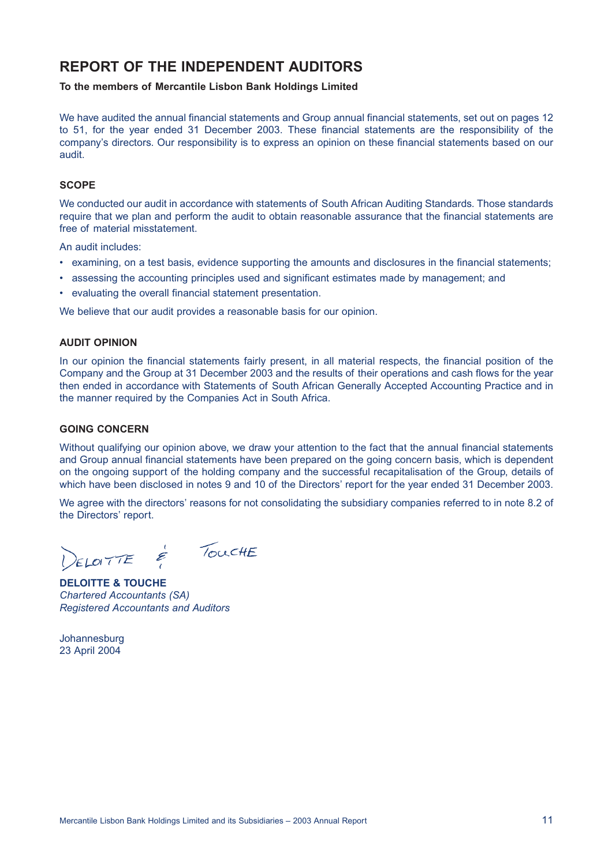# **REPORT OF THE INDEPENDENT AUDITORS**

**To the members of Mercantile Lisbon Bank Holdings Limited**

We have audited the annual financial statements and Group annual financial statements, set out on pages 12 to 51, for the year ended 31 December 2003. These financial statements are the responsibility of the company's directors. Our responsibility is to express an opinion on these financial statements based on our audit.

### **SCOPE**

We conducted our audit in accordance with statements of South African Auditing Standards. Those standards require that we plan and perform the audit to obtain reasonable assurance that the financial statements are free of material misstatement.

An audit includes:

- examining, on a test basis, evidence supporting the amounts and disclosures in the financial statements;
- assessing the accounting principles used and significant estimates made by management; and
- evaluating the overall financial statement presentation.

We believe that our audit provides a reasonable basis for our opinion.

#### **AUDIT OPINION**

In our opinion the financial statements fairly present, in all material respects, the financial position of the Company and the Group at 31 December 2003 and the results of their operations and cash flows for the year then ended in accordance with Statements of South African Generally Accepted Accounting Practice and in the manner required by the Companies Act in South Africa.

#### **GOING CONCERN**

Without qualifying our opinion above, we draw your attention to the fact that the annual financial statements and Group annual financial statements have been prepared on the going concern basis, which is dependent on the ongoing support of the holding company and the successful recapitalisation of the Group, details of which have been disclosed in notes 9 and 10 of the Directors' report for the year ended 31 December 2003.

We agree with the directors' reasons for not consolidating the subsidiary companies referred to in note 8.2 of the Directors' report.

 $\epsilon$  TouchE ELOITTE

**DELOITTE & TOUCHE** *Chartered Accountants (SA) Registered Accountants and Auditors*

Johannesburg 23 April 2004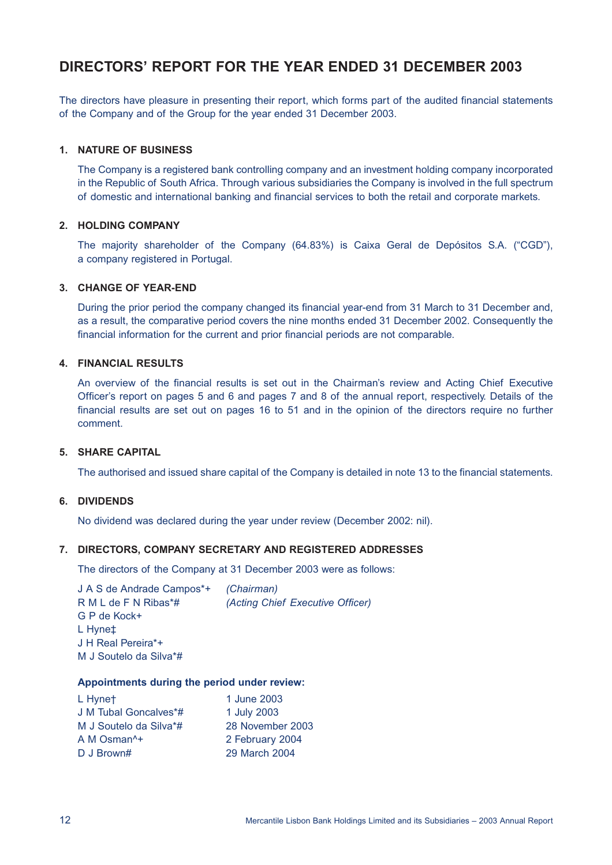# **DIRECTORS' REPORT FOR THE YEAR ENDED 31 DECEMBER 2003**

The directors have pleasure in presenting their report, which forms part of the audited financial statements of the Company and of the Group for the year ended 31 December 2003.

#### **1. NATURE OF BUSINESS**

The Company is a registered bank controlling company and an investment holding company incorporated in the Republic of South Africa. Through various subsidiaries the Company is involved in the full spectrum of domestic and international banking and financial services to both the retail and corporate markets.

### **2. HOLDING COMPANY**

The majority shareholder of the Company (64.83%) is Caixa Geral de Depósitos S.A. ("CGD"), a company registered in Portugal.

## **3. CHANGE OF YEAR-END**

During the prior period the company changed its financial year-end from 31 March to 31 December and, as a result, the comparative period covers the nine months ended 31 December 2002. Consequently the financial information for the current and prior financial periods are not comparable.

### **4. FINANCIAL RESULTS**

An overview of the financial results is set out in the Chairman's review and Acting Chief Executive Officer's report on pages 5 and 6 and pages 7 and 8 of the annual report, respectively. Details of the financial results are set out on pages 16 to 51 and in the opinion of the directors require no further comment.

#### **5. SHARE CAPITAL**

The authorised and issued share capital of the Company is detailed in note 13 to the financial statements.

### **6. DIVIDENDS**

No dividend was declared during the year under review (December 2002: nil).

#### **7. DIRECTORS, COMPANY SECRETARY AND REGISTERED ADDRESSES**

The directors of the Company at 31 December 2003 were as follows:

J A S de Andrade Campos\*+ *(Chairman)* R M L de F N Ribas\*# *(Acting Chief Executive Officer)* G P de Kock+ L Hyne‡ J H Real Pereira\*+ M J Soutelo da Silva\*#

#### **Appointments during the period under review:**

| L Hynet                 | 1 June 2003      |
|-------------------------|------------------|
| J M Tubal Goncalves*#   | 1 July 2003      |
| M J Soutelo da Silva*#  | 28 November 2003 |
| A M Osman <sup>1+</sup> | 2 February 2004  |
| D J Brown#              | 29 March 2004    |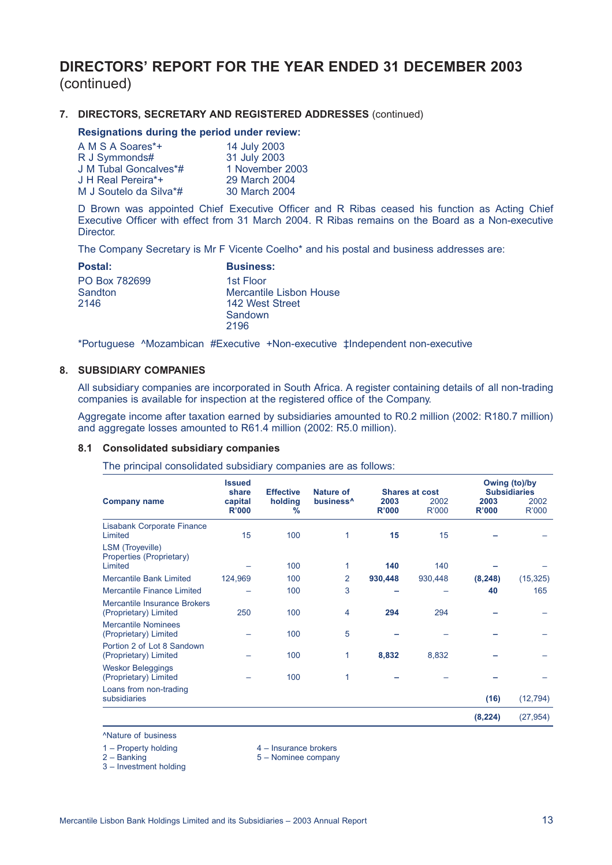# **DIRECTORS' REPORT FOR THE YEAR ENDED 31 DECEMBER 2003** (continued)

### **7. DIRECTORS, SECRETARY AND REGISTERED ADDRESSES** (continued)

#### **Resignations during the period under review:**

| A M S A Soares*+       | 14 July 2003    |
|------------------------|-----------------|
| R J Symmonds#          | 31 July 2003    |
| J M Tubal Goncalves*#  | 1 November 2003 |
| J H Real Pereira*+     | 29 March 2004   |
| M J Soutelo da Silva*# | 30 March 2004   |

D Brown was appointed Chief Executive Officer and R Ribas ceased his function as Acting Chief Executive Officer with effect from 31 March 2004. R Ribas remains on the Board as a Non-executive Director.

The Company Secretary is Mr F Vicente Coelho\* and his postal and business addresses are:

| <b>Postal:</b> | <b>Business:</b>        |
|----------------|-------------------------|
| PO Box 782699  | 1st Floor               |
| Sandton        | Mercantile Lisbon House |
| 2146           | 142 West Street         |
|                | Sandown                 |
|                | 2196                    |

\*Portuguese ^Mozambican #Executive +Non-executive ‡Independent non-executive

#### **8. SUBSIDIARY COMPANIES**

All subsidiary companies are incorporated in South Africa. A register containing details of all non-trading companies is available for inspection at the registered office of the Company.

Aggregate income after taxation earned by subsidiaries amounted to R0.2 million (2002: R180.7 million) and aggregate losses amounted to R61.4 million (2002: R5.0 million).

#### **8.1 Consolidated subsidiary companies**

The principal consolidated subsidiary companies are as follows:

|                                                                | <b>Issued</b><br>share  | <b>Effective</b>         | Nature of             |               | <b>Shares at cost</b> |               | Owing (to)/by<br><b>Subsidiaries</b> |  |  |
|----------------------------------------------------------------|-------------------------|--------------------------|-----------------------|---------------|-----------------------|---------------|--------------------------------------|--|--|
| <b>Company name</b>                                            | capital<br><b>R'000</b> | holding<br>$\frac{9}{6}$ | business <sup>^</sup> | 2003<br>R'000 | 2002<br>R'000         | 2003<br>R'000 | 2002<br>R'000                        |  |  |
| <b>Lisabank Corporate Finance</b><br>Limited                   | 15                      | 100                      | 1                     | 15            | 15                    |               |                                      |  |  |
| <b>LSM</b> (Troyeville)<br>Properties (Proprietary)<br>Limited |                         | 100                      | 1                     | 140           | 140                   |               |                                      |  |  |
| <b>Mercantile Bank Limited</b>                                 | 124,969                 | 100                      | $\overline{2}$        | 930,448       | 930,448               | (8, 248)      | (15, 325)                            |  |  |
| <b>Mercantile Finance Limited</b>                              |                         | 100                      | 3                     |               |                       | 40            | 165                                  |  |  |
| Mercantile Insurance Brokers<br>(Proprietary) Limited          | 250                     | 100                      | 4                     | 294           | 294                   |               |                                      |  |  |
| <b>Mercantile Nominees</b><br>(Proprietary) Limited            |                         | 100                      | 5                     |               |                       |               |                                      |  |  |
| Portion 2 of Lot 8 Sandown<br>(Proprietary) Limited            |                         | 100                      | 1                     | 8,832         | 8,832                 |               |                                      |  |  |
| <b>Weskor Beleggings</b><br>(Proprietary) Limited              |                         | 100                      | 1                     |               |                       |               |                                      |  |  |
| Loans from non-trading<br>subsidiaries                         |                         |                          |                       |               |                       | (16)          | (12, 794)                            |  |  |
|                                                                |                         |                          |                       |               |                       | (8, 224)      | (27, 954)                            |  |  |

^Nature of business

1 – Property holding and the state of the 4 – Insurance brokers<br>
2 – Banking and 4 – Insurance brokers<br>
4 – Insurance brokers

3 – Investment holding

5 – Nominee company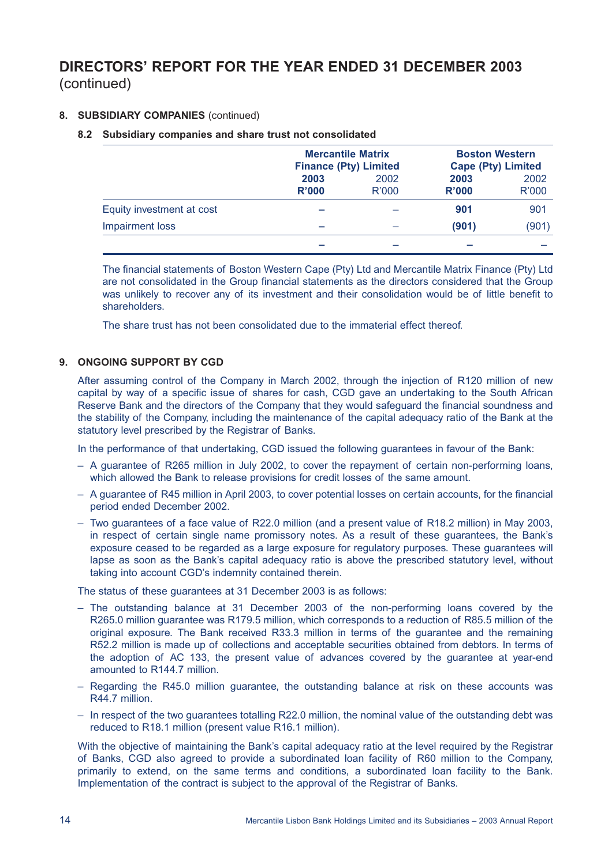# **DIRECTORS' REPORT FOR THE YEAR ENDED 31 DECEMBER 2003** (continued)

# **8. SUBSIDIARY COMPANIES** (continued)

### **8.2 Subsidiary companies and share trust not consolidated**

|                           | <b>Mercantile Matrix</b><br><b>Finance (Pty) Limited</b> |               | <b>Boston Western</b><br><b>Cape (Pty) Limited</b> |               |  |
|---------------------------|----------------------------------------------------------|---------------|----------------------------------------------------|---------------|--|
|                           | 2003<br>R'000                                            | 2002<br>R'000 | 2003<br>R'000                                      | 2002<br>R'000 |  |
| Equity investment at cost |                                                          |               | 901                                                | 901           |  |
| Impairment loss           |                                                          |               | (901)                                              | (901)         |  |
|                           |                                                          |               |                                                    |               |  |

The financial statements of Boston Western Cape (Pty) Ltd and Mercantile Matrix Finance (Pty) Ltd are not consolidated in the Group financial statements as the directors considered that the Group was unlikely to recover any of its investment and their consolidation would be of little benefit to shareholders.

The share trust has not been consolidated due to the immaterial effect thereof.

### **9. ONGOING SUPPORT BY CGD**

After assuming control of the Company in March 2002, through the injection of R120 million of new capital by way of a specific issue of shares for cash, CGD gave an undertaking to the South African Reserve Bank and the directors of the Company that they would safeguard the financial soundness and the stability of the Company, including the maintenance of the capital adequacy ratio of the Bank at the statutory level prescribed by the Registrar of Banks.

In the performance of that undertaking, CGD issued the following guarantees in favour of the Bank:

- A guarantee of R265 million in July 2002, to cover the repayment of certain non-performing loans, which allowed the Bank to release provisions for credit losses of the same amount.
- A guarantee of R45 million in April 2003, to cover potential losses on certain accounts, for the financial period ended December 2002.
- Two guarantees of a face value of R22.0 million (and a present value of R18.2 million) in May 2003, in respect of certain single name promissory notes. As a result of these guarantees, the Bank's exposure ceased to be regarded as a large exposure for regulatory purposes. These guarantees will lapse as soon as the Bank's capital adequacy ratio is above the prescribed statutory level, without taking into account CGD's indemnity contained therein.

The status of these guarantees at 31 December 2003 is as follows:

- The outstanding balance at 31 December 2003 of the non-performing loans covered by the R265.0 million guarantee was R179.5 million, which corresponds to a reduction of R85.5 million of the original exposure. The Bank received R33.3 million in terms of the guarantee and the remaining R52.2 million is made up of collections and acceptable securities obtained from debtors. In terms of the adoption of AC 133, the present value of advances covered by the guarantee at year-end amounted to R144.7 million.
- Regarding the R45.0 million guarantee, the outstanding balance at risk on these accounts was R44.7 million.
- In respect of the two guarantees totalling R22.0 million, the nominal value of the outstanding debt was reduced to R18.1 million (present value R16.1 million).

With the objective of maintaining the Bank's capital adequacy ratio at the level required by the Registrar of Banks, CGD also agreed to provide a subordinated loan facility of R60 million to the Company, primarily to extend, on the same terms and conditions, a subordinated loan facility to the Bank. Implementation of the contract is subject to the approval of the Registrar of Banks.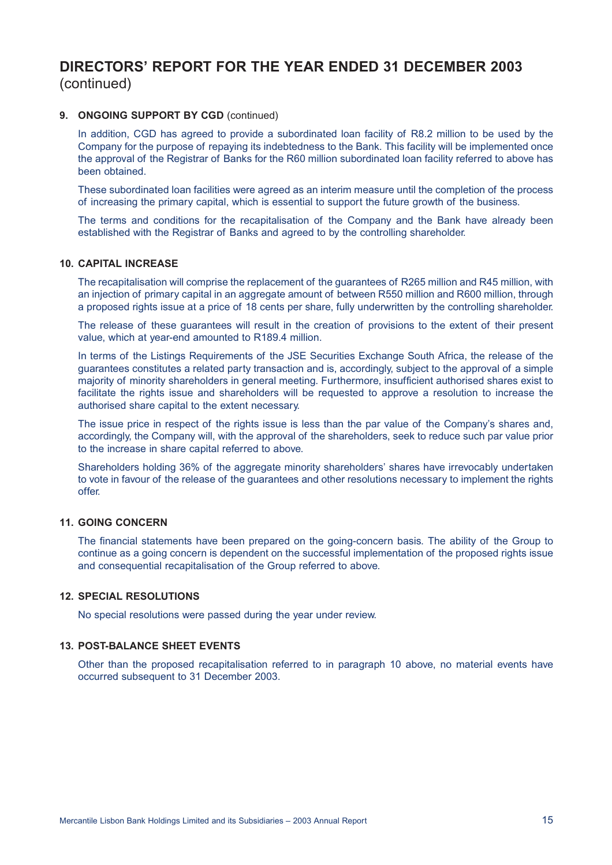# **DIRECTORS' REPORT FOR THE YEAR ENDED 31 DECEMBER 2003** (continued)

### **9. ONGOING SUPPORT BY CGD** (continued)

In addition, CGD has agreed to provide a subordinated loan facility of R8.2 million to be used by the Company for the purpose of repaying its indebtedness to the Bank. This facility will be implemented once the approval of the Registrar of Banks for the R60 million subordinated loan facility referred to above has been obtained.

These subordinated loan facilities were agreed as an interim measure until the completion of the process of increasing the primary capital, which is essential to support the future growth of the business.

The terms and conditions for the recapitalisation of the Company and the Bank have already been established with the Registrar of Banks and agreed to by the controlling shareholder.

#### **10. CAPITAL INCREASE**

The recapitalisation will comprise the replacement of the guarantees of R265 million and R45 million, with an injection of primary capital in an aggregate amount of between R550 million and R600 million, through a proposed rights issue at a price of 18 cents per share, fully underwritten by the controlling shareholder.

The release of these guarantees will result in the creation of provisions to the extent of their present value, which at year-end amounted to R189.4 million.

In terms of the Listings Requirements of the JSE Securities Exchange South Africa, the release of the guarantees constitutes a related party transaction and is, accordingly, subject to the approval of a simple majority of minority shareholders in general meeting. Furthermore, insufficient authorised shares exist to facilitate the rights issue and shareholders will be requested to approve a resolution to increase the authorised share capital to the extent necessary.

The issue price in respect of the rights issue is less than the par value of the Company's shares and, accordingly, the Company will, with the approval of the shareholders, seek to reduce such par value prior to the increase in share capital referred to above.

Shareholders holding 36% of the aggregate minority shareholders' shares have irrevocably undertaken to vote in favour of the release of the guarantees and other resolutions necessary to implement the rights offer.

#### **11. GOING CONCERN**

The financial statements have been prepared on the going-concern basis. The ability of the Group to continue as a going concern is dependent on the successful implementation of the proposed rights issue and consequential recapitalisation of the Group referred to above.

#### **12. SPECIAL RESOLUTIONS**

No special resolutions were passed during the year under review.

#### **13. POST-BALANCE SHEET EVENTS**

Other than the proposed recapitalisation referred to in paragraph 10 above, no material events have occurred subsequent to 31 December 2003.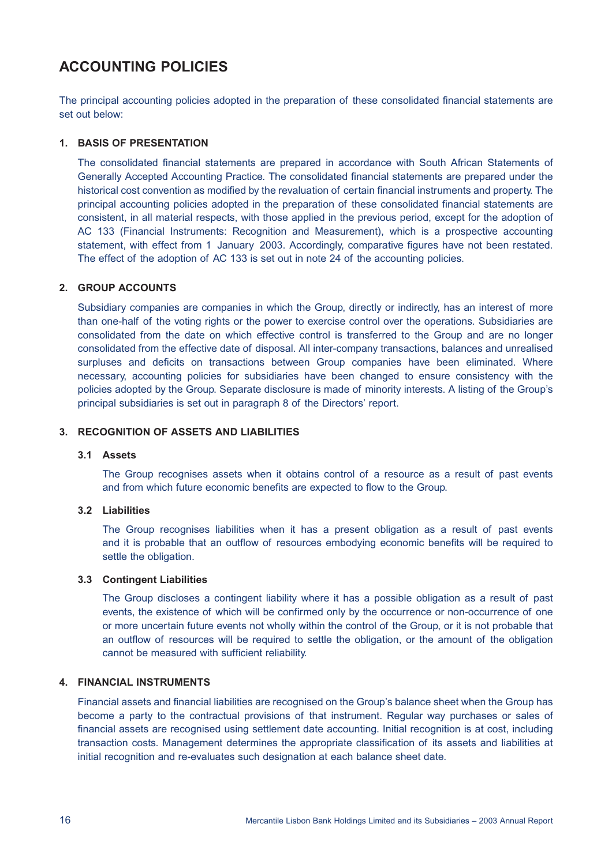# **ACCOUNTING POLICIES**

The principal accounting policies adopted in the preparation of these consolidated financial statements are set out below:

### **1. BASIS OF PRESENTATION**

The consolidated financial statements are prepared in accordance with South African Statements of Generally Accepted Accounting Practice. The consolidated financial statements are prepared under the historical cost convention as modified by the revaluation of certain financial instruments and property. The principal accounting policies adopted in the preparation of these consolidated financial statements are consistent, in all material respects, with those applied in the previous period, except for the adoption of AC 133 (Financial Instruments: Recognition and Measurement), which is a prospective accounting statement, with effect from 1 January 2003. Accordingly, comparative figures have not been restated. The effect of the adoption of AC 133 is set out in note 24 of the accounting policies.

### **2. GROUP ACCOUNTS**

Subsidiary companies are companies in which the Group, directly or indirectly, has an interest of more than one-half of the voting rights or the power to exercise control over the operations. Subsidiaries are consolidated from the date on which effective control is transferred to the Group and are no longer consolidated from the effective date of disposal. All inter-company transactions, balances and unrealised surpluses and deficits on transactions between Group companies have been eliminated. Where necessary, accounting policies for subsidiaries have been changed to ensure consistency with the policies adopted by the Group. Separate disclosure is made of minority interests. A listing of the Group's principal subsidiaries is set out in paragraph 8 of the Directors' report.

## **3. RECOGNITION OF ASSETS AND LIABILITIES**

### **3.1 Assets**

The Group recognises assets when it obtains control of a resource as a result of past events and from which future economic benefits are expected to flow to the Group.

### **3.2 Liabilities**

The Group recognises liabilities when it has a present obligation as a result of past events and it is probable that an outflow of resources embodying economic benefits will be required to settle the obligation.

### **3.3 Contingent Liabilities**

The Group discloses a contingent liability where it has a possible obligation as a result of past events, the existence of which will be confirmed only by the occurrence or non-occurrence of one or more uncertain future events not wholly within the control of the Group, or it is not probable that an outflow of resources will be required to settle the obligation, or the amount of the obligation cannot be measured with sufficient reliability.

# **4. FINANCIAL INSTRUMENTS**

Financial assets and financial liabilities are recognised on the Group's balance sheet when the Group has become a party to the contractual provisions of that instrument. Regular way purchases or sales of financial assets are recognised using settlement date accounting. Initial recognition is at cost, including transaction costs. Management determines the appropriate classification of its assets and liabilities at initial recognition and re-evaluates such designation at each balance sheet date.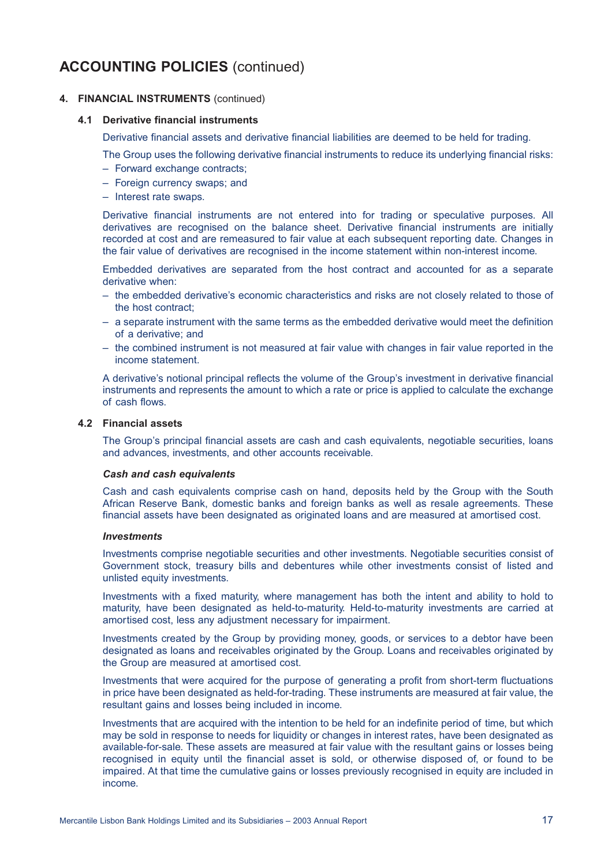### **4. FINANCIAL INSTRUMENTS** (continued)

#### **4.1 Derivative financial instruments**

Derivative financial assets and derivative financial liabilities are deemed to be held for trading.

The Group uses the following derivative financial instruments to reduce its underlying financial risks:

- Forward exchange contracts;
- Foreign currency swaps; and
- Interest rate swaps.

Derivative financial instruments are not entered into for trading or speculative purposes. All derivatives are recognised on the balance sheet. Derivative financial instruments are initially recorded at cost and are remeasured to fair value at each subsequent reporting date. Changes in the fair value of derivatives are recognised in the income statement within non-interest income.

Embedded derivatives are separated from the host contract and accounted for as a separate derivative when:

- the embedded derivative's economic characteristics and risks are not closely related to those of the host contract;
- a separate instrument with the same terms as the embedded derivative would meet the definition of a derivative; and
- the combined instrument is not measured at fair value with changes in fair value reported in the income statement.

A derivative's notional principal reflects the volume of the Group's investment in derivative financial instruments and represents the amount to which a rate or price is applied to calculate the exchange of cash flows.

#### **4.2 Financial assets**

The Group's principal financial assets are cash and cash equivalents, negotiable securities, loans and advances, investments, and other accounts receivable.

#### *Cash and cash equivalents*

Cash and cash equivalents comprise cash on hand, deposits held by the Group with the South African Reserve Bank, domestic banks and foreign banks as well as resale agreements. These financial assets have been designated as originated loans and are measured at amortised cost.

#### *Investments*

Investments comprise negotiable securities and other investments. Negotiable securities consist of Government stock, treasury bills and debentures while other investments consist of listed and unlisted equity investments.

Investments with a fixed maturity, where management has both the intent and ability to hold to maturity, have been designated as held-to-maturity. Held-to-maturity investments are carried at amortised cost, less any adjustment necessary for impairment.

Investments created by the Group by providing money, goods, or services to a debtor have been designated as loans and receivables originated by the Group. Loans and receivables originated by the Group are measured at amortised cost.

Investments that were acquired for the purpose of generating a profit from short-term fluctuations in price have been designated as held-for-trading. These instruments are measured at fair value, the resultant gains and losses being included in income.

Investments that are acquired with the intention to be held for an indefinite period of time, but which may be sold in response to needs for liquidity or changes in interest rates, have been designated as available-for-sale. These assets are measured at fair value with the resultant gains or losses being recognised in equity until the financial asset is sold, or otherwise disposed of, or found to be impaired. At that time the cumulative gains or losses previously recognised in equity are included in income.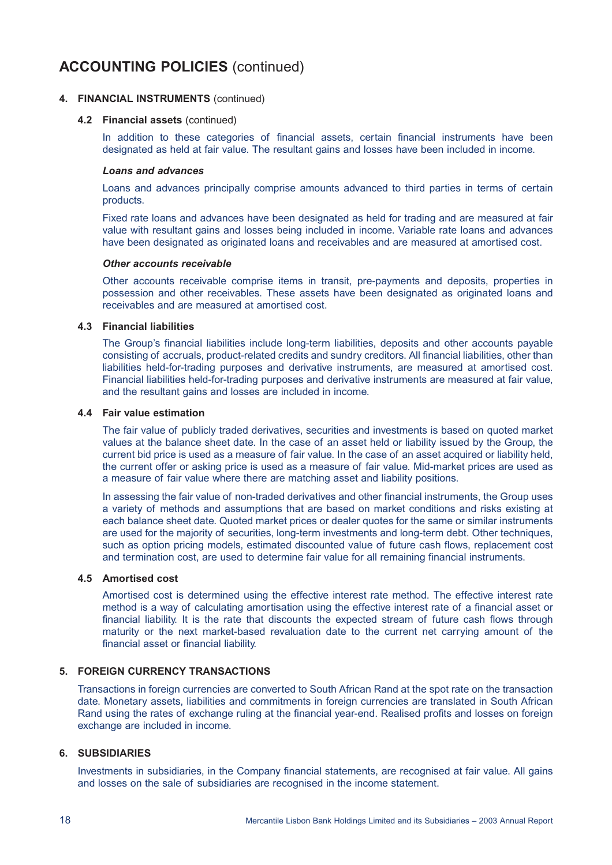### **4. FINANCIAL INSTRUMENTS** (continued)

#### **4.2 Financial assets** (continued)

In addition to these categories of financial assets, certain financial instruments have been designated as held at fair value. The resultant gains and losses have been included in income.

#### *Loans and advances*

Loans and advances principally comprise amounts advanced to third parties in terms of certain products.

Fixed rate loans and advances have been designated as held for trading and are measured at fair value with resultant gains and losses being included in income. Variable rate loans and advances have been designated as originated loans and receivables and are measured at amortised cost.

#### *Other accounts receivable*

Other accounts receivable comprise items in transit, pre-payments and deposits, properties in possession and other receivables. These assets have been designated as originated loans and receivables and are measured at amortised cost.

#### **4.3 Financial liabilities**

The Group's financial liabilities include long-term liabilities, deposits and other accounts payable consisting of accruals, product-related credits and sundry creditors. All financial liabilities, other than liabilities held-for-trading purposes and derivative instruments, are measured at amortised cost. Financial liabilities held-for-trading purposes and derivative instruments are measured at fair value, and the resultant gains and losses are included in income.

#### **4.4 Fair value estimation**

The fair value of publicly traded derivatives, securities and investments is based on quoted market values at the balance sheet date. In the case of an asset held or liability issued by the Group, the current bid price is used as a measure of fair value. In the case of an asset acquired or liability held, the current offer or asking price is used as a measure of fair value. Mid-market prices are used as a measure of fair value where there are matching asset and liability positions.

In assessing the fair value of non-traded derivatives and other financial instruments, the Group uses a variety of methods and assumptions that are based on market conditions and risks existing at each balance sheet date. Quoted market prices or dealer quotes for the same or similar instruments are used for the majority of securities, long-term investments and long-term debt. Other techniques, such as option pricing models, estimated discounted value of future cash flows, replacement cost and termination cost, are used to determine fair value for all remaining financial instruments.

#### **4.5 Amortised cost**

Amortised cost is determined using the effective interest rate method. The effective interest rate method is a way of calculating amortisation using the effective interest rate of a financial asset or financial liability. It is the rate that discounts the expected stream of future cash flows through maturity or the next market-based revaluation date to the current net carrying amount of the financial asset or financial liability.

# **5. FOREIGN CURRENCY TRANSACTIONS**

Transactions in foreign currencies are converted to South African Rand at the spot rate on the transaction date. Monetary assets, liabilities and commitments in foreign currencies are translated in South African Rand using the rates of exchange ruling at the financial year-end. Realised profits and losses on foreign exchange are included in income.

### **6. SUBSIDIARIES**

Investments in subsidiaries, in the Company financial statements, are recognised at fair value. All gains and losses on the sale of subsidiaries are recognised in the income statement.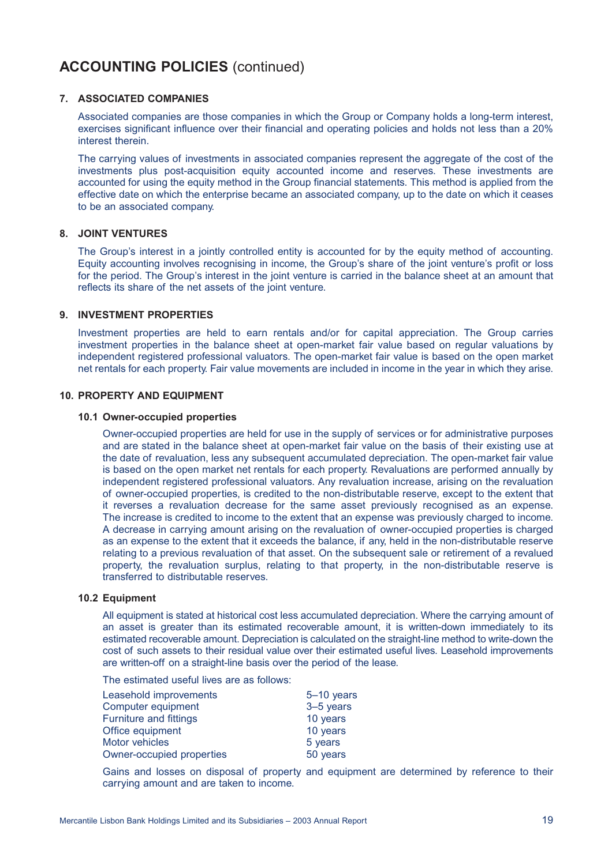#### **7. ASSOCIATED COMPANIES**

Associated companies are those companies in which the Group or Company holds a long-term interest, exercises significant influence over their financial and operating policies and holds not less than a 20% interest therein.

The carrying values of investments in associated companies represent the aggregate of the cost of the investments plus post-acquisition equity accounted income and reserves. These investments are accounted for using the equity method in the Group financial statements. This method is applied from the effective date on which the enterprise became an associated company, up to the date on which it ceases to be an associated company.

### **8. JOINT VENTURES**

The Group's interest in a jointly controlled entity is accounted for by the equity method of accounting. Equity accounting involves recognising in income, the Group's share of the joint venture's profit or loss for the period. The Group's interest in the joint venture is carried in the balance sheet at an amount that reflects its share of the net assets of the joint venture.

#### **9. INVESTMENT PROPERTIES**

Investment properties are held to earn rentals and/or for capital appreciation. The Group carries investment properties in the balance sheet at open-market fair value based on regular valuations by independent registered professional valuators. The open-market fair value is based on the open market net rentals for each property. Fair value movements are included in income in the year in which they arise.

### **10. PROPERTY AND EQUIPMENT**

#### **10.1 Owner-occupied properties**

Owner-occupied properties are held for use in the supply of services or for administrative purposes and are stated in the balance sheet at open-market fair value on the basis of their existing use at the date of revaluation, less any subsequent accumulated depreciation. The open-market fair value is based on the open market net rentals for each property. Revaluations are performed annually by independent registered professional valuators. Any revaluation increase, arising on the revaluation of owner-occupied properties, is credited to the non-distributable reserve, except to the extent that it reverses a revaluation decrease for the same asset previously recognised as an expense. The increase is credited to income to the extent that an expense was previously charged to income. A decrease in carrying amount arising on the revaluation of owner-occupied properties is charged as an expense to the extent that it exceeds the balance, if any, held in the non-distributable reserve relating to a previous revaluation of that asset. On the subsequent sale or retirement of a revalued property, the revaluation surplus, relating to that property, in the non-distributable reserve is transferred to distributable reserves.

#### **10.2 Equipment**

All equipment is stated at historical cost less accumulated depreciation. Where the carrying amount of an asset is greater than its estimated recoverable amount, it is written-down immediately to its estimated recoverable amount. Depreciation is calculated on the straight-line method to write-down the cost of such assets to their residual value over their estimated useful lives. Leasehold improvements are written-off on a straight-line basis over the period of the lease.

The estimated useful lives are as follows:

| Leasehold improvements        | $5-10$ years |
|-------------------------------|--------------|
| Computer equipment            | 3-5 years    |
| <b>Furniture and fittings</b> | 10 years     |
| Office equipment              | 10 years     |
| <b>Motor vehicles</b>         | 5 years      |
| Owner-occupied properties     | 50 years     |
|                               |              |

Gains and losses on disposal of property and equipment are determined by reference to their carrying amount and are taken to income.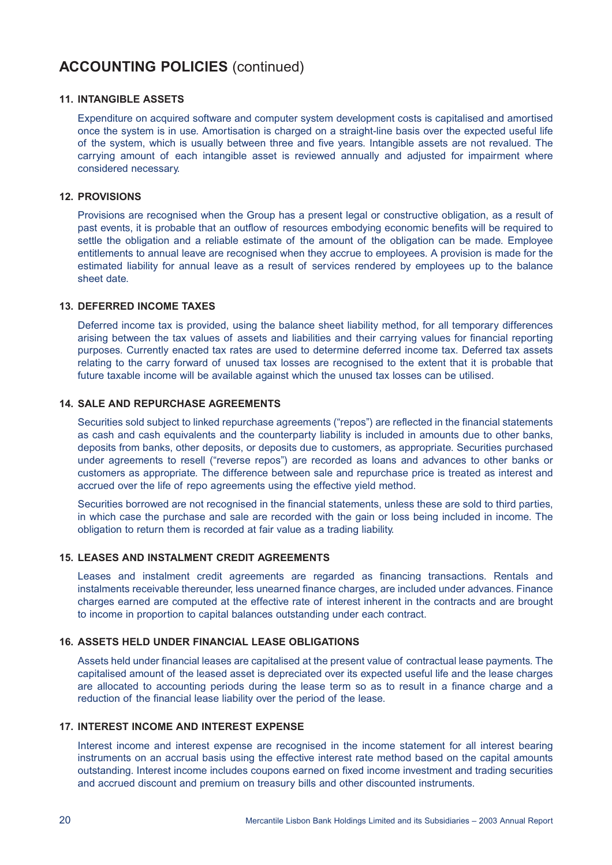### **11. INTANGIBLE ASSETS**

Expenditure on acquired software and computer system development costs is capitalised and amortised once the system is in use. Amortisation is charged on a straight-line basis over the expected useful life of the system, which is usually between three and five years. Intangible assets are not revalued. The carrying amount of each intangible asset is reviewed annually and adjusted for impairment where considered necessary.

### **12. PROVISIONS**

Provisions are recognised when the Group has a present legal or constructive obligation, as a result of past events, it is probable that an outflow of resources embodying economic benefits will be required to settle the obligation and a reliable estimate of the amount of the obligation can be made. Employee entitlements to annual leave are recognised when they accrue to employees. A provision is made for the estimated liability for annual leave as a result of services rendered by employees up to the balance sheet date.

### **13. DEFERRED INCOME TAXES**

Deferred income tax is provided, using the balance sheet liability method, for all temporary differences arising between the tax values of assets and liabilities and their carrying values for financial reporting purposes. Currently enacted tax rates are used to determine deferred income tax. Deferred tax assets relating to the carry forward of unused tax losses are recognised to the extent that it is probable that future taxable income will be available against which the unused tax losses can be utilised.

### **14. SALE AND REPURCHASE AGREEMENTS**

Securities sold subject to linked repurchase agreements ("repos") are reflected in the financial statements as cash and cash equivalents and the counterparty liability is included in amounts due to other banks, deposits from banks, other deposits, or deposits due to customers, as appropriate. Securities purchased under agreements to resell ("reverse repos") are recorded as loans and advances to other banks or customers as appropriate. The difference between sale and repurchase price is treated as interest and accrued over the life of repo agreements using the effective yield method.

Securities borrowed are not recognised in the financial statements, unless these are sold to third parties, in which case the purchase and sale are recorded with the gain or loss being included in income. The obligation to return them is recorded at fair value as a trading liability.

#### **15. LEASES AND INSTALMENT CREDIT AGREEMENTS**

Leases and instalment credit agreements are regarded as financing transactions. Rentals and instalments receivable thereunder, less unearned finance charges, are included under advances. Finance charges earned are computed at the effective rate of interest inherent in the contracts and are brought to income in proportion to capital balances outstanding under each contract.

### **16. ASSETS HELD UNDER FINANCIAL LEASE OBLIGATIONS**

Assets held under financial leases are capitalised at the present value of contractual lease payments. The capitalised amount of the leased asset is depreciated over its expected useful life and the lease charges are allocated to accounting periods during the lease term so as to result in a finance charge and a reduction of the financial lease liability over the period of the lease.

# **17. INTEREST INCOME AND INTEREST EXPENSE**

Interest income and interest expense are recognised in the income statement for all interest bearing instruments on an accrual basis using the effective interest rate method based on the capital amounts outstanding. Interest income includes coupons earned on fixed income investment and trading securities and accrued discount and premium on treasury bills and other discounted instruments.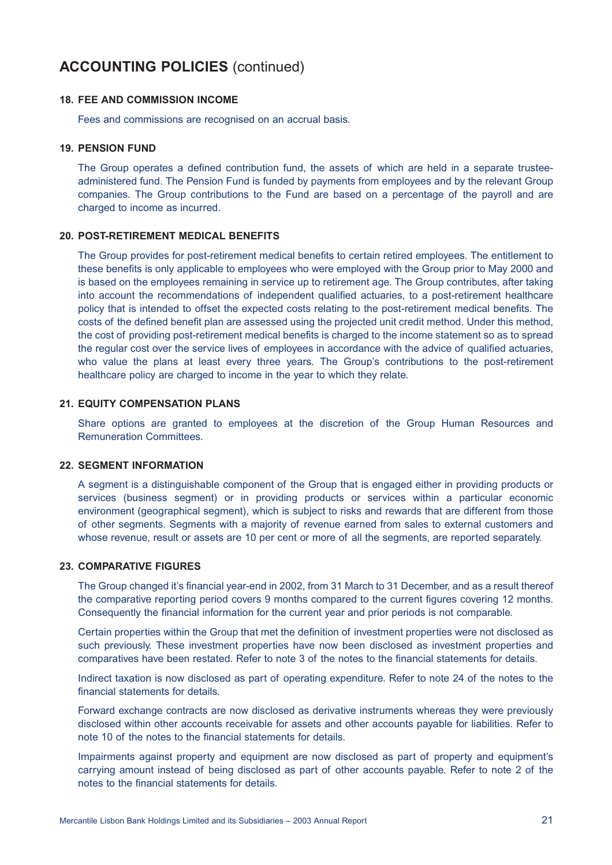#### **18. FEE AND COMMISSION INCOME**

Fees and commissions are recognised on an accrual basis.

#### **19. PENSION FUND**

The Group operates a defined contribution fund, the assets of which are held in a separate trusteeadministered fund. The Pension Fund is funded by payments from employees and by the relevant Group companies. The Group contributions to the Fund are based on a percentage of the payroll and are charged to income as incurred.

### **20. POST-RETIREMENT MEDICAL BENEFITS**

The Group provides for post-retirement medical benefits to certain retired employees. The entitlement to these benefits is only applicable to employees who were employed with the Group prior to May 2000 and is based on the employees remaining in service up to retirement age. The Group contributes, after taking into account the recommendations of independent qualified actuaries, to a post-retirement healthcare policy that is intended to offset the expected costs relating to the post-retirement medical benefits. The costs of the defined benefit plan are assessed using the projected unit credit method. Under this method, the cost of providing post-retirement medical benefits is charged to the income statement so as to spread the regular cost over the service lives of employees in accordance with the advice of qualified actuaries, who value the plans at least every three years. The Group's contributions to the post-retirement healthcare policy are charged to income in the year to which they relate.

### **21. EQUITY COMPENSATION PLANS**

Share options are granted to employees at the discretion of the Group Human Resources and Remuneration Committees.

#### **22. SEGMENT INFORMATION**

A segment is a distinguishable component of the Group that is engaged either in providing products or services (business segment) or in providing products or services within a particular economic environment (geographical segment), which is subject to risks and rewards that are different from those of other segments. Segments with a majority of revenue earned from sales to external customers and whose revenue, result or assets are 10 per cent or more of all the segments, are reported separately.

## **23. COMPARATIVE FIGURES**

The Group changed it's financial year-end in 2002, from 31 March to 31 December, and as a result thereof the comparative reporting period covers 9 months compared to the current figures covering 12 months. Consequently the financial information for the current year and prior periods is not comparable.

Certain properties within the Group that met the definition of investment properties were not disclosed as such previously. These investment properties have now been disclosed as investment properties and comparatives have been restated. Refer to note 3 of the notes to the financial statements for details.

Indirect taxation is now disclosed as part of operating expenditure. Refer to note 24 of the notes to the financial statements for details.

Forward exchange contracts are now disclosed as derivative instruments whereas they were previously disclosed within other accounts receivable for assets and other accounts payable for liabilities. Refer to note 10 of the notes to the financial statements for details.

Impairments against property and equipment are now disclosed as part of property and equipment's carrying amount instead of being disclosed as part of other accounts payable. Refer to note 2 of the notes to the financial statements for details.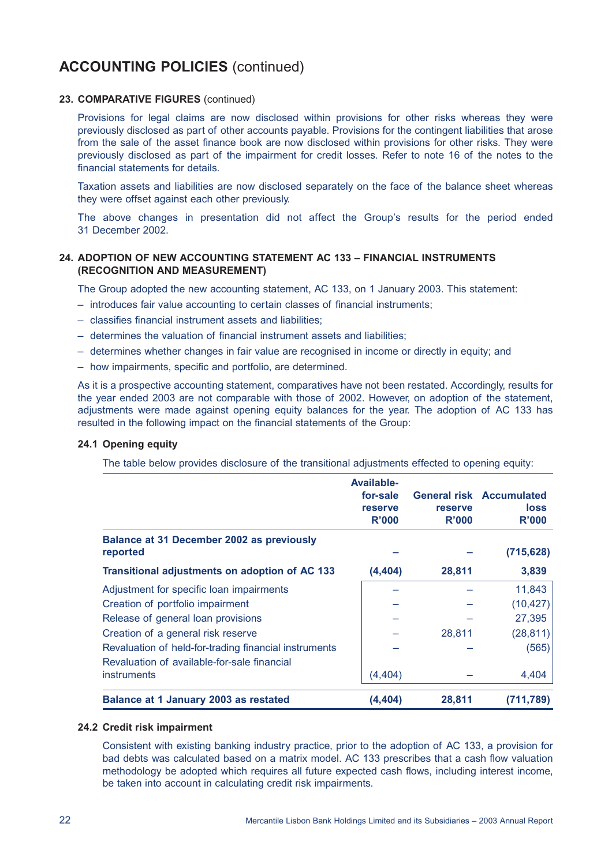### **23. COMPARATIVE FIGURES** (continued)

Provisions for legal claims are now disclosed within provisions for other risks whereas they were previously disclosed as part of other accounts payable. Provisions for the contingent liabilities that arose from the sale of the asset finance book are now disclosed within provisions for other risks. They were previously disclosed as part of the impairment for credit losses. Refer to note 16 of the notes to the financial statements for details.

Taxation assets and liabilities are now disclosed separately on the face of the balance sheet whereas they were offset against each other previously.

The above changes in presentation did not affect the Group's results for the period ended 31 December 2002.

### **24. ADOPTION OF NEW ACCOUNTING STATEMENT AC 133 – FINANCIAL INSTRUMENTS (RECOGNITION AND MEASUREMENT)**

The Group adopted the new accounting statement, AC 133, on 1 January 2003. This statement:

- introduces fair value accounting to certain classes of financial instruments;
- classifies financial instrument assets and liabilities;
- determines the valuation of financial instrument assets and liabilities;
- determines whether changes in fair value are recognised in income or directly in equity; and
- how impairments, specific and portfolio, are determined.

As it is a prospective accounting statement, comparatives have not been restated. Accordingly, results for the year ended 2003 are not comparable with those of 2002. However, on adoption of the statement, adjustments were made against opening equity balances for the year. The adoption of AC 133 has resulted in the following impact on the financial statements of the Group:

### **24.1 Opening equity**

The table below provides disclosure of the transitional adjustments effected to opening equity:

|                                                                                                      | <b>Available-</b><br>for-sale<br>reserve<br>R'000 | reserve<br>R'000 | <b>General risk Accumulated</b><br><b>loss</b><br>R'000 |
|------------------------------------------------------------------------------------------------------|---------------------------------------------------|------------------|---------------------------------------------------------|
| <b>Balance at 31 December 2002 as previously</b><br>reported                                         |                                                   |                  | (715, 628)                                              |
| Transitional adjustments on adoption of AC 133                                                       | (4, 404)                                          | 28,811           | 3,839                                                   |
| Adjustment for specific loan impairments                                                             |                                                   |                  | 11,843                                                  |
| Creation of portfolio impairment                                                                     |                                                   |                  | (10, 427)                                               |
| Release of general loan provisions                                                                   |                                                   |                  | 27,395                                                  |
| Creation of a general risk reserve                                                                   |                                                   | 28,811           | (28, 811)                                               |
| Revaluation of held-for-trading financial instruments<br>Revaluation of available-for-sale financial |                                                   |                  | (565)                                                   |
| <b>instruments</b>                                                                                   | (4,404)                                           |                  | 4,404                                                   |
| Balance at 1 January 2003 as restated                                                                | (4,404)                                           | 28,811           | (711,789)                                               |

### **24.2 Credit risk impairment**

Consistent with existing banking industry practice, prior to the adoption of AC 133, a provision for bad debts was calculated based on a matrix model. AC 133 prescribes that a cash flow valuation methodology be adopted which requires all future expected cash flows, including interest income, be taken into account in calculating credit risk impairments.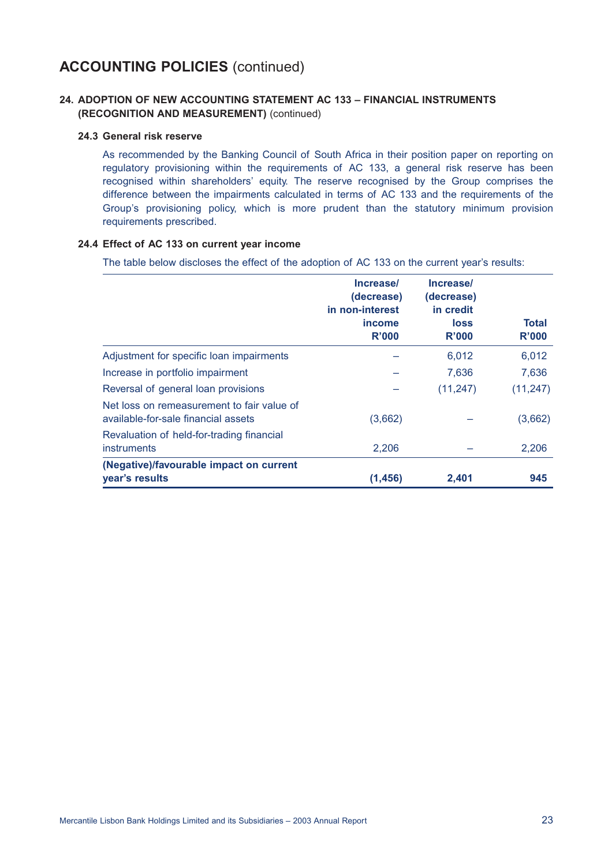# **24. ADOPTION OF NEW ACCOUNTING STATEMENT AC 133 – FINANCIAL INSTRUMENTS (RECOGNITION AND MEASUREMENT)** (continued)

### **24.3 General risk reserve**

As recommended by the Banking Council of South Africa in their position paper on reporting on regulatory provisioning within the requirements of AC 133, a general risk reserve has been recognised within shareholders' equity. The reserve recognised by the Group comprises the difference between the impairments calculated in terms of AC 133 and the requirements of the Group's provisioning policy, which is more prudent than the statutory minimum provision requirements prescribed.

### **24.4 Effect of AC 133 on current year income**

The table below discloses the effect of the adoption of AC 133 on the current year's results:

|                                                                                   | Increase/<br>(decrease)<br>in non-interest<br><i>income</i><br>R'000 | Increase/<br>(decrease)<br>in credit<br><b>loss</b><br>R'000 | Total<br>R'000 |
|-----------------------------------------------------------------------------------|----------------------------------------------------------------------|--------------------------------------------------------------|----------------|
| Adjustment for specific loan impairments                                          |                                                                      | 6,012                                                        | 6,012          |
| Increase in portfolio impairment                                                  |                                                                      | 7,636                                                        | 7,636          |
| Reversal of general loan provisions                                               |                                                                      | (11, 247)                                                    | (11, 247)      |
| Net loss on remeasurement to fair value of<br>available-for-sale financial assets | (3,662)                                                              |                                                              | (3,662)        |
| Revaluation of held-for-trading financial<br>instruments                          | 2,206                                                                |                                                              | 2,206          |
| (Negative)/favourable impact on current<br>year's results                         | (1, 456)                                                             | 2,401                                                        | 945            |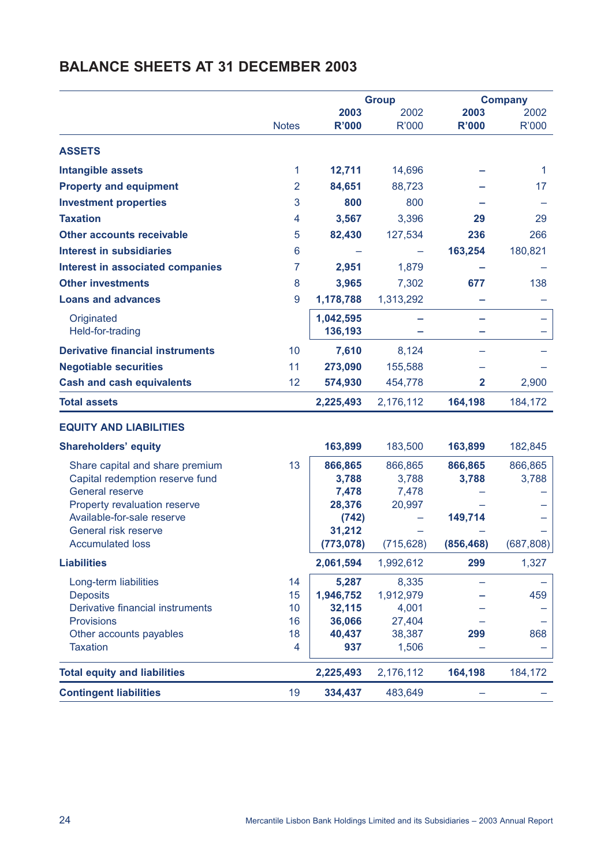|                                                            |                |                 | <b>Group</b> |              | <b>Company</b> |
|------------------------------------------------------------|----------------|-----------------|--------------|--------------|----------------|
|                                                            |                | 2003            | 2002         | 2003         | 2002           |
|                                                            | <b>Notes</b>   | <b>R'000</b>    | R'000        | <b>R'000</b> | R'000          |
| <b>ASSETS</b>                                              |                |                 |              |              |                |
| <b>Intangible assets</b>                                   | 1              | 12,711          | 14,696       |              | 1              |
| <b>Property and equipment</b>                              | $\overline{2}$ | 84,651          | 88,723       |              | 17             |
| <b>Investment properties</b>                               | 3              | 800             | 800          |              |                |
| <b>Taxation</b>                                            | 4              | 3,567           | 3,396        | 29           | 29             |
| <b>Other accounts receivable</b>                           | 5              | 82,430          | 127,534      | 236          | 266            |
| <b>Interest in subsidiaries</b>                            | 6              |                 |              | 163,254      | 180,821        |
| <b>Interest in associated companies</b>                    | 7              | 2,951           | 1,879        |              |                |
| <b>Other investments</b>                                   | 8              | 3,965           | 7,302        | 677          | 138            |
| <b>Loans and advances</b>                                  | 9              | 1,178,788       | 1,313,292    |              |                |
| Originated                                                 |                | 1,042,595       |              |              |                |
| Held-for-trading                                           |                | 136,193         |              |              |                |
| <b>Derivative financial instruments</b>                    | 10             | 7,610           | 8,124        |              |                |
| <b>Negotiable securities</b>                               | 11             | 273,090         | 155,588      |              |                |
| <b>Cash and cash equivalents</b>                           | 12             | 574,930         | 454,778      | $\mathbf{2}$ | 2,900          |
| <b>Total assets</b>                                        |                | 2,225,493       | 2,176,112    | 164,198      | 184,172        |
| <b>EQUITY AND LIABILITIES</b>                              |                |                 |              |              |                |
| <b>Shareholders' equity</b>                                |                | 163,899         | 183,500      | 163,899      | 182,845        |
| Share capital and share premium                            | 13             | 866,865         | 866,865      | 866,865      | 866,865        |
| Capital redemption reserve fund                            |                | 3,788           | 3,788        | 3,788        | 3,788          |
| <b>General reserve</b>                                     |                | 7,478           | 7,478        |              |                |
| Property revaluation reserve<br>Available-for-sale reserve |                | 28,376<br>(742) | 20,997       | 149,714      |                |
| General risk reserve                                       |                | 31,212          |              |              |                |
| <b>Accumulated loss</b>                                    |                | (773, 078)      | (715, 628)   | (856, 468)   | (687, 808)     |
| <b>Liabilities</b>                                         |                | 2,061,594       | 1,992,612    | 299          | 1,327          |
| Long-term liabilities                                      | 14             | 5,287           | 8,335        |              |                |
| <b>Deposits</b>                                            | 15             | 1,946,752       | 1,912,979    |              | 459            |
| Derivative financial instruments                           | 10             | 32,115          | 4,001        |              |                |
| Provisions                                                 | 16             | 36,066          | 27,404       |              |                |
| Other accounts payables                                    | 18             | 40,437          | 38,387       | 299          | 868            |
| <b>Taxation</b>                                            | 4              | 937             | 1,506        |              |                |
| <b>Total equity and liabilities</b>                        |                | 2,225,493       | 2,176,112    | 164,198      | 184,172        |
| <b>Contingent liabilities</b>                              | 19             | 334,437         | 483,649      |              |                |

# **BALANCE SHEETS AT 31 DECEMBER 2003**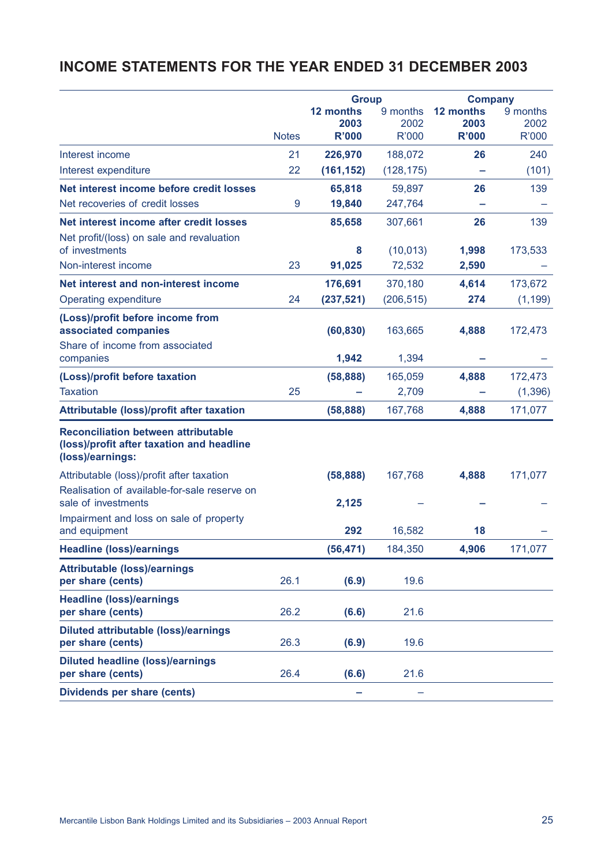# **INCOME STATEMENTS FOR THE YEAR ENDED 31 DECEMBER 2003**

|                                                                                                             |              | <b>Group</b> |              |              | <b>Company</b> |
|-------------------------------------------------------------------------------------------------------------|--------------|--------------|--------------|--------------|----------------|
|                                                                                                             |              | 12 months    | 9 months     | 12 months    | 9 months       |
|                                                                                                             |              | 2003         | 2002         | 2003         | 2002           |
|                                                                                                             | <b>Notes</b> | <b>R'000</b> | <b>R'000</b> | <b>R'000</b> | <b>R'000</b>   |
| Interest income                                                                                             | 21           | 226,970      | 188,072      | 26           | 240            |
| Interest expenditure                                                                                        | 22           | (161, 152)   | (128, 175)   |              | (101)          |
| Net interest income before credit losses                                                                    |              | 65,818       | 59,897       | 26           | 139            |
| Net recoveries of credit losses                                                                             | 9            | 19,840       | 247,764      |              |                |
| Net interest income after credit losses                                                                     |              | 85,658       | 307,661      | 26           | 139            |
| Net profit/(loss) on sale and revaluation<br>of investments                                                 |              | 8            | (10, 013)    | 1,998        | 173,533        |
| Non-interest income                                                                                         | 23           | 91,025       | 72,532       | 2,590        |                |
| Net interest and non-interest income                                                                        |              | 176,691      | 370,180      | 4,614        | 173,672        |
| Operating expenditure                                                                                       | 24           | (237, 521)   | (206, 515)   | 274          | (1, 199)       |
| (Loss)/profit before income from                                                                            |              |              |              |              |                |
| associated companies                                                                                        |              | (60, 830)    | 163,665      | 4,888        | 172,473        |
| Share of income from associated<br>companies                                                                |              | 1,942        | 1,394        |              |                |
| (Loss)/profit before taxation                                                                               |              | (58, 888)    | 165,059      | 4,888        | 172,473        |
| <b>Taxation</b>                                                                                             | 25           |              | 2,709        |              | (1, 396)       |
| <b>Attributable (loss)/profit after taxation</b>                                                            |              | (58, 888)    | 167,768      | 4,888        | 171,077        |
| <b>Reconciliation between attributable</b><br>(loss)/profit after taxation and headline<br>(loss)/earnings: |              |              |              |              |                |
| Attributable (loss)/profit after taxation                                                                   |              | (58, 888)    | 167,768      | 4,888        | 171,077        |
| Realisation of available-for-sale reserve on<br>sale of investments                                         |              | 2,125        |              |              |                |
| Impairment and loss on sale of property                                                                     |              |              |              |              |                |
| and equipment                                                                                               |              | 292          | 16,582       | 18           |                |
| <b>Headline (loss)/earnings</b>                                                                             |              | (56, 471)    | 184,350      | 4,906        | 171,077        |
| <b>Attributable (loss)/earnings</b><br>per share (cents)                                                    | 26.1         | (6.9)        | 19.6         |              |                |
| <b>Headline (loss)/earnings</b><br>per share (cents)                                                        | 26.2         | (6.6)        | 21.6         |              |                |
| <b>Diluted attributable (loss)/earnings</b><br>per share (cents)                                            | 26.3         | (6.9)        | 19.6         |              |                |
| <b>Diluted headline (loss)/earnings</b><br>per share (cents)                                                | 26.4         | (6.6)        | 21.6         |              |                |
| <b>Dividends per share (cents)</b>                                                                          |              |              |              |              |                |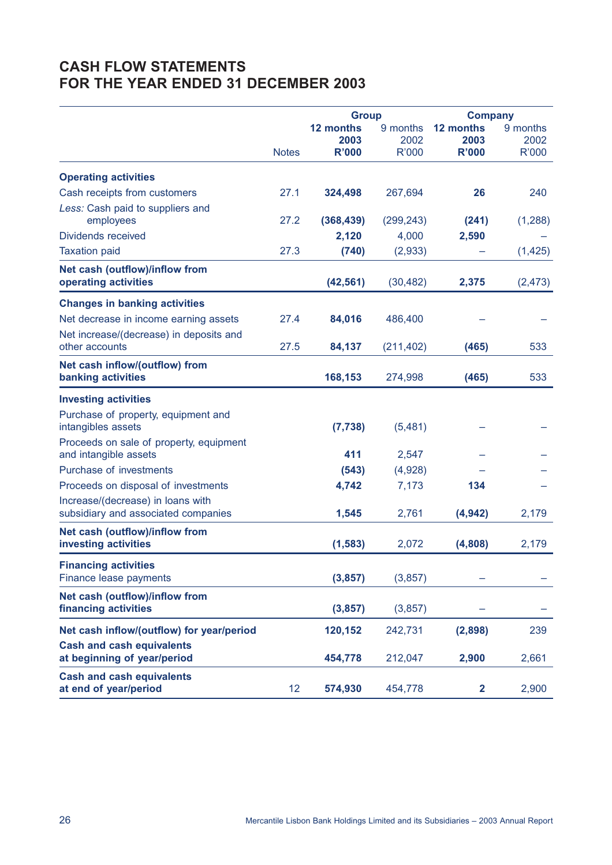# **CASH FLOW STATEMENTS FOR THE YEAR ENDED 31 DECEMBER 2003**

|                                                                          |              | <b>Group</b>                      |                                  |                                   | <b>Company</b>            |  |
|--------------------------------------------------------------------------|--------------|-----------------------------------|----------------------------------|-----------------------------------|---------------------------|--|
|                                                                          |              | 12 months<br>2003<br><b>R'000</b> | 9 months<br>2002<br><b>R'000</b> | 12 months<br>2003<br><b>R'000</b> | 9 months<br>2002<br>R'000 |  |
|                                                                          | <b>Notes</b> |                                   |                                  |                                   |                           |  |
| <b>Operating activities</b>                                              |              |                                   |                                  |                                   |                           |  |
| Cash receipts from customers                                             | 27.1         | 324,498                           | 267,694                          | 26                                | 240                       |  |
| Less: Cash paid to suppliers and                                         |              |                                   |                                  |                                   |                           |  |
| employees                                                                | 27.2         | (368, 439)                        | (299, 243)                       | (241)                             | (1, 288)                  |  |
| <b>Dividends received</b>                                                |              | 2,120                             | 4,000                            | 2,590                             |                           |  |
| <b>Taxation paid</b>                                                     | 27.3         | (740)                             | (2,933)                          |                                   | (1, 425)                  |  |
| Net cash (outflow)/inflow from<br>operating activities                   |              | (42, 561)                         | (30, 482)                        | 2,375                             | (2, 473)                  |  |
| <b>Changes in banking activities</b>                                     |              |                                   |                                  |                                   |                           |  |
| Net decrease in income earning assets                                    | 27.4         | 84,016                            | 486,400                          |                                   |                           |  |
| Net increase/(decrease) in deposits and                                  |              |                                   |                                  |                                   |                           |  |
| other accounts                                                           | 27.5         | 84,137                            | (211, 402)                       | (465)                             | 533                       |  |
| Net cash inflow/(outflow) from                                           |              |                                   |                                  |                                   |                           |  |
| banking activities                                                       |              | 168,153                           | 274,998                          | (465)                             | 533                       |  |
| <b>Investing activities</b>                                              |              |                                   |                                  |                                   |                           |  |
| Purchase of property, equipment and                                      |              |                                   |                                  |                                   |                           |  |
| intangibles assets                                                       |              | (7, 738)                          | (5,481)                          |                                   |                           |  |
| Proceeds on sale of property, equipment                                  |              |                                   |                                  |                                   |                           |  |
| and intangible assets<br>Purchase of investments                         |              | 411                               | 2,547                            |                                   |                           |  |
|                                                                          |              | (543)                             | (4,928)                          |                                   |                           |  |
| Proceeds on disposal of investments                                      |              | 4,742                             | 7,173                            | 134                               |                           |  |
| Increase/(decrease) in loans with<br>subsidiary and associated companies |              | 1,545                             | 2,761                            | (4, 942)                          | 2,179                     |  |
| <b>Net cash (outflow)/inflow from</b>                                    |              |                                   |                                  |                                   |                           |  |
| investing activities                                                     |              | (1, 583)                          | 2,072                            | (4,808)                           | 2,179                     |  |
| <b>Financing activities</b>                                              |              |                                   |                                  |                                   |                           |  |
| Finance lease payments                                                   |              | (3, 857)                          | (3,857)                          |                                   |                           |  |
| Net cash (outflow)/inflow from                                           |              |                                   |                                  |                                   |                           |  |
| financing activities                                                     |              | (3, 857)                          | (3,857)                          |                                   |                           |  |
| Net cash inflow/(outflow) for year/period                                |              | 120,152                           | 242,731                          | (2,898)                           | 239                       |  |
| <b>Cash and cash equivalents</b>                                         |              |                                   |                                  |                                   |                           |  |
| at beginning of year/period                                              |              | 454,778                           | 212,047                          | 2,900                             | 2,661                     |  |
| <b>Cash and cash equivalents</b><br>at end of year/period                | 12           | 574,930                           | 454,778                          | $\mathbf{2}$                      | 2,900                     |  |
|                                                                          |              |                                   |                                  |                                   |                           |  |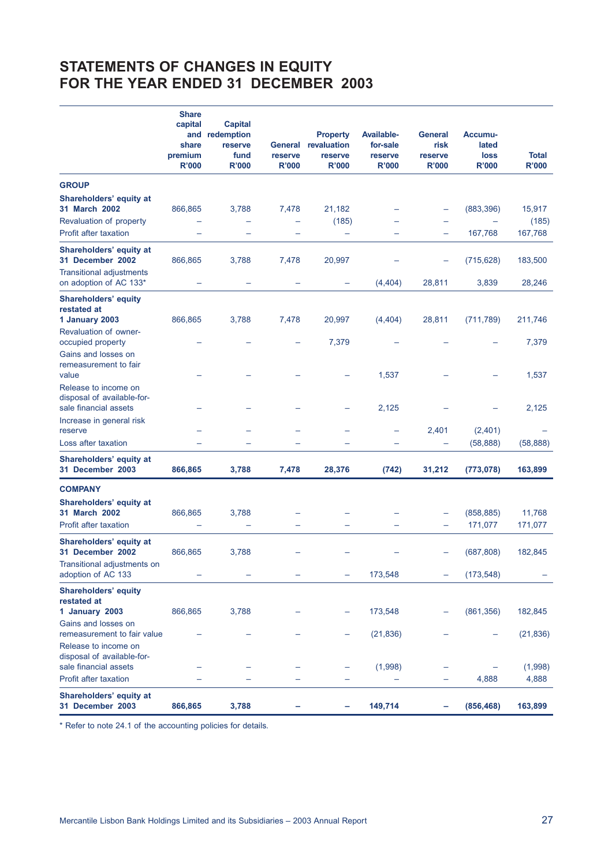# **STATEMENTS OF CHANGES IN EQUITY FOR THE YEAR ENDED 31 DECEMBER 2003**

|                                                                             | <b>Share</b><br>capital<br>and<br>share<br>premium<br><b>R'000</b> | <b>Capital</b><br>redemption<br>reserve<br>fund<br><b>R'000</b> | reserve<br><b>R'000</b>  | <b>Property</b><br>General revaluation<br>reserve<br><b>R'000</b> | <b>Available-</b><br>for-sale<br>reserve<br><b>R'000</b> | <b>General</b><br>risk<br>reserve<br><b>R'000</b> | Accumu-<br>lated<br>loss<br><b>R'000</b> | <b>Total</b><br><b>R'000</b> |
|-----------------------------------------------------------------------------|--------------------------------------------------------------------|-----------------------------------------------------------------|--------------------------|-------------------------------------------------------------------|----------------------------------------------------------|---------------------------------------------------|------------------------------------------|------------------------------|
| <b>GROUP</b>                                                                |                                                                    |                                                                 |                          |                                                                   |                                                          |                                                   |                                          |                              |
| Shareholders' equity at<br>31 March 2002                                    | 866,865                                                            | 3,788                                                           | 7,478                    | 21,182                                                            |                                                          | -                                                 | (883, 396)                               | 15,917                       |
| Revaluation of property<br><b>Profit after taxation</b>                     |                                                                    |                                                                 |                          | (185)<br>$\overline{\phantom{0}}$                                 |                                                          | $\equiv$                                          | 167,768                                  | (185)<br>167,768             |
| Shareholders' equity at<br>31 December 2002                                 | 866,865                                                            | 3,788                                                           | 7,478                    | 20,997                                                            |                                                          |                                                   | (715, 628)                               | 183,500                      |
| <b>Transitional adjustments</b><br>on adoption of AC 133*                   |                                                                    | -                                                               |                          | -                                                                 | (4, 404)                                                 | 28,811                                            | 3,839                                    | 28,246                       |
| <b>Shareholders' equity</b><br>restated at                                  |                                                                    |                                                                 |                          |                                                                   |                                                          |                                                   |                                          |                              |
| 1 January 2003<br><b>Revaluation of owner-</b>                              | 866,865                                                            | 3,788                                                           | 7,478                    | 20,997                                                            | (4, 404)                                                 | 28,811                                            | (711, 789)                               | 211,746                      |
| occupied property<br>Gains and losses on<br>remeasurement to fair           |                                                                    |                                                                 |                          | 7,379                                                             |                                                          |                                                   |                                          | 7,379                        |
| value<br>Release to income on                                               |                                                                    |                                                                 |                          |                                                                   | 1,537                                                    |                                                   |                                          | 1,537                        |
| disposal of available-for-<br>sale financial assets                         |                                                                    |                                                                 |                          |                                                                   | 2,125                                                    |                                                   |                                          | 2,125                        |
| Increase in general risk<br>reserve                                         |                                                                    |                                                                 |                          |                                                                   | -                                                        | 2,401                                             | (2,401)                                  |                              |
| Loss after taxation                                                         |                                                                    |                                                                 |                          |                                                                   |                                                          |                                                   | (58, 888)                                | (58, 888)                    |
| Shareholders' equity at<br>31 December 2003                                 | 866,865                                                            | 3,788                                                           | 7,478                    | 28,376                                                            | (742)                                                    | 31,212                                            | (773, 078)                               | 163,899                      |
| <b>COMPANY</b>                                                              |                                                                    |                                                                 |                          |                                                                   |                                                          |                                                   |                                          |                              |
| Shareholders' equity at<br>31 March 2002                                    | 866,865                                                            | 3,788                                                           |                          |                                                                   |                                                          |                                                   | (858, 885)                               | 11,768                       |
| Profit after taxation                                                       |                                                                    |                                                                 | $\overline{\phantom{0}}$ |                                                                   |                                                          | -                                                 | 171,077                                  | 171,077                      |
| Shareholders' equity at<br>31 December 2002                                 | 866,865                                                            | 3,788                                                           |                          |                                                                   |                                                          |                                                   | (687, 808)                               | 182,845                      |
| Transitional adjustments on<br>adoption of AC 133                           |                                                                    |                                                                 |                          |                                                                   | 173,548                                                  |                                                   | (173, 548)                               |                              |
| <b>Shareholders' equity</b><br>restated at<br>1 January 2003                | 866,865                                                            | 3,788                                                           |                          |                                                                   | 173,548                                                  |                                                   | (861, 356)                               | 182,845                      |
| Gains and losses on<br>remeasurement to fair value                          |                                                                    |                                                                 |                          |                                                                   | (21, 836)                                                |                                                   |                                          | (21, 836)                    |
| Release to income on<br>disposal of available-for-<br>sale financial assets |                                                                    |                                                                 |                          |                                                                   | (1,998)                                                  |                                                   |                                          | (1,998)                      |
| Profit after taxation                                                       |                                                                    |                                                                 |                          |                                                                   |                                                          |                                                   | 4,888                                    | 4,888                        |
| Shareholders' equity at<br>31 December 2003                                 | 866,865                                                            | 3,788                                                           |                          | ۰                                                                 | 149,714                                                  | ۰                                                 | (856, 468)                               | 163,899                      |

\* Refer to note 24.1 of the accounting policies for details.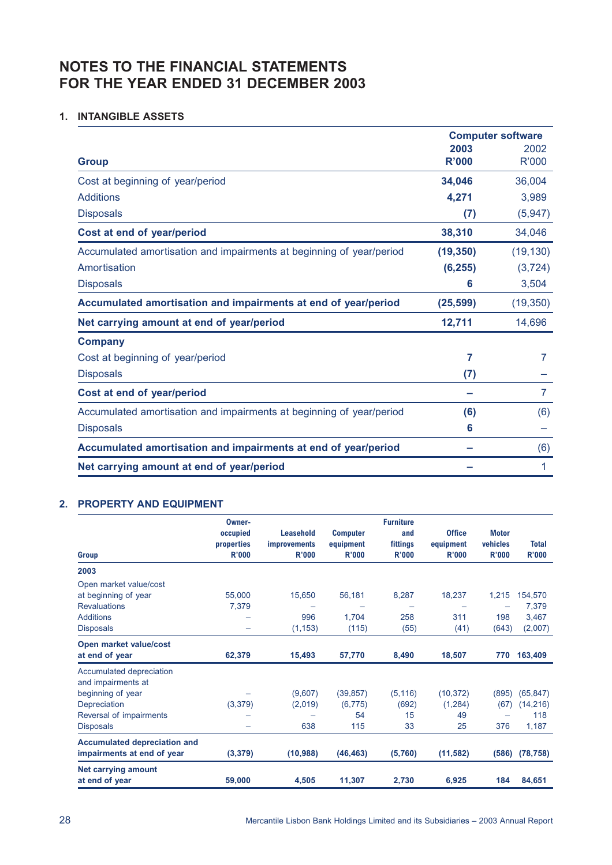# **NOTES TO THE FINANCIAL STATEMENTS FOR THE YEAR ENDED 31 DECEMBER 2003**

# **1. INTANGIBLE ASSETS**

|                                                                      | <b>Computer software</b> |              |  |
|----------------------------------------------------------------------|--------------------------|--------------|--|
|                                                                      | 2003                     | 2002         |  |
| <b>Group</b>                                                         | R'000                    | <b>R'000</b> |  |
| Cost at beginning of year/period                                     | 34,046                   | 36,004       |  |
| <b>Additions</b>                                                     | 4,271                    | 3,989        |  |
| <b>Disposals</b>                                                     | (7)                      | (5, 947)     |  |
| Cost at end of year/period                                           | 38,310                   | 34,046       |  |
| Accumulated amortisation and impairments at beginning of year/period | (19, 350)                | (19, 130)    |  |
| Amortisation                                                         | (6, 255)                 | (3, 724)     |  |
| <b>Disposals</b>                                                     | 6                        | 3,504        |  |
| Accumulated amortisation and impairments at end of year/period       | (25, 599)                | (19, 350)    |  |
| Net carrying amount at end of year/period                            | 12,711                   | 14,696       |  |
| <b>Company</b>                                                       |                          |              |  |
| Cost at beginning of year/period                                     | 7                        |              |  |
| <b>Disposals</b>                                                     | (7)                      |              |  |
| Cost at end of year/period                                           |                          | 7            |  |
| Accumulated amortisation and impairments at beginning of year/period | (6)                      | (6)          |  |
| <b>Disposals</b>                                                     | 6                        |              |  |
| Accumulated amortisation and impairments at end of year/period       |                          | (6)          |  |
| Net carrying amount at end of year/period                            |                          | 1            |  |

# **2. PROPERTY AND EQUIPMENT**

|                                     | Owner-     |                     |                 | <b>Furniture</b> |               |              |              |
|-------------------------------------|------------|---------------------|-----------------|------------------|---------------|--------------|--------------|
|                                     | occupied   | <b>Leasehold</b>    | <b>Computer</b> | and              | <b>Office</b> | <b>Motor</b> |              |
|                                     | properties | <i>improvements</i> | equipment       | fittings         | equipment     | vehicles     | <b>Total</b> |
| <b>Group</b>                        | R'000      | R'000               | R'000           | R'000            | R'000         | <b>R'000</b> | <b>R'000</b> |
| 2003                                |            |                     |                 |                  |               |              |              |
| Open market value/cost              |            |                     |                 |                  |               |              |              |
| at beginning of year                | 55,000     | 15,650              | 56,181          | 8,287            | 18,237        | 1,215        | 154,570      |
| <b>Revaluations</b>                 | 7,379      |                     |                 |                  |               | -            | 7,379        |
| <b>Additions</b>                    |            | 996                 | 1,704           | 258              | 311           | 198          | 3,467        |
| <b>Disposals</b>                    | -          | (1, 153)            | (115)           | (55)             | (41)          | (643)        | (2,007)      |
| Open market value/cost              |            |                     |                 |                  |               |              |              |
| at end of year                      | 62.379     | 15,493              | 57,770          | 8,490            | 18,507        | 770          | 163,409      |
| Accumulated depreciation            |            |                     |                 |                  |               |              |              |
| and impairments at                  |            |                     |                 |                  |               |              |              |
| beginning of year                   |            | (9,607)             | (39, 857)       | (5, 116)         | (10, 372)     | (895)        | (65, 847)    |
| Depreciation                        | (3,379)    | (2,019)             | (6, 775)        | (692)            | (1, 284)      | (67)         | (14, 216)    |
| Reversal of impairments             |            |                     | 54              | 15               | 49            |              | 118          |
| <b>Disposals</b>                    | -          | 638                 | 115             | 33               | 25            | 376          | 1,187        |
| <b>Accumulated depreciation and</b> |            |                     |                 |                  |               |              |              |
| impairments at end of year          | (3, 379)   | (10, 988)           | (46, 463)       | (5,760)          | (11, 582)     | (586)        | (78, 758)    |
| <b>Net carrying amount</b>          |            |                     |                 |                  |               |              |              |
| at end of year                      | 59,000     | 4,505               | 11,307          | 2,730            | 6,925         | 184          | 84,651       |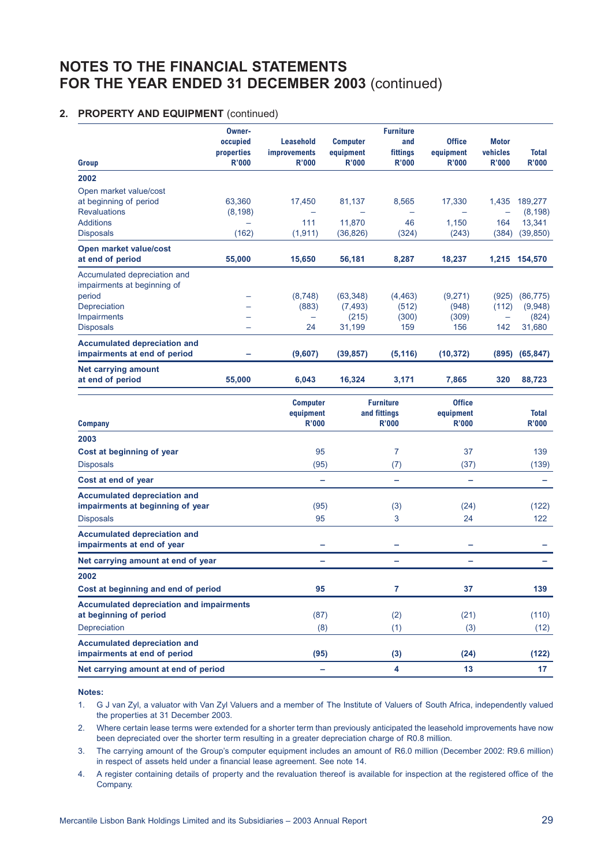### **2. PROPERTY AND EQUIPMENT** (continued)

| Group                                                                                       | Owner-<br>occupied<br>properties<br><b>R'000</b> | Leasehold<br><b>improvements</b><br>R'000    | <b>Computer</b><br>equipment<br><b>R'000</b> | <b>Furniture</b><br>and<br>fittings<br><b>R'000</b> | <b>Office</b><br>equipment<br><b>R'000</b> | <b>Motor</b><br>vehicles<br>R'000 | <b>Total</b><br>R'000        |
|---------------------------------------------------------------------------------------------|--------------------------------------------------|----------------------------------------------|----------------------------------------------|-----------------------------------------------------|--------------------------------------------|-----------------------------------|------------------------------|
| 2002                                                                                        |                                                  |                                              |                                              |                                                     |                                            |                                   |                              |
| Open market value/cost<br>at beginning of period<br><b>Revaluations</b>                     | 63,360<br>(8, 198)                               | 17,450                                       | 81,137                                       | 8,565                                               | 17,330                                     | 1,435                             | 189,277<br>(8, 198)          |
| <b>Additions</b><br><b>Disposals</b>                                                        | $\equiv$<br>(162)                                | 111<br>(1, 911)                              | 11,870<br>(36, 826)                          | 46<br>(324)                                         | 1,150<br>(243)                             | 164<br>(384)                      | 13,341<br>(39, 850)          |
| <b>Open market value/cost</b><br>at end of period                                           | 55,000                                           | 15,650                                       | 56,181                                       | 8,287                                               | 18,237                                     |                                   | 1,215 154,570                |
| Accumulated depreciation and<br>impairments at beginning of<br>period<br>Depreciation       | $\overline{\phantom{0}}$                         | (8,748)<br>(883)                             | (63, 348)<br>(7, 493)                        | (4, 463)<br>(512)                                   | (9,271)<br>(948)                           | (925)<br>(112)                    | (86, 775)<br>(9,948)         |
| Impairments<br><b>Disposals</b>                                                             |                                                  | 24                                           | (215)<br>31,199                              | (300)<br>159                                        | (309)<br>156                               | $\overline{\phantom{0}}$<br>142   | (824)<br>31,680              |
| <b>Accumulated depreciation and</b><br>impairments at end of period                         |                                                  | (9,607)                                      | (39, 857)                                    | (5, 116)                                            | (10, 372)                                  | (895)                             | (65, 847)                    |
| <b>Net carrying amount</b><br>at end of period                                              | 55,000                                           | 6,043                                        | 16,324                                       | 3,171                                               | 7,865                                      | 320                               | 88,723                       |
| <b>Company</b>                                                                              |                                                  | <b>Computer</b><br>equipment<br><b>R'000</b> |                                              | <b>Furniture</b><br>and fittings<br><b>R'000</b>    | <b>Office</b><br>equipment<br><b>R'000</b> |                                   | <b>Total</b><br><b>R'000</b> |
| 2003                                                                                        |                                                  |                                              |                                              |                                                     |                                            |                                   |                              |
| Cost at beginning of year                                                                   |                                                  | 95                                           |                                              | 7                                                   | 37                                         |                                   | 139                          |
| <b>Disposals</b>                                                                            |                                                  | (95)                                         |                                              | (7)                                                 | (37)                                       |                                   | (139)                        |
| Cost at end of year                                                                         |                                                  | -                                            |                                              | -                                                   | ÷                                          |                                   |                              |
| <b>Accumulated depreciation and</b><br>impairments at beginning of year<br><b>Disposals</b> |                                                  | (95)<br>95                                   |                                              | (3)<br>3                                            | (24)<br>24                                 |                                   | (122)<br>122                 |
| <b>Accumulated depreciation and</b><br>impairments at end of year                           |                                                  |                                              |                                              |                                                     |                                            |                                   |                              |
| Net carrying amount at end of year                                                          |                                                  | -                                            |                                              | -                                                   | $\overline{\phantom{0}}$                   |                                   |                              |
| 2002<br>Cost at beginning and end of period                                                 |                                                  | 95                                           |                                              | 7                                                   | 37                                         |                                   | 139                          |
| <b>Accumulated depreciation and impairments</b><br>at beginning of period<br>Depreciation   |                                                  | (87)<br>(8)                                  |                                              | (2)<br>(1)                                          | (21)<br>(3)                                |                                   | (110)<br>(12)                |
| <b>Accumulated depreciation and</b><br>impairments at end of period                         |                                                  | (95)                                         |                                              | (3)                                                 | (24)                                       |                                   | (122)                        |
| Net carrying amount at end of period                                                        |                                                  | ۰                                            |                                              | 4                                                   | 13                                         |                                   | 17                           |

#### **Notes:**

1. G J van Zyl, a valuator with Van Zyl Valuers and a member of The Institute of Valuers of South Africa, independently valued the properties at 31 December 2003.

2. Where certain lease terms were extended for a shorter term than previously anticipated the leasehold improvements have now been depreciated over the shorter term resulting in a greater depreciation charge of R0.8 million.

3. The carrying amount of the Group's computer equipment includes an amount of R6.0 million (December 2002: R9.6 million) in respect of assets held under a financial lease agreement. See note 14.

4. A register containing details of property and the revaluation thereof is available for inspection at the registered office of the Company.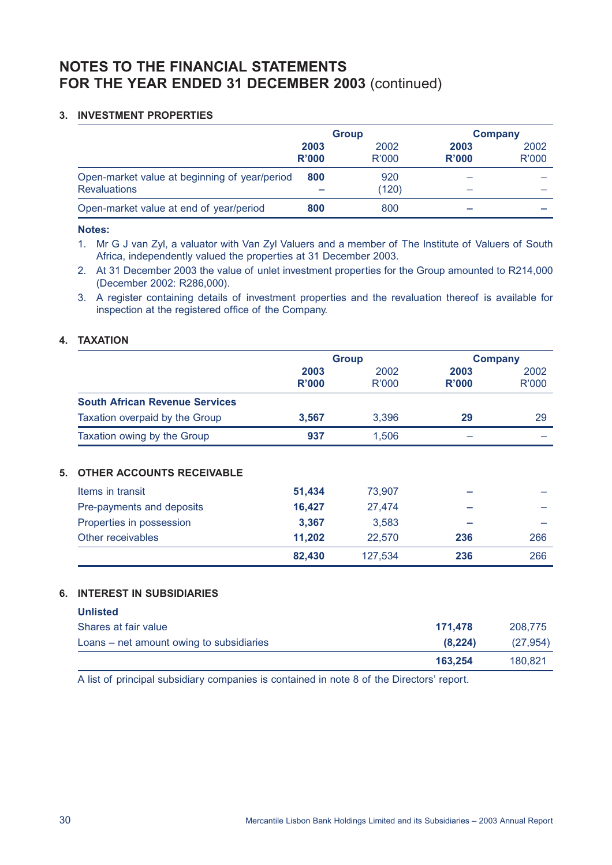## **3. INVESTMENT PROPERTIES**

|                                               | <b>Group</b> |       |       | <b>Company</b> |  |
|-----------------------------------------------|--------------|-------|-------|----------------|--|
|                                               | 2003         | 2002  | 2003  | 2002           |  |
|                                               | R'000        | R'000 | R'000 | <b>R'000</b>   |  |
| Open-market value at beginning of year/period | 800          | 920   |       |                |  |
| <b>Revaluations</b>                           |              | (120) |       |                |  |
| Open-market value at end of year/period       | 800          | 800   |       |                |  |

#### **Notes:**

1. Mr G J van Zyl, a valuator with Van Zyl Valuers and a member of The Institute of Valuers of South Africa, independently valued the properties at 31 December 2003.

- 2. At 31 December 2003 the value of unlet investment properties for the Group amounted to R214,000 (December 2002: R286,000).
- 3. A register containing details of investment properties and the revaluation thereof is available for inspection at the registered office of the Company.

## **4. TAXATION**

|                                        | <b>Group</b> |         | <b>Company</b> |              |
|----------------------------------------|--------------|---------|----------------|--------------|
|                                        | 2003         | 2002    | 2003           | 2002         |
|                                        | R'000        | R'000   | R'000          | <b>R'000</b> |
| <b>South African Revenue Services</b>  |              |         |                |              |
| Taxation overpaid by the Group         | 3,567        | 3,396   | 29             | 29           |
| Taxation owing by the Group            | 937          | 1.506   |                |              |
| Items in transit                       | 51,434       | 73,907  |                |              |
| 5.<br><b>OTHER ACCOUNTS RECEIVABLE</b> |              |         |                |              |
| Pre-payments and deposits              | 16,427       | 27,474  |                |              |
| Properties in possession               | 3,367        | 3,583   |                |              |
| Other receivables                      | 11,202       | 22,570  | 236            | 266          |
|                                        | 82,430       | 127,534 | 236            | 266          |

## **6. INTEREST IN SUBSIDIARIES**

| <b>Unlisted</b>                          |         |          |
|------------------------------------------|---------|----------|
| Shares at fair value                     | 171.478 | 208,775  |
| Loans – net amount owing to subsidiaries | (8.224) | (27.954) |
|                                          | 163,254 | 180.821  |

A list of principal subsidiary companies is contained in note 8 of the Directors' report.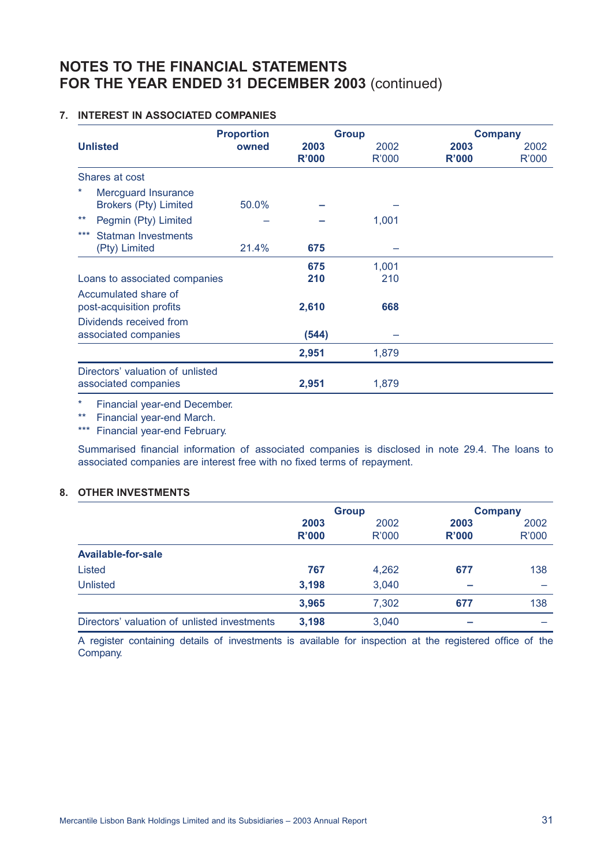## **7. INTEREST IN ASSOCIATED COMPANIES**

| <b>Unlisted</b> |                                                          | <b>Proportion</b> | <b>Group</b>  |                      | <b>Company</b> |                      |  |
|-----------------|----------------------------------------------------------|-------------------|---------------|----------------------|----------------|----------------------|--|
|                 |                                                          | owned             | 2003<br>R'000 | 2002<br><b>R'000</b> | 2003<br>R'000  | 2002<br><b>R'000</b> |  |
|                 | Shares at cost                                           |                   |               |                      |                |                      |  |
| *               | Mercguard Insurance<br><b>Brokers (Pty) Limited</b>      | 50.0%             |               |                      |                |                      |  |
| $***$           | Pegmin (Pty) Limited                                     |                   |               | 1,001                |                |                      |  |
| ***             | Statman Investments<br>(Pty) Limited                     | 21.4%             | 675           |                      |                |                      |  |
|                 |                                                          |                   | 675           | 1,001                |                |                      |  |
|                 | Loans to associated companies                            |                   | 210           | 210                  |                |                      |  |
|                 | Accumulated share of<br>post-acquisition profits         |                   | 2,610         | 668                  |                |                      |  |
|                 | Dividends received from<br>associated companies          |                   | (544)         |                      |                |                      |  |
|                 |                                                          |                   | 2,951         | 1,879                |                |                      |  |
|                 | Directors' valuation of unlisted<br>associated companies |                   | 2,951         | 1,879                |                |                      |  |

\* Financial year-end December.

\*\* Financial year-end March.

\*\*\* Financial year-end February.

Summarised financial information of associated companies is disclosed in note 29.4. The loans to associated companies are interest free with no fixed terms of repayment.

## **8. OTHER INVESTMENTS**

|                                              |              | <b>Group</b> | <b>Company</b> |       |
|----------------------------------------------|--------------|--------------|----------------|-------|
|                                              | 2003         | 2002         | 2003           | 2002  |
|                                              | <b>R'000</b> | R'000        | <b>R'000</b>   | R'000 |
| Available-for-sale                           |              |              |                |       |
| Listed                                       | 767          | 4,262        | 677            | 138   |
| <b>Unlisted</b>                              | 3,198        | 3,040        |                |       |
|                                              | 3,965        | 7,302        | 677            | 138   |
| Directors' valuation of unlisted investments | 3,198        | 3,040        |                |       |

A register containing details of investments is available for inspection at the registered office of the Company.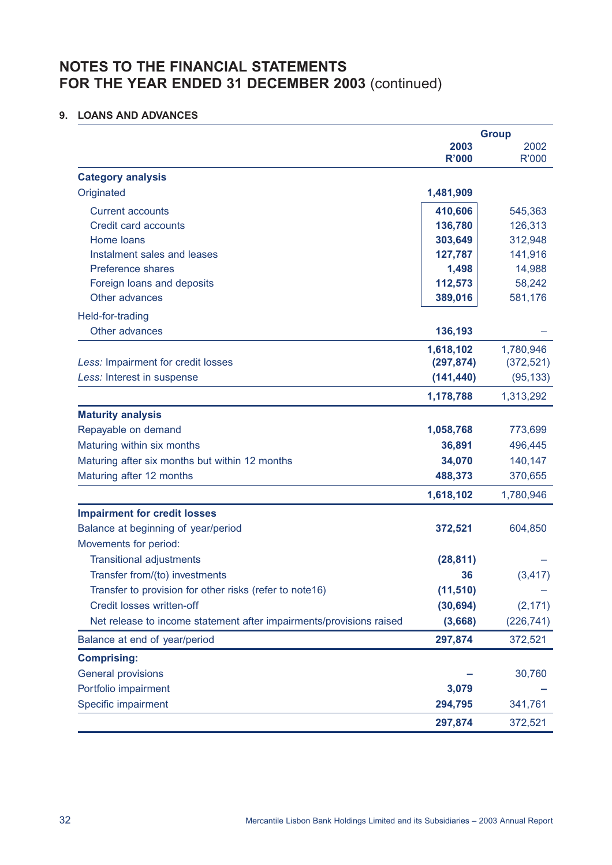## **9. LOANS AND ADVANCES**

|                                                                     |                      | <b>Group</b>  |
|---------------------------------------------------------------------|----------------------|---------------|
|                                                                     | 2003<br><b>R'000</b> | 2002<br>R'000 |
| <b>Category analysis</b>                                            |                      |               |
| Originated                                                          | 1,481,909            |               |
| <b>Current accounts</b>                                             | 410,606              | 545,363       |
| Credit card accounts                                                | 136,780              | 126,313       |
| Home loans                                                          | 303,649              | 312,948       |
| Instalment sales and leases                                         | 127,787              | 141,916       |
| <b>Preference shares</b>                                            | 1,498                | 14,988        |
| Foreign loans and deposits                                          | 112,573              | 58,242        |
| Other advances                                                      | 389,016              | 581,176       |
| Held-for-trading                                                    |                      |               |
| Other advances                                                      | 136,193              |               |
|                                                                     | 1,618,102            | 1,780,946     |
| Less: Impairment for credit losses                                  | (297, 874)           | (372, 521)    |
| Less: Interest in suspense                                          | (141, 440)           | (95, 133)     |
|                                                                     | 1,178,788            | 1,313,292     |
| <b>Maturity analysis</b>                                            |                      |               |
| Repayable on demand                                                 | 1,058,768            | 773,699       |
| Maturing within six months                                          | 36,891               | 496,445       |
| Maturing after six months but within 12 months                      | 34,070               | 140,147       |
| Maturing after 12 months                                            | 488,373              | 370,655       |
|                                                                     | 1,618,102            | 1,780,946     |
| <b>Impairment for credit losses</b>                                 |                      |               |
| Balance at beginning of year/period                                 | 372,521              | 604,850       |
| Movements for period:                                               |                      |               |
| <b>Transitional adjustments</b>                                     | (28, 811)            |               |
| Transfer from/(to) investments                                      | 36                   | (3, 417)      |
| Transfer to provision for other risks (refer to note16)             | (11, 510)            |               |
| Credit losses written-off                                           | (30, 694)            | (2, 171)      |
| Net release to income statement after impairments/provisions raised | (3,668)              | (226, 741)    |
| Balance at end of year/period                                       | 297,874              | 372,521       |
| <b>Comprising:</b>                                                  |                      |               |
| <b>General provisions</b>                                           |                      | 30,760        |
| Portfolio impairment                                                | 3,079                |               |
| Specific impairment                                                 | 294,795              | 341,761       |
|                                                                     | 297,874              | 372,521       |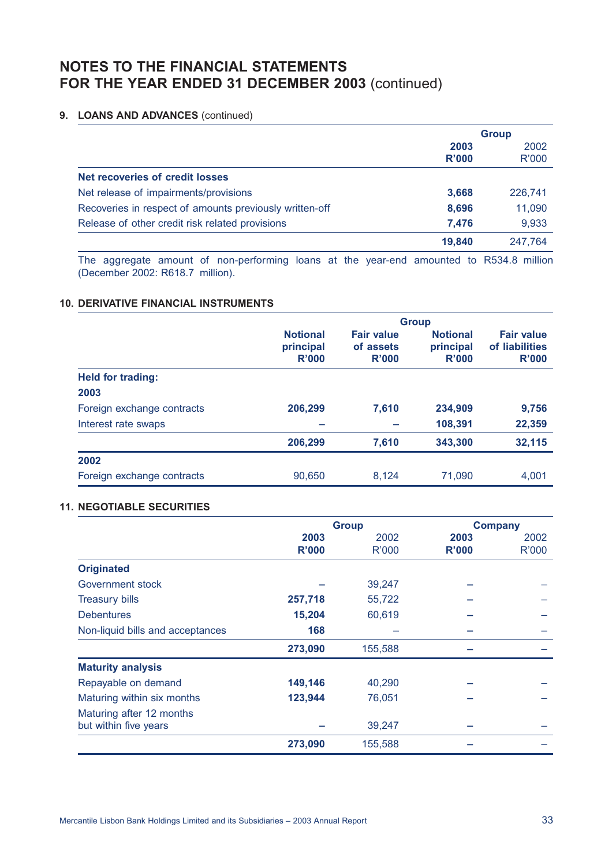### **9. LOANS AND ADVANCES** (continued)

|                                                         |        | <b>Group</b> |
|---------------------------------------------------------|--------|--------------|
|                                                         | 2003   | 2002         |
|                                                         | R'000  | R'000        |
| Net recoveries of credit losses                         |        |              |
| Net release of impairments/provisions                   | 3,668  | 226,741      |
| Recoveries in respect of amounts previously written-off | 8,696  | 11,090       |
| Release of other credit risk related provisions         | 7,476  | 9,933        |
|                                                         | 19,840 | 247.764      |
|                                                         |        |              |

The aggregate amount of non-performing loans at the year-end amounted to R534.8 million (December 2002: R618.7 million).

### **10. DERIVATIVE FINANCIAL INSTRUMENTS**

|                            | <b>Group</b>                          |                                         |                                       |                                              |  |
|----------------------------|---------------------------------------|-----------------------------------------|---------------------------------------|----------------------------------------------|--|
|                            | <b>Notional</b><br>principal<br>R'000 | <b>Fair value</b><br>of assets<br>R'000 | <b>Notional</b><br>principal<br>R'000 | <b>Fair value</b><br>of liabilities<br>R'000 |  |
| <b>Held for trading:</b>   |                                       |                                         |                                       |                                              |  |
| 2003                       |                                       |                                         |                                       |                                              |  |
| Foreign exchange contracts | 206,299                               | 7,610                                   | 234,909                               | 9,756                                        |  |
| Interest rate swaps        |                                       |                                         | 108,391                               | 22,359                                       |  |
|                            | 206,299                               | 7,610                                   | 343,300                               | 32,115                                       |  |
| 2002                       |                                       |                                         |                                       |                                              |  |
| Foreign exchange contracts | 90,650                                | 8,124                                   | 71,090                                | 4,001                                        |  |

### **11. NEGOTIABLE SECURITIES**

|                                  | <b>Group</b> |         | <b>Company</b> |              |
|----------------------------------|--------------|---------|----------------|--------------|
|                                  | 2003         | 2002    | 2003           | 2002         |
|                                  | <b>R'000</b> | R'000   | <b>R'000</b>   | <b>R'000</b> |
| <b>Originated</b>                |              |         |                |              |
| Government stock                 |              | 39,247  |                |              |
| <b>Treasury bills</b>            | 257,718      | 55,722  |                |              |
| <b>Debentures</b>                | 15,204       | 60,619  |                |              |
| Non-liquid bills and acceptances | 168          |         |                |              |
|                                  | 273,090      | 155,588 |                |              |
| <b>Maturity analysis</b>         |              |         |                |              |
| Repayable on demand              | 149,146      | 40,290  |                |              |
| Maturing within six months       | 123,944      | 76,051  |                |              |
| Maturing after 12 months         |              |         |                |              |
| but within five years            |              | 39,247  |                |              |
|                                  | 273,090      | 155,588 |                |              |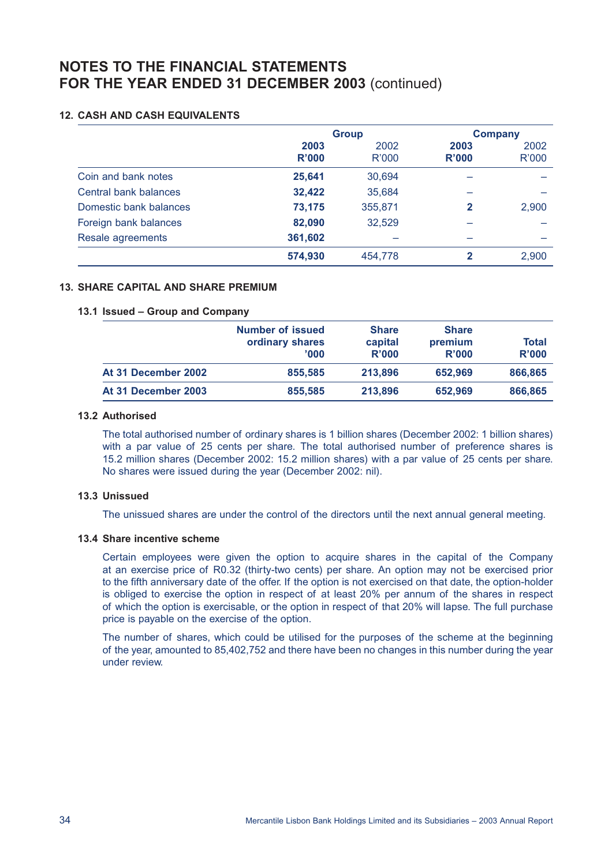### **12. CASH AND CASH EQUIVALENTS**

|                        | <b>Group</b>  |                      |               | <b>Company</b> |
|------------------------|---------------|----------------------|---------------|----------------|
|                        | 2003<br>R'000 | 2002<br><b>R'000</b> | 2003<br>R'000 | 2002<br>R'000  |
| Coin and bank notes    | 25,641        | 30.694               |               |                |
| Central bank balances  | 32,422        | 35,684               |               |                |
| Domestic bank balances | 73,175        | 355,871              | 2             | 2,900          |
| Foreign bank balances  | 82,090        | 32,529               |               |                |
| Resale agreements      | 361,602       |                      |               |                |
|                        | 574,930       | 454,778              | 2             | 2,900          |

### **13. SHARE CAPITAL AND SHARE PREMIUM**

### **13.1 Issued – Group and Company**

|                     | <b>Number of issued</b><br>ordinary shares<br>'000' | <b>Share</b><br>capital<br>R'000 | <b>Share</b><br>premium<br>R'000 | Total<br>R'000 |
|---------------------|-----------------------------------------------------|----------------------------------|----------------------------------|----------------|
| At 31 December 2002 | 855,585                                             | 213,896                          | 652.969                          | 866,865        |
| At 31 December 2003 | 855,585                                             | 213,896                          | 652,969                          | 866,865        |

#### **13.2 Authorised**

The total authorised number of ordinary shares is 1 billion shares (December 2002: 1 billion shares) with a par value of 25 cents per share. The total authorised number of preference shares is 15.2 million shares (December 2002: 15.2 million shares) with a par value of 25 cents per share. No shares were issued during the year (December 2002: nil).

#### **13.3 Unissued**

The unissued shares are under the control of the directors until the next annual general meeting.

# **13.4 Share incentive scheme**

Certain employees were given the option to acquire shares in the capital of the Company at an exercise price of R0.32 (thirty-two cents) per share. An option may not be exercised prior to the fifth anniversary date of the offer. If the option is not exercised on that date, the option-holder is obliged to exercise the option in respect of at least 20% per annum of the shares in respect of which the option is exercisable, or the option in respect of that 20% will lapse. The full purchase price is payable on the exercise of the option.

The number of shares, which could be utilised for the purposes of the scheme at the beginning of the year, amounted to 85,402,752 and there have been no changes in this number during the year under review.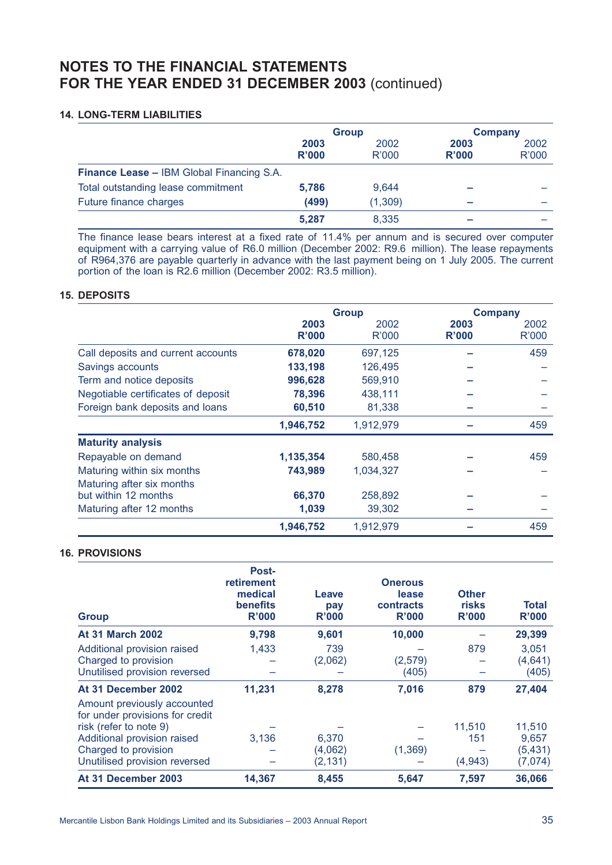#### **14. LONG-TERM LIABILITIES**

|                                           | <b>Group</b>  |               | <b>Company</b>       |                      |
|-------------------------------------------|---------------|---------------|----------------------|----------------------|
|                                           | 2003<br>R'000 | 2002<br>R'000 | 2003<br><b>R'000</b> | 2002<br><b>R'000</b> |
| Finance Lease - IBM Global Financing S.A. |               |               |                      |                      |
| Total outstanding lease commitment        | 5.786         | 9,644         |                      |                      |
| Future finance charges                    | (499)         | (1, 309)      |                      |                      |
|                                           | 5,287         | 8,335         |                      |                      |

The finance lease bears interest at a fixed rate of 11.4% per annum and is secured over computer equipment with a carrying value of R6.0 million (December 2002: R9.6 million). The lease repayments of R964,376 are payable quarterly in advance with the last payment being on 1 July 2005. The current portion of the loan is R2.6 million (December 2002: R3.5 million).

#### **15. DEPOSITS**

|                                    | <b>Group</b>  |               | <b>Company</b> |                      |
|------------------------------------|---------------|---------------|----------------|----------------------|
|                                    | 2003<br>R'000 | 2002<br>R'000 | 2003<br>R'000  | 2002<br><b>R'000</b> |
| Call deposits and current accounts | 678,020       | 697,125       |                | 459                  |
| Savings accounts                   | 133,198       | 126,495       |                |                      |
| Term and notice deposits           | 996,628       | 569,910       |                |                      |
| Negotiable certificates of deposit | 78,396        | 438,111       |                |                      |
| Foreign bank deposits and loans    | 60,510        | 81,338        |                |                      |
|                                    | 1,946,752     | 1,912,979     |                | 459                  |
| <b>Maturity analysis</b>           |               |               |                |                      |
| Repayable on demand                | 1,135,354     | 580,458       |                | 459                  |
| Maturing within six months         | 743,989       | 1,034,327     |                |                      |
| Maturing after six months          |               |               |                |                      |
| but within 12 months               | 66,370        | 258,892       |                |                      |
| Maturing after 12 months           | 1,039         | 39,302        |                |                      |
|                                    | 1,946,752     | 1,912,979     |                | 459                  |

### **16. PROVISIONS**

| <b>Group</b>                                                                                                                                                                     | Post-<br>retirement<br>medical<br><b>benefits</b><br>R'000 | Leave<br>pay<br>R'000        | <b>Onerous</b><br>lease<br>contracts<br>R'000 | <b>Other</b><br>risks<br>R'000 | <b>Total</b><br><b>R'000</b>           |
|----------------------------------------------------------------------------------------------------------------------------------------------------------------------------------|------------------------------------------------------------|------------------------------|-----------------------------------------------|--------------------------------|----------------------------------------|
| <b>At 31 March 2002</b>                                                                                                                                                          | 9,798                                                      | 9,601                        | 10,000                                        |                                | 29,399                                 |
| Additional provision raised<br>Charged to provision<br>Unutilised provision reversed                                                                                             | 1,433                                                      | 739<br>(2,062)               | (2,579)<br>(405)                              | 879                            | 3,051<br>(4,641)<br>(405)              |
| At 31 December 2002                                                                                                                                                              | 11,231                                                     | 8,278                        | 7,016                                         | 879                            | 27,404                                 |
| Amount previously accounted<br>for under provisions for credit<br>risk (refer to note 9)<br>Additional provision raised<br>Charged to provision<br>Unutilised provision reversed | 3,136                                                      | 6,370<br>(4,062)<br>(2, 131) | (1, 369)                                      | 11,510<br>151<br>(4, 943)      | 11,510<br>9,657<br>(5, 431)<br>(7,074) |
| At 31 December 2003                                                                                                                                                              | 14,367                                                     | 8,455                        | 5,647                                         | 7,597                          | 36,066                                 |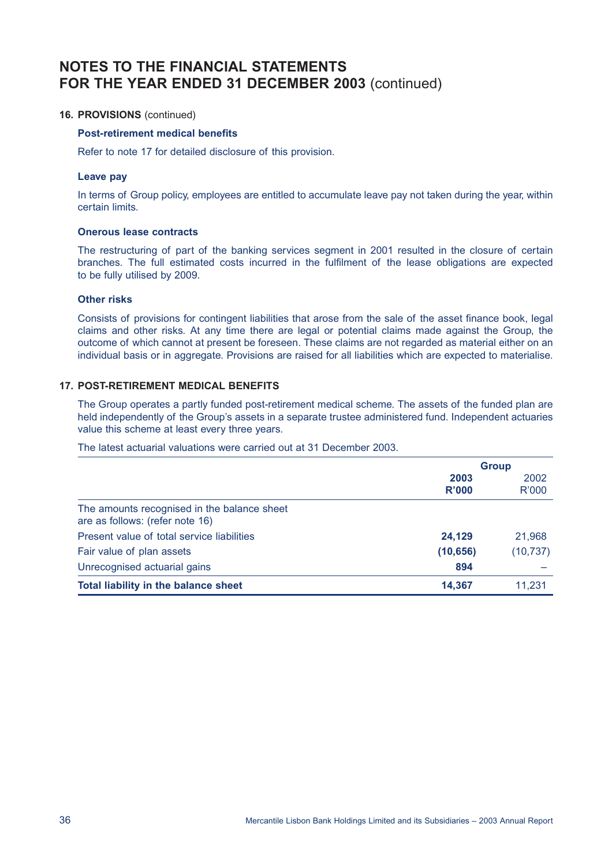### **16. PROVISIONS** (continued)

### **Post-retirement medical benefits**

Refer to note 17 for detailed disclosure of this provision.

#### **Leave pay**

In terms of Group policy, employees are entitled to accumulate leave pay not taken during the year, within certain limits.

#### **Onerous lease contracts**

The restructuring of part of the banking services segment in 2001 resulted in the closure of certain branches. The full estimated costs incurred in the fulfilment of the lease obligations are expected to be fully utilised by 2009.

#### **Other risks**

Consists of provisions for contingent liabilities that arose from the sale of the asset finance book, legal claims and other risks. At any time there are legal or potential claims made against the Group, the outcome of which cannot at present be foreseen. These claims are not regarded as material either on an individual basis or in aggregate. Provisions are raised for all liabilities which are expected to materialise.

#### **17. POST-RETIREMENT MEDICAL BENEFITS**

The Group operates a partly funded post-retirement medical scheme. The assets of the funded plan are held independently of the Group's assets in a separate trustee administered fund. Independent actuaries value this scheme at least every three years.

### The latest actuarial valuations were carried out at 31 December 2003.

|                                                                                | <b>Group</b> |              |
|--------------------------------------------------------------------------------|--------------|--------------|
|                                                                                | 2003         | 2002         |
|                                                                                | R'000        | <b>R'000</b> |
| The amounts recognised in the balance sheet<br>are as follows: (refer note 16) |              |              |
| Present value of total service liabilities                                     | 24,129       | 21,968       |
| Fair value of plan assets                                                      | (10, 656)    | (10, 737)    |
| Unrecognised actuarial gains                                                   | 894          |              |
| Total liability in the balance sheet                                           | 14,367       | 11,231       |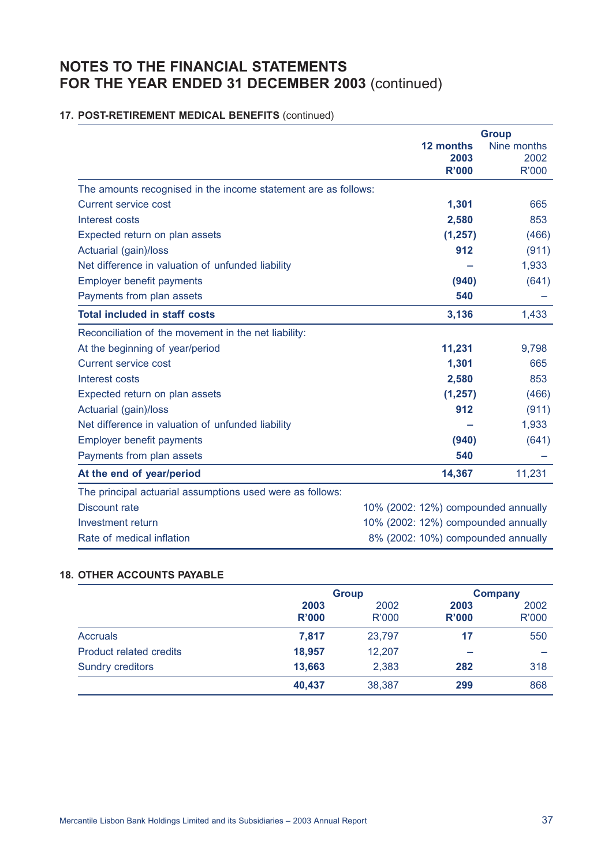# **17. POST-RETIREMENT MEDICAL BENEFITS** (continued)

|                                                                |                                     | <b>Group</b> |
|----------------------------------------------------------------|-------------------------------------|--------------|
|                                                                | 12 months                           | Nine months  |
|                                                                | 2003                                | 2002         |
|                                                                | <b>R'000</b>                        | <b>R'000</b> |
| The amounts recognised in the income statement are as follows: |                                     |              |
| <b>Current service cost</b>                                    | 1,301                               | 665          |
| Interest costs                                                 | 2,580                               | 853          |
| Expected return on plan assets                                 | (1, 257)                            | (466)        |
| Actuarial (gain)/loss                                          | 912                                 | (911)        |
| Net difference in valuation of unfunded liability              |                                     | 1,933        |
| Employer benefit payments                                      | (940)                               | (641)        |
| Payments from plan assets                                      | 540                                 |              |
| <b>Total included in staff costs</b>                           | 3,136                               | 1,433        |
| Reconciliation of the movement in the net liability:           |                                     |              |
| At the beginning of year/period                                | 11,231                              | 9,798        |
| <b>Current service cost</b>                                    | 1,301                               | 665          |
| Interest costs                                                 | 2,580                               | 853          |
| Expected return on plan assets                                 | (1, 257)                            | (466)        |
| Actuarial (gain)/loss                                          | 912                                 | (911)        |
| Net difference in valuation of unfunded liability              |                                     | 1,933        |
| <b>Employer benefit payments</b>                               | (940)                               | (641)        |
| Payments from plan assets                                      | 540                                 |              |
| At the end of year/period                                      | 14,367                              | 11,231       |
| The principal actuarial assumptions used were as follows:      |                                     |              |
| <b>Discount rate</b>                                           | 10% (2002: 12%) compounded annually |              |
| Investment return                                              | 10% (2002: 12%) compounded annually |              |
| Rate of medical inflation                                      | 8% (2002: 10%) compounded annually  |              |

# **18. OTHER ACCOUNTS PAYABLE**

|                                | <b>Group</b> |        |              | <b>Company</b> |
|--------------------------------|--------------|--------|--------------|----------------|
|                                | 2003         | 2002   | 2003         | 2002           |
|                                | <b>R'000</b> | R'000  | <b>R'000</b> | <b>R'000</b>   |
| <b>Accruals</b>                | 7,817        | 23,797 | 17           | 550            |
| <b>Product related credits</b> | 18,957       | 12,207 |              |                |
| <b>Sundry creditors</b>        | 13,663       | 2,383  | 282          | 318            |
|                                | 40,437       | 38,387 | 299          | 868            |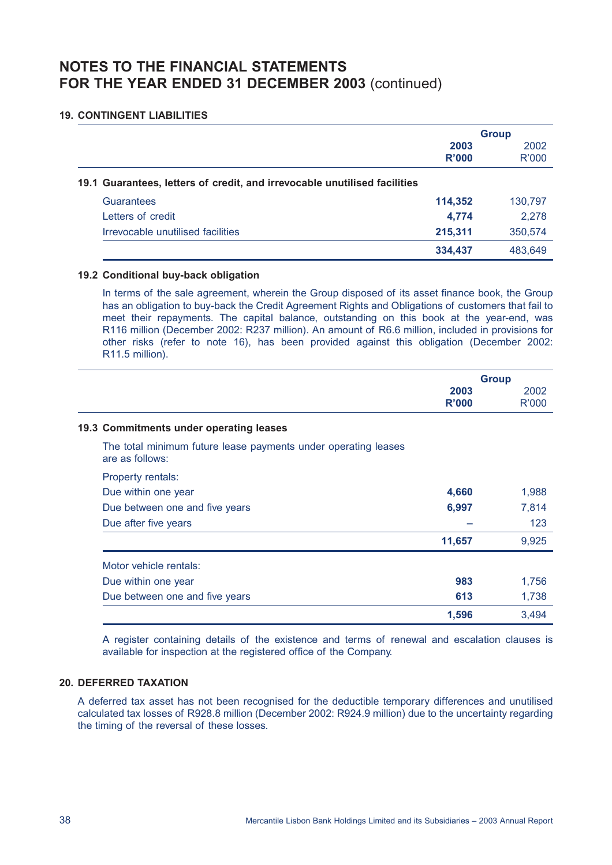### **19. CONTINGENT LIABILITIES**

|                                                                           | <b>Group</b> |         |
|---------------------------------------------------------------------------|--------------|---------|
|                                                                           | 2003         | 2002    |
|                                                                           | R'000        | R'000   |
| 19.1 Guarantees, letters of credit, and irrevocable unutilised facilities |              |         |
| Guarantees                                                                | 114,352      | 130,797 |
| Letters of credit                                                         | 4,774        | 2,278   |
| Irrevocable unutilised facilities                                         | 215,311      | 350,574 |
|                                                                           | 334,437      | 483.649 |

### **19.2 Conditional buy-back obligation**

In terms of the sale agreement, wherein the Group disposed of its asset finance book, the Group has an obligation to buy-back the Credit Agreement Rights and Obligations of customers that fail to meet their repayments. The capital balance, outstanding on this book at the year-end, was R116 million (December 2002: R237 million). An amount of R6.6 million, included in provisions for other risks (refer to note 16), has been provided against this obligation (December 2002: R11.5 million).

|                                                                                   | <b>Group</b>  |               |
|-----------------------------------------------------------------------------------|---------------|---------------|
|                                                                                   | 2003<br>R'000 | 2002<br>R'000 |
| 19.3 Commitments under operating leases                                           |               |               |
| The total minimum future lease payments under operating leases<br>are as follows: |               |               |
| <b>Property rentals:</b>                                                          |               |               |
| Due within one year                                                               | 4,660         | 1,988         |
| Due between one and five years                                                    | 6,997         | 7,814         |
| Due after five years                                                              |               | 123           |
|                                                                                   | 11,657        | 9,925         |
| Motor vehicle rentals:                                                            |               |               |
| Due within one year                                                               | 983           | 1,756         |
| Due between one and five years                                                    | 613           | 1,738         |
|                                                                                   | 1,596         | 3,494         |

A register containing details of the existence and terms of renewal and escalation clauses is available for inspection at the registered office of the Company.

# **20. DEFERRED TAXATION**

A deferred tax asset has not been recognised for the deductible temporary differences and unutilised calculated tax losses of R928.8 million (December 2002: R924.9 million) due to the uncertainty regarding the timing of the reversal of these losses.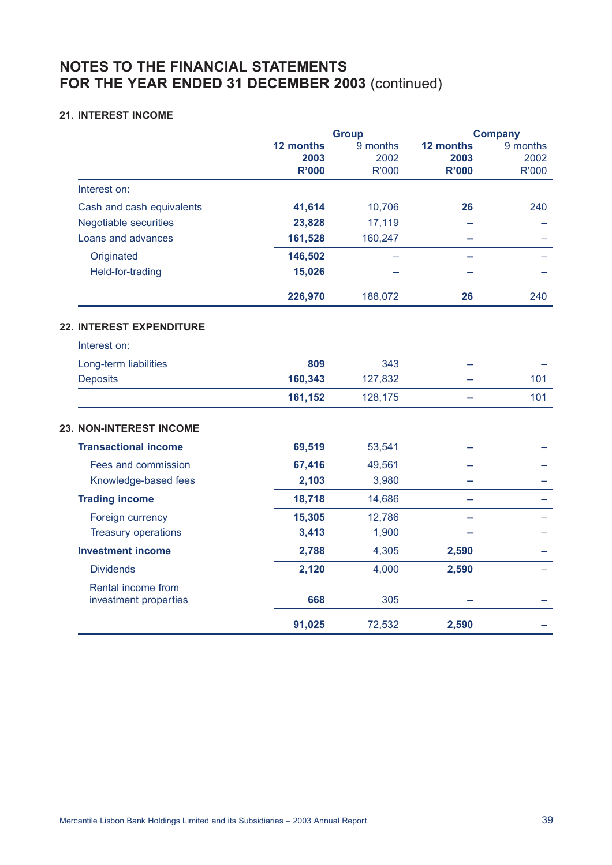### **21. INTEREST INCOME**

|                                             |                                   | <b>Group</b>                     |                                   | <b>Company</b>                   |
|---------------------------------------------|-----------------------------------|----------------------------------|-----------------------------------|----------------------------------|
|                                             | 12 months<br>2003<br><b>R'000</b> | 9 months<br>2002<br><b>R'000</b> | 12 months<br>2003<br><b>R'000</b> | 9 months<br>2002<br><b>R'000</b> |
| Interest on:                                |                                   |                                  |                                   |                                  |
| Cash and cash equivalents                   | 41,614                            | 10,706                           | 26                                | 240                              |
| <b>Negotiable securities</b>                | 23,828                            | 17,119                           |                                   |                                  |
| Loans and advances                          | 161,528                           | 160,247                          |                                   |                                  |
| Originated                                  | 146,502                           |                                  |                                   |                                  |
| Held-for-trading                            | 15,026                            |                                  |                                   |                                  |
|                                             | 226,970                           | 188,072                          | 26                                | 240                              |
| 22. INTEREST EXPENDITURE                    |                                   |                                  |                                   |                                  |
| Interest on:                                |                                   |                                  |                                   |                                  |
| Long-term liabilities                       | 809                               | 343                              |                                   |                                  |
| <b>Deposits</b>                             | 160,343                           | 127,832                          |                                   | 101                              |
|                                             | 161,152                           | 128,175                          |                                   | 101                              |
| 23. NON-INTEREST INCOME                     |                                   |                                  |                                   |                                  |
| <b>Transactional income</b>                 | 69,519                            | 53,541                           |                                   |                                  |
| Fees and commission                         | 67,416                            | 49,561                           |                                   |                                  |
| Knowledge-based fees                        | 2,103                             | 3,980                            |                                   |                                  |
| <b>Trading income</b>                       | 18,718                            | 14,686                           |                                   |                                  |
| Foreign currency                            | 15,305                            | 12,786                           |                                   |                                  |
| <b>Treasury operations</b>                  | 3,413                             | 1,900                            |                                   |                                  |
| <b>Investment income</b>                    | 2,788                             | 4,305                            | 2,590                             |                                  |
| <b>Dividends</b>                            | 2,120                             | 4,000                            | 2,590                             |                                  |
| Rental income from<br>investment properties | 668                               | 305                              |                                   |                                  |
|                                             | 91,025                            | 72,532                           | 2,590                             |                                  |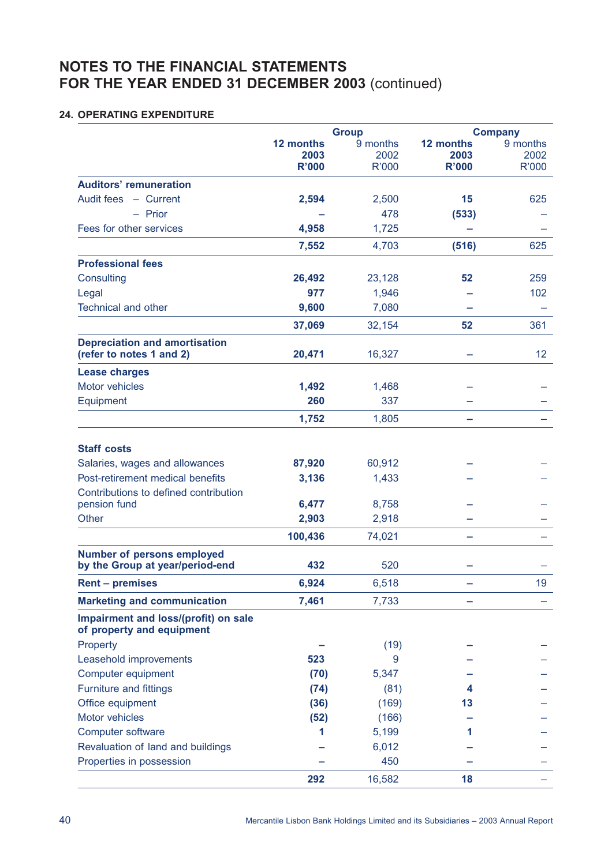# **24. OPERATING EXPENDITURE**

|                                                                      |                                   | <b>Group</b>              |                                   | <b>Company</b>            |
|----------------------------------------------------------------------|-----------------------------------|---------------------------|-----------------------------------|---------------------------|
|                                                                      | 12 months<br>2003<br><b>R'000</b> | 9 months<br>2002<br>R'000 | 12 months<br>2003<br><b>R'000</b> | 9 months<br>2002<br>R'000 |
| <b>Auditors' remuneration</b>                                        |                                   |                           |                                   |                           |
| Audit fees - Current                                                 | 2,594                             | 2,500                     | 15                                | 625                       |
| $-$ Prior                                                            |                                   | 478                       | (533)                             |                           |
| Fees for other services                                              | 4,958                             | 1,725                     |                                   |                           |
|                                                                      | 7,552                             | 4,703                     | (516)                             | 625                       |
| <b>Professional fees</b>                                             |                                   |                           |                                   |                           |
| Consulting                                                           | 26,492                            | 23,128                    | 52                                | 259                       |
| Legal                                                                | 977                               | 1,946                     |                                   | 102                       |
| <b>Technical and other</b>                                           | 9,600                             | 7,080                     |                                   |                           |
|                                                                      | 37,069                            | 32,154                    | 52                                | 361                       |
| <b>Depreciation and amortisation</b><br>(refer to notes 1 and 2)     | 20,471                            | 16,327                    |                                   | 12                        |
| <b>Lease charges</b>                                                 |                                   |                           |                                   |                           |
| <b>Motor vehicles</b>                                                | 1,492                             | 1,468                     |                                   |                           |
| Equipment                                                            | 260                               | 337                       |                                   |                           |
|                                                                      | 1,752                             | 1,805                     |                                   |                           |
| <b>Staff costs</b>                                                   |                                   |                           |                                   |                           |
| Salaries, wages and allowances                                       | 87,920                            | 60,912                    |                                   |                           |
| Post-retirement medical benefits                                     | 3,136                             | 1,433                     |                                   |                           |
| Contributions to defined contribution<br>pension fund                | 6,477                             | 8,758                     |                                   |                           |
| <b>Other</b>                                                         | 2,903                             | 2,918                     |                                   |                           |
|                                                                      |                                   |                           |                                   |                           |
|                                                                      | 100,436                           | 74,021                    |                                   |                           |
| <b>Number of persons employed</b><br>by the Group at year/period-end | 432                               | 520                       |                                   |                           |
| <b>Rent - premises</b>                                               | 6,924                             | 6,518                     |                                   | 19                        |
| <b>Marketing and communication</b>                                   | 7,461                             | 7,733                     |                                   |                           |
| Impairment and loss/(profit) on sale<br>of property and equipment    |                                   |                           |                                   |                           |
| Property                                                             |                                   | (19)                      |                                   |                           |
| Leasehold improvements                                               | 523                               | 9                         |                                   |                           |
| Computer equipment                                                   | (70)                              | 5,347                     |                                   |                           |
| <b>Furniture and fittings</b>                                        | (74)                              | (81)                      | 4                                 |                           |
| Office equipment                                                     | (36)                              | (169)                     | 13                                |                           |
| Motor vehicles                                                       | (52)                              | (166)                     |                                   |                           |
| Computer software                                                    | 1                                 | 5,199                     | 1                                 |                           |
| Revaluation of land and buildings                                    |                                   | 6,012                     |                                   |                           |
| Properties in possession                                             |                                   | 450                       |                                   |                           |
|                                                                      | 292                               | 16,582                    | 18                                |                           |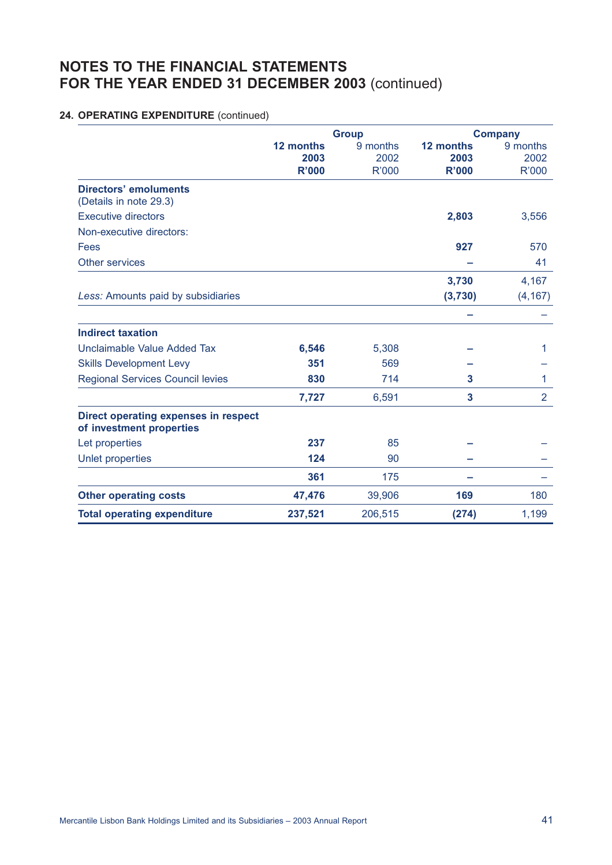# **24. OPERATING EXPENDITURE** (continued)

|                                                                  |           | <b>Group</b> | <b>Company</b> |                |  |
|------------------------------------------------------------------|-----------|--------------|----------------|----------------|--|
|                                                                  | 12 months | 9 months     | 12 months      | 9 months       |  |
|                                                                  | 2003      | 2002         | 2003           | 2002           |  |
|                                                                  | R'000     | R'000        | <b>R'000</b>   | R'000          |  |
| <b>Directors' emoluments</b><br>(Details in note 29.3)           |           |              |                |                |  |
| <b>Executive directors</b>                                       |           |              | 2,803          | 3,556          |  |
| Non-executive directors:                                         |           |              |                |                |  |
| Fees                                                             |           |              | 927            | 570            |  |
| <b>Other services</b>                                            |           |              |                | 41             |  |
|                                                                  |           |              | 3,730          | 4,167          |  |
| Less: Amounts paid by subsidiaries                               |           |              | (3,730)        | (4, 167)       |  |
|                                                                  |           |              |                |                |  |
| <b>Indirect taxation</b>                                         |           |              |                |                |  |
| Unclaimable Value Added Tax                                      | 6,546     | 5,308        |                | 1              |  |
| <b>Skills Development Levy</b>                                   | 351       | 569          |                |                |  |
| <b>Regional Services Council levies</b>                          | 830       | 714          | 3              | 1              |  |
|                                                                  | 7,727     | 6,591        | 3              | $\overline{2}$ |  |
| Direct operating expenses in respect<br>of investment properties |           |              |                |                |  |
| Let properties                                                   | 237       | 85           |                |                |  |
| Unlet properties                                                 | 124       | 90           |                |                |  |
|                                                                  | 361       | 175          |                |                |  |
| <b>Other operating costs</b>                                     | 47,476    | 39,906       | 169            | 180            |  |
| <b>Total operating expenditure</b>                               | 237,521   | 206,515      | (274)          | 1,199          |  |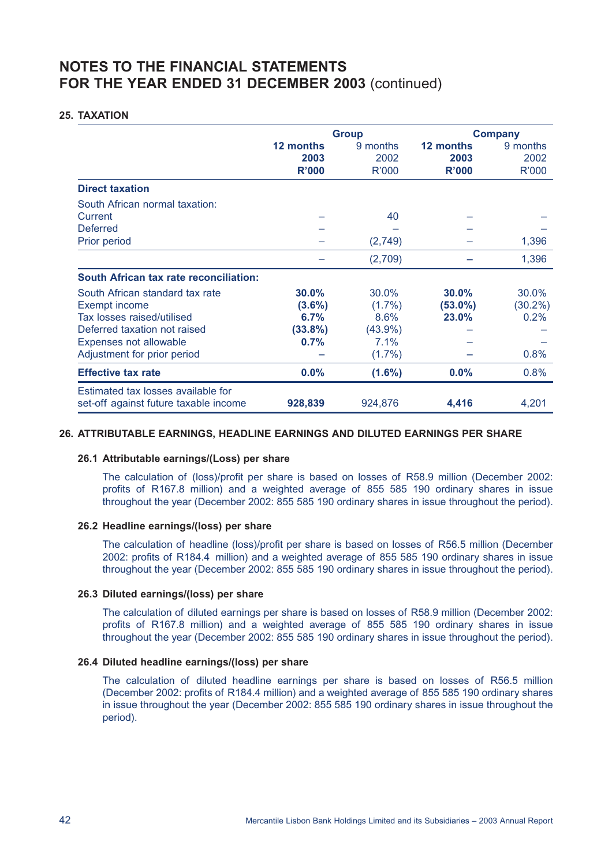### **25. TAXATION**

|                                                                             |                            | <b>Group</b>              | <b>Company</b>                    |                           |  |
|-----------------------------------------------------------------------------|----------------------------|---------------------------|-----------------------------------|---------------------------|--|
|                                                                             | 12 months<br>2003<br>R'000 | 9 months<br>2002<br>R'000 | 12 months<br>2003<br><b>R'000</b> | 9 months<br>2002<br>R'000 |  |
| <b>Direct taxation</b>                                                      |                            |                           |                                   |                           |  |
| South African normal taxation:                                              |                            |                           |                                   |                           |  |
| Current                                                                     |                            | 40                        |                                   |                           |  |
| <b>Deferred</b>                                                             |                            |                           |                                   |                           |  |
| Prior period                                                                |                            | (2,749)                   |                                   | 1,396                     |  |
|                                                                             |                            | (2,709)                   |                                   | 1,396                     |  |
| <b>South African tax rate reconciliation:</b>                               |                            |                           |                                   |                           |  |
| South African standard tax rate                                             | 30.0%                      | 30.0%                     | 30.0%                             | 30.0%                     |  |
| <b>Exempt income</b>                                                        | $(3.6\%)$                  | $(1.7\%)$                 | $(53.0\%)$                        | $(30.2\%)$                |  |
| Tax losses raised/utilised                                                  | 6.7%                       | 8.6%                      | 23.0%                             | 0.2%                      |  |
| Deferred taxation not raised                                                | (33.8%)                    | $(43.9\%)$                |                                   |                           |  |
| Expenses not allowable                                                      | 0.7%                       | 7.1%                      |                                   |                           |  |
| Adjustment for prior period                                                 |                            | $(1.7\%)$                 |                                   | 0.8%                      |  |
| <b>Effective tax rate</b>                                                   | 0.0%                       | $(1.6\%)$                 | 0.0%                              | 0.8%                      |  |
| Estimated tax losses available for<br>set-off against future taxable income | 928,839                    | 924,876                   | 4,416                             | 4,201                     |  |

### **26. ATTRIBUTABLE EARNINGS, HEADLINE EARNINGS AND DILUTED EARNINGS PER SHARE**

#### **26.1 Attributable earnings/(Loss) per share**

The calculation of (loss)/profit per share is based on losses of R58.9 million (December 2002: profits of R167.8 million) and a weighted average of 855 585 190 ordinary shares in issue throughout the year (December 2002: 855 585 190 ordinary shares in issue throughout the period).

#### **26.2 Headline earnings/(loss) per share**

The calculation of headline (loss)/profit per share is based on losses of R56.5 million (December 2002: profits of R184.4 million) and a weighted average of 855 585 190 ordinary shares in issue throughout the year (December 2002: 855 585 190 ordinary shares in issue throughout the period).

#### **26.3 Diluted earnings/(loss) per share**

The calculation of diluted earnings per share is based on losses of R58.9 million (December 2002: profits of R167.8 million) and a weighted average of 855 585 190 ordinary shares in issue throughout the year (December 2002: 855 585 190 ordinary shares in issue throughout the period).

#### **26.4 Diluted headline earnings/(loss) per share**

The calculation of diluted headline earnings per share is based on losses of R56.5 million (December 2002: profits of R184.4 million) and a weighted average of 855 585 190 ordinary shares in issue throughout the year (December 2002: 855 585 190 ordinary shares in issue throughout the period).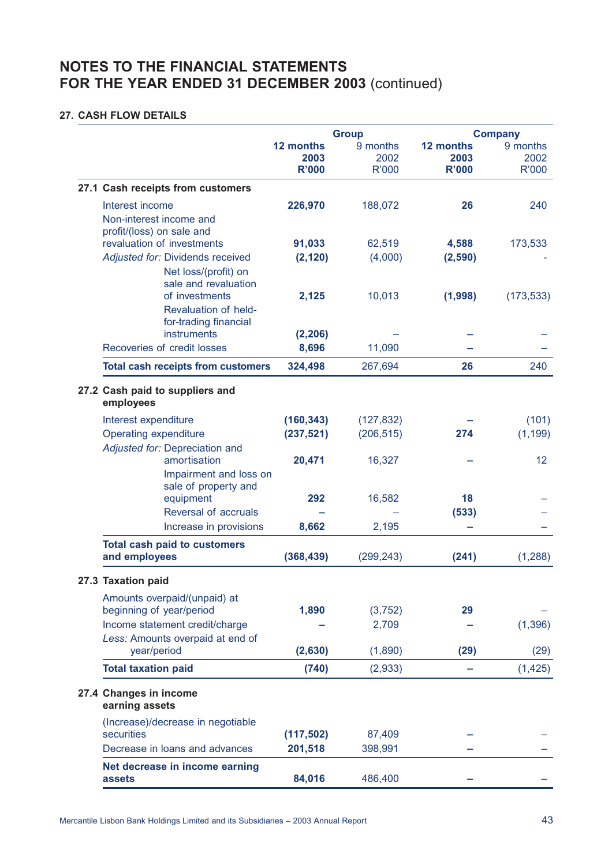### **27. CASH FLOW DETAILS**

|                                                                                         | <b>Group</b>                      |                           | <b>Company</b>                    |                           |  |
|-----------------------------------------------------------------------------------------|-----------------------------------|---------------------------|-----------------------------------|---------------------------|--|
|                                                                                         | 12 months<br>2003<br><b>R'000</b> | 9 months<br>2002<br>R'000 | 12 months<br>2003<br><b>R'000</b> | 9 months<br>2002<br>R'000 |  |
| 27.1 Cash receipts from customers                                                       |                                   |                           |                                   |                           |  |
| Interest income<br>Non-interest income and<br>profit/(loss) on sale and                 | 226,970                           | 188,072                   | 26                                | 240                       |  |
| revaluation of investments<br>Adjusted for: Dividends received<br>Net loss/(profit) on  | 91,033<br>(2, 120)                | 62,519<br>(4,000)         | 4,588<br>(2,590)                  | 173,533                   |  |
| sale and revaluation<br>of investments<br>Revaluation of held-<br>for-trading financial | 2,125                             | 10,013                    | (1,998)                           | (173, 533)                |  |
| instruments                                                                             | (2, 206)                          |                           |                                   |                           |  |
| Recoveries of credit losses                                                             | 8,696                             | 11,090                    |                                   |                           |  |
| <b>Total cash receipts from customers</b>                                               | 324,498                           | 267,694                   | 26                                | 240                       |  |
| 27.2 Cash paid to suppliers and<br>employees                                            |                                   |                           |                                   |                           |  |
| Interest expenditure                                                                    | (160, 343)                        | (127, 832)                |                                   | (101)                     |  |
| <b>Operating expenditure</b>                                                            | (237, 521)                        | (206, 515)                | 274                               | (1, 199)                  |  |
| Adjusted for: Depreciation and<br>amortisation<br>Impairment and loss on                | 20,471                            | 16,327                    |                                   | 12                        |  |
| sale of property and<br>equipment<br>Reversal of accruals                               | 292                               | 16,582                    | 18<br>(533)                       |                           |  |
| Increase in provisions                                                                  | 8,662                             | 2,195                     |                                   |                           |  |
| <b>Total cash paid to customers</b><br>and employees                                    | (368, 439)                        | (299, 243)                | (241)                             | (1, 288)                  |  |
| 27.3 Taxation paid                                                                      |                                   |                           |                                   |                           |  |
| Amounts overpaid/(unpaid) at<br>beginning of year/period                                | 1,890                             | (3, 752)                  | 29                                |                           |  |
| Income statement credit/charge<br>Less: Amounts overpaid at end of<br>year/period       | (2,630)                           | 2,709<br>(1,890)          | (29)                              | (1, 396)<br>(29)          |  |
| <b>Total taxation paid</b>                                                              | (740)                             | (2,933)                   |                                   | (1, 425)                  |  |
| 27.4 Changes in income<br>earning assets                                                |                                   |                           |                                   |                           |  |
| (Increase)/decrease in negotiable<br>securities                                         | (117, 502)                        | 87,409                    |                                   |                           |  |
| Decrease in loans and advances                                                          | 201,518                           | 398,991                   |                                   |                           |  |
| Net decrease in income earning<br>assets                                                | 84,016                            | 486,400                   |                                   |                           |  |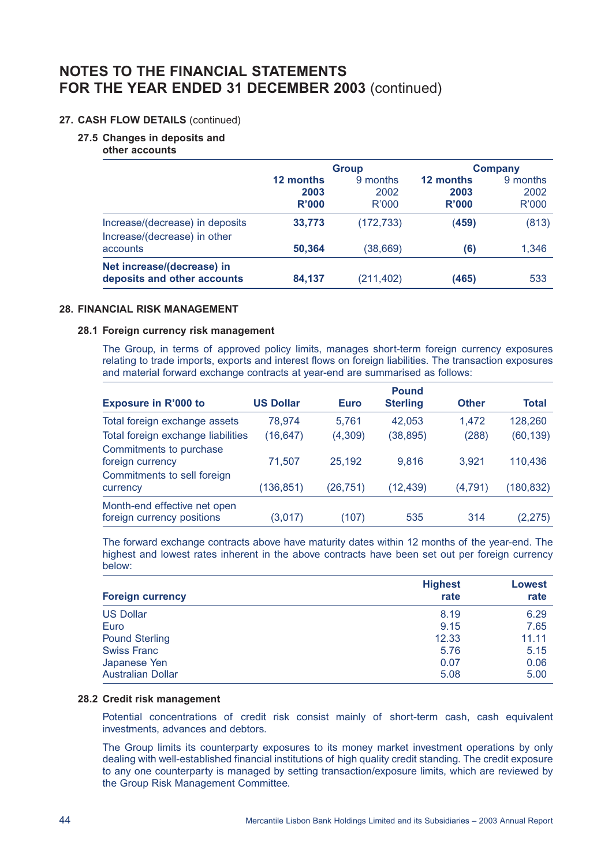### **27. CASH FLOW DETAILS** (continued)

#### **27.5 Changes in deposits and**

**other accounts**

|                                                                 |                                   | <b>Group</b>              | <b>Company</b>             |                                  |  |
|-----------------------------------------------------------------|-----------------------------------|---------------------------|----------------------------|----------------------------------|--|
|                                                                 | 12 months<br>2003<br><b>R'000</b> | 9 months<br>2002<br>R'000 | 12 months<br>2003<br>R'000 | 9 months<br>2002<br><b>R'000</b> |  |
| Increase/(decrease) in deposits<br>Increase/(decrease) in other | 33,773                            | (172, 733)                | (459)                      | (813)                            |  |
| accounts                                                        | 50,364                            | (38, 669)                 | (6)                        | 1,346                            |  |
| Net increase/(decrease) in<br>deposits and other accounts       | 84,137                            | (211,402)                 | (465)                      | 533                              |  |

### **28. FINANCIAL RISK MANAGEMENT**

#### **28.1 Foreign currency risk management**

The Group, in terms of approved policy limits, manages short-term foreign currency exposures relating to trade imports, exports and interest flows on foreign liabilities. The transaction exposures and material forward exchange contracts at year-end are summarised as follows:

|                                    |                  |             | <b>Pound</b>    |              |           |
|------------------------------------|------------------|-------------|-----------------|--------------|-----------|
| <b>Exposure in R'000 to</b>        | <b>US Dollar</b> | <b>Euro</b> | <b>Sterling</b> | <b>Other</b> | Total     |
| Total foreign exchange assets      | 78.974           | 5.761       | 42.053          | 1.472        | 128,260   |
| Total foreign exchange liabilities | (16, 647)        | (4, 309)    | (38, 895)       | (288)        | (60, 139) |
| Commitments to purchase            |                  |             |                 |              |           |
| foreign currency                   | 71,507           | 25,192      | 9.816           | 3.921        | 110,436   |
| Commitments to sell foreign        |                  |             |                 |              |           |
| currency                           | (136, 851)       | (26,751)    | (12,439)        | (4,791)      | (180,832) |
| Month-end effective net open       |                  |             |                 |              |           |
| foreign currency positions         | (3,017)          | (107)       | 535             | 314          | (2,275)   |

The forward exchange contracts above have maturity dates within 12 months of the year-end. The highest and lowest rates inherent in the above contracts have been set out per foreign currency below:

|                          | <b>Highest</b> | Lowest |  |
|--------------------------|----------------|--------|--|
| <b>Foreign currency</b>  | rate           | rate   |  |
| <b>US Dollar</b>         | 8.19           | 6.29   |  |
| Euro                     | 9.15           | 7.65   |  |
| <b>Pound Sterling</b>    | 12.33          | 11.11  |  |
| <b>Swiss Franc</b>       | 5.76           | 5.15   |  |
| Japanese Yen             | 0.07           | 0.06   |  |
| <b>Australian Dollar</b> | 5.08           | 5.00   |  |

#### **28.2 Credit risk management**

Potential concentrations of credit risk consist mainly of short-term cash, cash equivalent investments, advances and debtors.

The Group limits its counterparty exposures to its money market investment operations by only dealing with well-established financial institutions of high quality credit standing. The credit exposure to any one counterparty is managed by setting transaction/exposure limits, which are reviewed by the Group Risk Management Committee.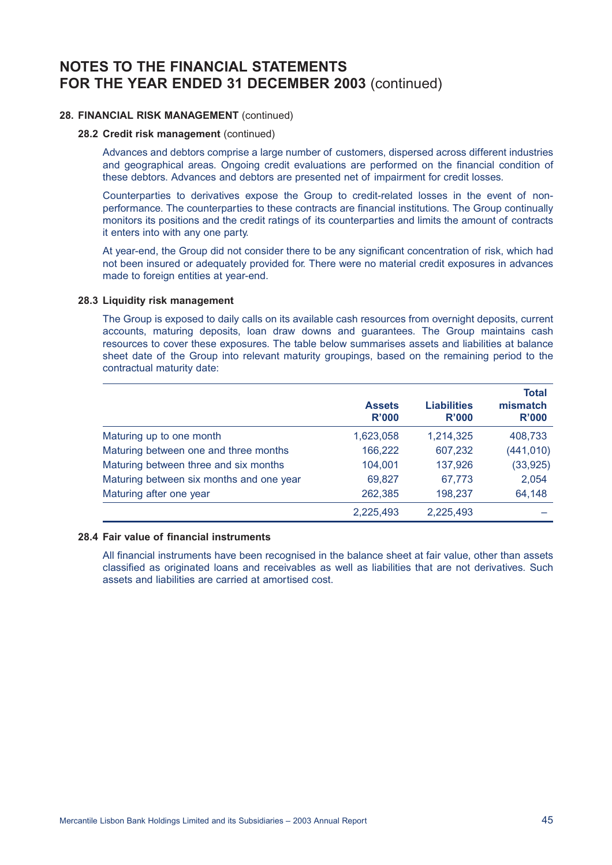#### **28. FINANCIAL RISK MANAGEMENT** (continued)

#### **28.2 Credit risk management** (continued)

Advances and debtors comprise a large number of customers, dispersed across different industries and geographical areas. Ongoing credit evaluations are performed on the financial condition of these debtors. Advances and debtors are presented net of impairment for credit losses.

Counterparties to derivatives expose the Group to credit-related losses in the event of nonperformance. The counterparties to these contracts are financial institutions. The Group continually monitors its positions and the credit ratings of its counterparties and limits the amount of contracts it enters into with any one party.

At year-end, the Group did not consider there to be any significant concentration of risk, which had not been insured or adequately provided for. There were no material credit exposures in advances made to foreign entities at year-end.

#### **28.3 Liquidity risk management**

The Group is exposed to daily calls on its available cash resources from overnight deposits, current accounts, maturing deposits, loan draw downs and guarantees. The Group maintains cash resources to cover these exposures. The table below summarises assets and liabilities at balance sheet date of the Group into relevant maturity groupings, based on the remaining period to the contractual maturity date:

|                                          | <b>Assets</b><br>R'000 | <b>Liabilities</b><br>R'000 | <b>Total</b><br>mismatch<br>R'000 |
|------------------------------------------|------------------------|-----------------------------|-----------------------------------|
| Maturing up to one month                 | 1,623,058              | 1,214,325                   | 408,733                           |
| Maturing between one and three months    | 166,222                | 607,232                     | (441, 010)                        |
| Maturing between three and six months    | 104,001                | 137,926                     | (33, 925)                         |
| Maturing between six months and one year | 69,827                 | 67,773                      | 2,054                             |
| Maturing after one year                  | 262,385                | 198,237                     | 64,148                            |
|                                          | 2,225,493              | 2,225,493                   |                                   |

# **28.4 Fair value of financial instruments**

All financial instruments have been recognised in the balance sheet at fair value, other than assets classified as originated loans and receivables as well as liabilities that are not derivatives. Such assets and liabilities are carried at amortised cost.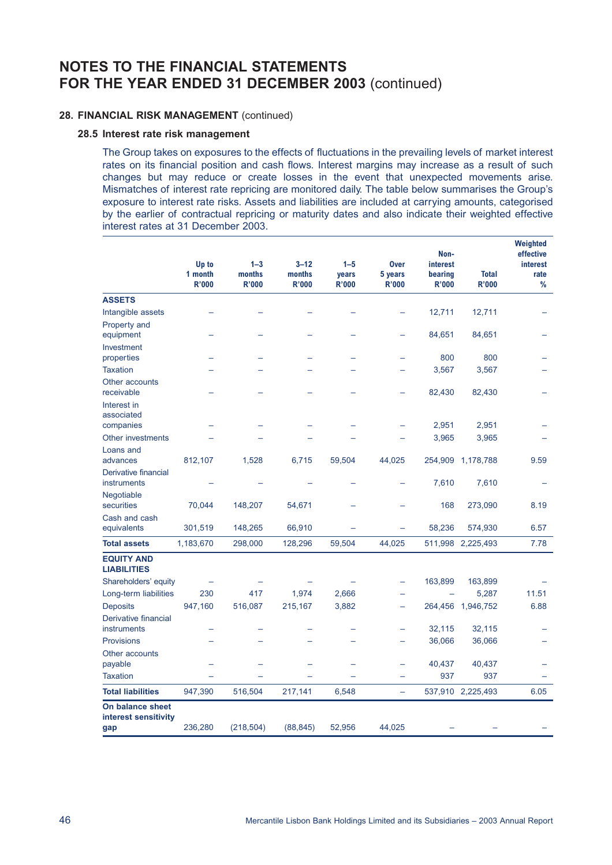### **28. FINANCIAL RISK MANAGEMENT** (continued)

#### **28.5 Interest rate risk management**

The Group takes on exposures to the effects of fluctuations in the prevailing levels of market interest rates on its financial position and cash flows. Interest margins may increase as a result of such changes but may reduce or create losses in the event that unexpected movements arise. Mismatches of interest rate repricing are monitored daily. The table below summarises the Group's exposure to interest rate risks. Assets and liabilities are included at carrying amounts, categorised by the earlier of contractual repricing or maturity dates and also indicate their weighted effective interest rates at 31 December 2003.

|                                          | Up to<br>1 month<br><b>R'000</b> | $1 - 3$<br>months<br><b>R'000</b> | $3 - 12$<br>months<br><b>R'000</b> | $1 - 5$<br>years<br><b>R'000</b> | <b>Over</b><br>5 years<br><b>R'000</b> | Non-<br><i>interest</i><br>bearing<br><b>R'000</b> | <b>Total</b><br><b>R'000</b> | Weighted<br>effective<br><i>interest</i><br>rate<br>% |
|------------------------------------------|----------------------------------|-----------------------------------|------------------------------------|----------------------------------|----------------------------------------|----------------------------------------------------|------------------------------|-------------------------------------------------------|
| <b>ASSETS</b>                            |                                  |                                   |                                    |                                  |                                        |                                                    |                              |                                                       |
| Intangible assets                        |                                  |                                   |                                    |                                  |                                        | 12,711                                             | 12,711                       |                                                       |
| Property and                             |                                  |                                   |                                    |                                  |                                        |                                                    |                              |                                                       |
| equipment                                |                                  |                                   |                                    |                                  |                                        | 84,651                                             | 84,651                       |                                                       |
| Investment                               |                                  |                                   |                                    |                                  |                                        |                                                    |                              |                                                       |
| properties                               |                                  |                                   |                                    |                                  |                                        | 800                                                | 800                          |                                                       |
| <b>Taxation</b>                          |                                  |                                   |                                    |                                  |                                        | 3,567                                              | 3,567                        |                                                       |
| Other accounts                           |                                  |                                   |                                    |                                  |                                        |                                                    |                              |                                                       |
| receivable                               |                                  |                                   |                                    |                                  |                                        | 82,430                                             | 82,430                       |                                                       |
| Interest in                              |                                  |                                   |                                    |                                  |                                        |                                                    |                              |                                                       |
| associated<br>companies                  |                                  |                                   |                                    |                                  |                                        | 2,951                                              | 2,951                        |                                                       |
| Other investments                        |                                  |                                   |                                    |                                  |                                        | 3,965                                              | 3,965                        |                                                       |
| Loans and                                |                                  |                                   |                                    |                                  |                                        |                                                    |                              |                                                       |
| advances                                 | 812,107                          | 1,528                             | 6,715                              | 59,504                           | 44,025                                 | 254,909                                            | 1,178,788                    | 9.59                                                  |
| Derivative financial                     |                                  |                                   |                                    |                                  |                                        |                                                    |                              |                                                       |
| instruments                              |                                  |                                   |                                    |                                  |                                        | 7,610                                              | 7,610                        |                                                       |
| Negotiable                               |                                  |                                   |                                    |                                  |                                        |                                                    |                              |                                                       |
| securities                               | 70,044                           | 148,207                           | 54,671                             |                                  |                                        | 168                                                | 273,090                      | 8.19                                                  |
| Cash and cash                            |                                  |                                   |                                    |                                  |                                        |                                                    |                              |                                                       |
| equivalents                              | 301,519                          | 148,265                           | 66,910                             |                                  |                                        | 58,236                                             | 574,930                      | 6.57                                                  |
| <b>Total assets</b>                      | 1,183,670                        | 298,000                           | 128,296                            | 59,504                           | 44,025                                 |                                                    | 511,998 2,225,493            | 7.78                                                  |
| <b>EQUITY AND</b><br><b>LIABILITIES</b>  |                                  |                                   |                                    |                                  |                                        |                                                    |                              |                                                       |
| Shareholders' equity                     |                                  |                                   |                                    |                                  |                                        | 163,899                                            | 163,899                      |                                                       |
| Long-term liabilities                    | 230                              | 417                               | 1,974                              | 2,666                            |                                        |                                                    | 5,287                        | 11.51                                                 |
| <b>Deposits</b>                          | 947,160                          | 516,087                           | 215,167                            | 3,882                            | $\overline{\phantom{0}}$               |                                                    | 264,456 1,946,752            | 6.88                                                  |
| Derivative financial                     |                                  |                                   |                                    |                                  |                                        |                                                    |                              |                                                       |
| instruments                              |                                  |                                   |                                    |                                  |                                        | 32,115                                             | 32,115                       |                                                       |
| <b>Provisions</b>                        |                                  |                                   |                                    |                                  |                                        | 36,066                                             | 36,066                       |                                                       |
| Other accounts                           |                                  |                                   |                                    |                                  |                                        |                                                    |                              |                                                       |
| payable                                  |                                  |                                   |                                    |                                  |                                        | 40,437                                             | 40,437                       |                                                       |
| <b>Taxation</b>                          |                                  |                                   |                                    |                                  |                                        | 937                                                | 937                          |                                                       |
| <b>Total liabilities</b>                 | 947,390                          | 516,504                           | 217,141                            | 6,548                            | $\equiv$                               |                                                    | 537,910 2,225,493            | 6.05                                                  |
| On balance sheet<br>interest sensitivity |                                  |                                   |                                    |                                  |                                        |                                                    |                              |                                                       |
| gap                                      | 236,280                          | (218, 504)                        | (88, 845)                          | 52,956                           | 44,025                                 |                                                    |                              |                                                       |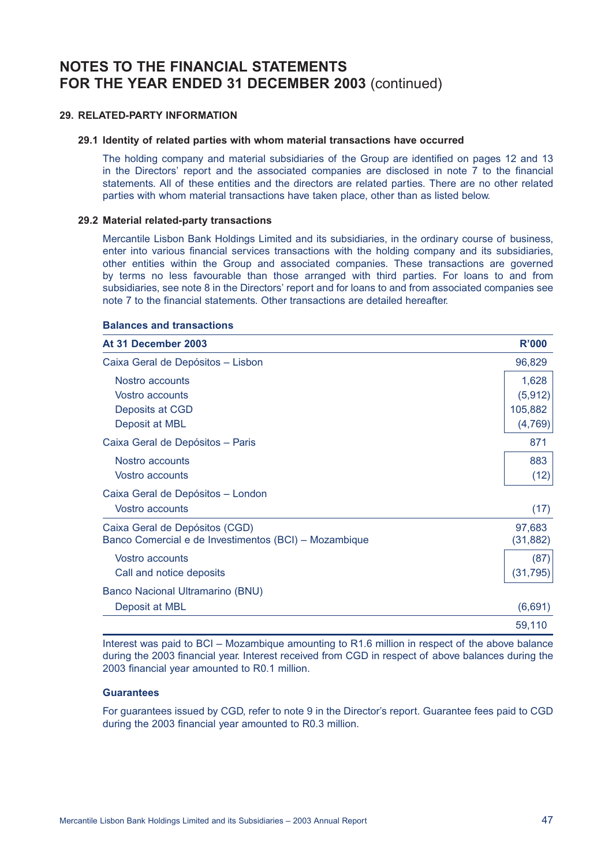#### **29. RELATED-PARTY INFORMATION**

#### **29.1 Identity of related parties with whom material transactions have occurred**

The holding company and material subsidiaries of the Group are identified on pages 12 and 13 in the Directors' report and the associated companies are disclosed in note 7 to the financial statements. All of these entities and the directors are related parties. There are no other related parties with whom material transactions have taken place, other than as listed below.

#### **29.2 Material related-party transactions**

Mercantile Lisbon Bank Holdings Limited and its subsidiaries, in the ordinary course of business, enter into various financial services transactions with the holding company and its subsidiaries, other entities within the Group and associated companies. These transactions are governed by terms no less favourable than those arranged with third parties. For loans to and from subsidiaries, see note 8 in the Directors' report and for loans to and from associated companies see note 7 to the financial statements. Other transactions are detailed hereafter.

#### **Balances and transactions**

| At 31 December 2003                                   | <b>R'000</b> |
|-------------------------------------------------------|--------------|
| Caixa Geral de Depósitos - Lisbon                     | 96,829       |
| Nostro accounts                                       | 1,628        |
| Vostro accounts                                       | (5, 912)     |
| Deposits at CGD                                       | 105,882      |
| Deposit at MBL                                        | (4,769)      |
| Caixa Geral de Depósitos - Paris                      | 871          |
| Nostro accounts                                       | 883          |
| Vostro accounts                                       | (12)         |
| Caixa Geral de Depósitos - London                     |              |
| Vostro accounts                                       | (17)         |
| Caixa Geral de Depósitos (CGD)                        | 97,683       |
| Banco Comercial e de Investimentos (BCI) - Mozambique | (31, 882)    |
| Vostro accounts                                       | (87)         |
| Call and notice deposits                              | (31, 795)    |
| Banco Nacional Ultramarino (BNU)                      |              |
| Deposit at MBL                                        | (6,691)      |
|                                                       | 59,110       |

Interest was paid to BCI – Mozambique amounting to R1.6 million in respect of the above balance during the 2003 financial year. Interest received from CGD in respect of above balances during the 2003 financial year amounted to R0.1 million.

#### **Guarantees**

For guarantees issued by CGD, refer to note 9 in the Director's report. Guarantee fees paid to CGD during the 2003 financial year amounted to R0.3 million.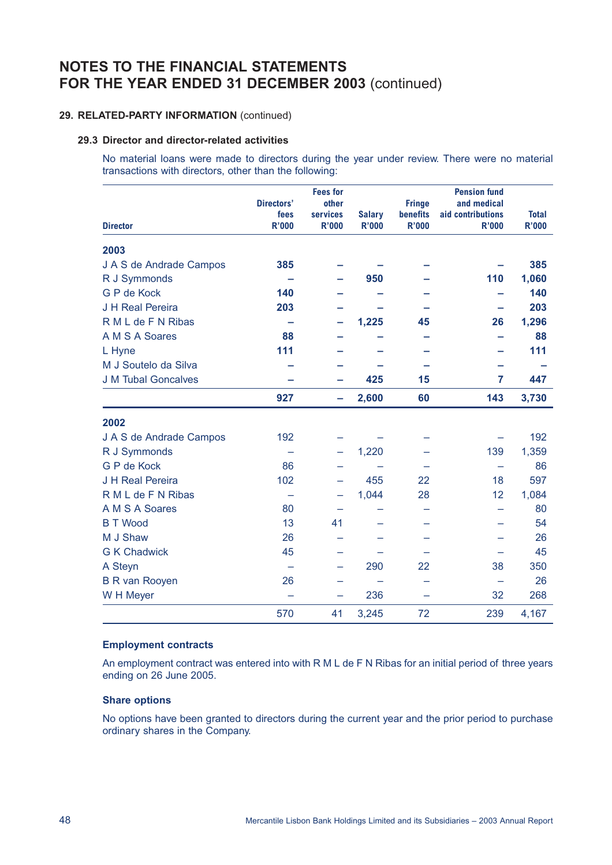### **29. RELATED-PARTY INFORMATION** (continued)

#### **29.3 Director and director-related activities**

No material loans were made to directors during the year under review. There were no material transactions with directors, other than the following:

| <b>Director</b>            | <b>Directors'</b><br>fees<br><b>R'000</b> | <b>Fees for</b><br>other<br>services<br><b>R'000</b> | <b>Salary</b><br><b>R'000</b> | <b>Fringe</b><br><b>benefits</b><br><b>R'000</b> | <b>Pension fund</b><br>and medical<br>aid contributions<br><b>R'000</b> | <b>Total</b><br><b>R'000</b> |
|----------------------------|-------------------------------------------|------------------------------------------------------|-------------------------------|--------------------------------------------------|-------------------------------------------------------------------------|------------------------------|
| 2003                       |                                           |                                                      |                               |                                                  |                                                                         |                              |
| J A S de Andrade Campos    | 385                                       |                                                      |                               |                                                  |                                                                         | 385                          |
| R J Symmonds               |                                           |                                                      | 950                           |                                                  | 110                                                                     | 1,060                        |
| G P de Kock                | 140                                       |                                                      |                               |                                                  |                                                                         | 140                          |
| J H Real Pereira           | 203                                       |                                                      |                               |                                                  |                                                                         | 203                          |
| R M L de F N Ribas         |                                           |                                                      | 1,225                         | 45                                               | 26                                                                      | 1,296                        |
| A M S A Soares             | 88                                        |                                                      |                               |                                                  |                                                                         | 88                           |
| L Hyne                     | 111                                       |                                                      |                               |                                                  |                                                                         | 111                          |
| M J Soutelo da Silva       |                                           |                                                      |                               |                                                  |                                                                         |                              |
| <b>J M Tubal Goncalves</b> |                                           |                                                      | 425                           | 15                                               | 7                                                                       | 447                          |
|                            | 927                                       | -                                                    | 2,600                         | 60                                               | 143                                                                     | 3,730                        |
| 2002                       |                                           |                                                      |                               |                                                  |                                                                         |                              |
| J A S de Andrade Campos    | 192                                       |                                                      |                               |                                                  |                                                                         | 192                          |
| R J Symmonds               |                                           | -                                                    | 1,220                         |                                                  | 139                                                                     | 1,359                        |
| <b>G P de Kock</b>         | 86                                        |                                                      |                               |                                                  |                                                                         | 86                           |
| J H Real Pereira           | 102                                       |                                                      | 455                           | 22                                               | 18                                                                      | 597                          |
| R M L de F N Ribas         |                                           | -                                                    | 1,044                         | 28                                               | 12                                                                      | 1,084                        |
| A M S A Soares             | 80                                        |                                                      |                               |                                                  |                                                                         | 80                           |
| <b>B T Wood</b>            | 13                                        | 41                                                   |                               |                                                  |                                                                         | 54                           |
| M J Shaw                   | 26                                        |                                                      |                               |                                                  |                                                                         | 26                           |
| <b>G K Chadwick</b>        | 45                                        |                                                      |                               |                                                  |                                                                         | 45                           |
| A Steyn                    | $\overline{\phantom{0}}$                  |                                                      | 290                           | 22                                               | 38                                                                      | 350                          |
| <b>B R van Rooyen</b>      | 26                                        |                                                      |                               |                                                  |                                                                         | 26                           |
| W H Meyer                  | $\overline{\phantom{0}}$                  | -                                                    | 236                           |                                                  | 32                                                                      | 268                          |
|                            | 570                                       | 41                                                   | 3,245                         | 72                                               | 239                                                                     | 4,167                        |

#### **Employment contracts**

An employment contract was entered into with R M L de F N Ribas for an initial period of three years ending on 26 June 2005.

#### **Share options**

No options have been granted to directors during the current year and the prior period to purchase ordinary shares in the Company.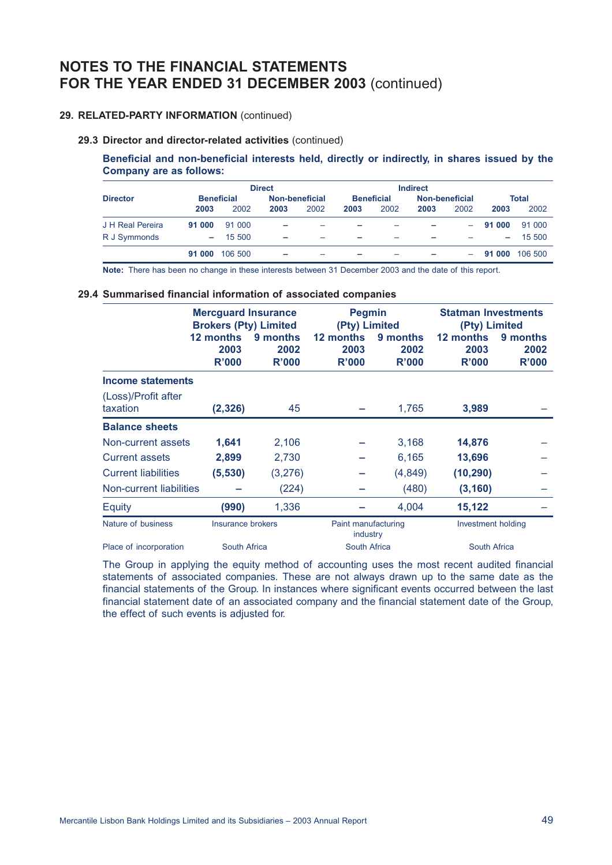### **29. RELATED-PARTY INFORMATION** (continued)

#### **29.3 Director and director-related activities** (continued)

**Beneficial and non-beneficial interests held, directly or indirectly, in shares issued by the Company are as follows:**

|                  |                |                   | <b>Direct</b>            |                |      |                   | <b>Indirect</b> |                  |        |         |  |
|------------------|----------------|-------------------|--------------------------|----------------|------|-------------------|-----------------|------------------|--------|---------|--|
| <b>Director</b>  |                | <b>Beneficial</b> |                          | Non-beneficial |      | <b>Beneficial</b> |                 | Non-beneficial   |        | Total   |  |
|                  | 2003           | 2002              | 2003                     | 2002           | 2003 | 2002              | 2003            | 2002             | 2003   | 2002    |  |
| J H Real Pereira | 91 000         | 91 000            | ۰                        |                |      |                   |                 | $\sim$ 100 $\mu$ | 91 000 | 91 000  |  |
| R J Symmonds     | <b>Service</b> | 15 500            | -                        |                | -    |                   |                 |                  | $\sim$ | 15 500  |  |
|                  | 91 000         | 106 500           | $\overline{\phantom{0}}$ |                | -    |                   |                 | $-$              | 91 000 | 106 500 |  |

**Note:** There has been no change in these interests between 31 December 2003 and the date of this report.

#### **29.4 Summarised financial information of associated companies**

|                                 | <b>Mercguard Insurance</b><br><b>Brokers (Pty) Limited</b> |                           | <b>Pegmin</b><br>(Pty) Limited  |                           | <b>Statman Investments</b><br>(Pty) Limited |                           |  |
|---------------------------------|------------------------------------------------------------|---------------------------|---------------------------------|---------------------------|---------------------------------------------|---------------------------|--|
|                                 | 12 months<br>2003<br>R'000                                 | 9 months<br>2002<br>R'000 | 12 months<br>2003<br>R'000      | 9 months<br>2002<br>R'000 | 12 months<br>2003<br>R'000                  | 9 months<br>2002<br>R'000 |  |
| Income statements               |                                                            |                           |                                 |                           |                                             |                           |  |
| (Loss)/Profit after<br>taxation | (2, 326)                                                   | 45                        |                                 | 1,765                     | 3,989                                       |                           |  |
| <b>Balance sheets</b>           |                                                            |                           |                                 |                           |                                             |                           |  |
| Non-current assets              | 1,641                                                      | 2,106                     |                                 | 3,168                     | 14,876                                      |                           |  |
| <b>Current assets</b>           | 2,899                                                      | 2,730                     |                                 | 6,165                     | 13,696                                      |                           |  |
| <b>Current liabilities</b>      | (5,530)                                                    | (3,276)                   |                                 | (4,849)                   | (10, 290)                                   |                           |  |
| Non-current liabilities         |                                                            | (224)                     |                                 | (480)                     | (3, 160)                                    |                           |  |
| Equity                          | (990)                                                      | 1,336                     |                                 | 4,004                     | 15,122                                      |                           |  |
| Nature of business              | Insurance brokers                                          |                           | Paint manufacturing<br>industry |                           | <b>Investment holding</b>                   |                           |  |
| Place of incorporation          | <b>South Africa</b>                                        |                           | <b>South Africa</b>             |                           | <b>South Africa</b>                         |                           |  |

The Group in applying the equity method of accounting uses the most recent audited financial statements of associated companies. These are not always drawn up to the same date as the financial statements of the Group. In instances where significant events occurred between the last financial statement date of an associated company and the financial statement date of the Group, the effect of such events is adjusted for.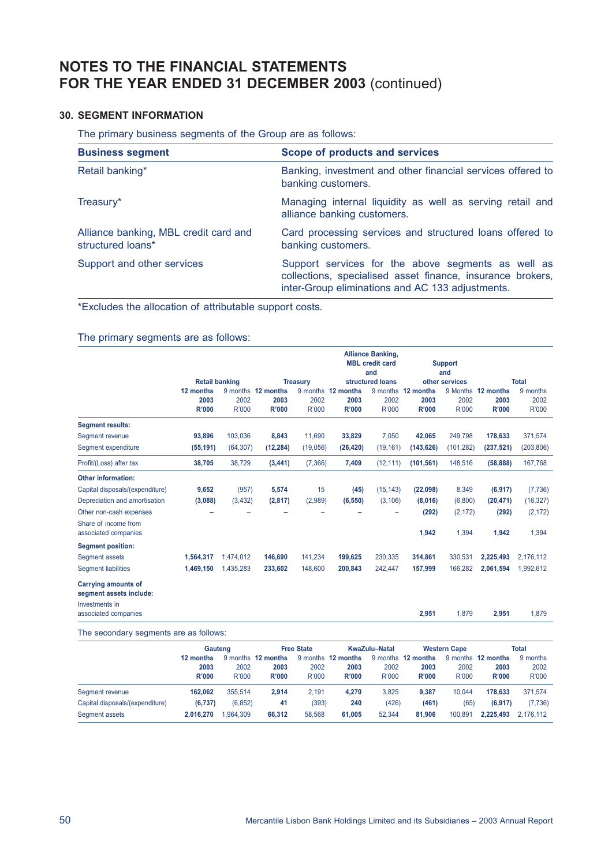## **30. SEGMENT INFORMATION**

The primary business segments of the Group are as follows:

| <b>Business segment</b>                                    | <b>Scope of products and services</b>                                                                                                                                |
|------------------------------------------------------------|----------------------------------------------------------------------------------------------------------------------------------------------------------------------|
| Retail banking*                                            | Banking, investment and other financial services offered to<br>banking customers.                                                                                    |
| Treasury*                                                  | Managing internal liquidity as well as serving retail and<br>alliance banking customers.                                                                             |
| Alliance banking, MBL credit card and<br>structured loans* | Card processing services and structured loans offered to<br>banking customers.                                                                                       |
| Support and other services                                 | Support services for the above segments as well as<br>collections, specialised asset finance, insurance brokers,<br>inter-Group eliminations and AC 133 adjustments. |

\*Excludes the allocation of attributable support costs.

The primary segments are as follows:

|                                                       |                       |               |                      |                 |                      | <b>Alliance Banking,</b><br><b>MBL</b> credit card<br>and |                      | <b>Support</b><br>and |                      |               |
|-------------------------------------------------------|-----------------------|---------------|----------------------|-----------------|----------------------|-----------------------------------------------------------|----------------------|-----------------------|----------------------|---------------|
|                                                       | <b>Retail banking</b> |               |                      | <b>Treasury</b> | structured loans     |                                                           | other services       |                       |                      | <b>Total</b>  |
|                                                       | 12 months             |               | 9 months 12 months   |                 | 9 months 12 months   | 9 months                                                  | 12 months            |                       | 9 Months 12 months   | 9 months      |
|                                                       | 2003<br><b>R'000</b>  | 2002<br>R'000 | 2003<br><b>R'000</b> | 2002<br>R'000   | 2003<br><b>R'000</b> | 2002<br>R'000                                             | 2003<br><b>R'000</b> | 2002<br>R'000         | 2003<br><b>R'000</b> | 2002<br>R'000 |
| <b>Segment results:</b>                               |                       |               |                      |                 |                      |                                                           |                      |                       |                      |               |
| Segment revenue                                       | 93,896                | 103,036       | 8,843                | 11,690          | 33,829               | 7,050                                                     | 42,065               | 249,798               | 178,633              | 371,574       |
| Segment expenditure                                   | (55, 191)             | (64, 307)     | (12, 284)            | (19,056)        | (26, 420)            | (19, 161)                                                 | (143, 626)           | (101, 282)            | (237, 521)           | (203, 806)    |
| Profit/(Loss) after tax                               | 38,705                | 38,729        | (3, 441)             | (7,366)         | 7,409                | (12, 111)                                                 | (101, 561)           | 148,516               | (58, 888)            | 167,768       |
| <b>Other information:</b>                             |                       |               |                      |                 |                      |                                                           |                      |                       |                      |               |
| Capital disposals/(expenditure)                       | 9,652                 | (957)         | 5,574                | 15              | (45)                 | (15, 143)                                                 | (22,098)             | 8,349                 | (6, 917)             | (7,736)       |
| Depreciation and amortisation                         | (3,088)               | (3, 432)      | (2,817)              | (2,989)         | (6, 550)             | (3, 106)                                                  | (8,016)              | (6,800)               | (20, 471)            | (16, 327)     |
| Other non-cash expenses                               |                       |               |                      |                 |                      |                                                           | (292)                | (2, 172)              | (292)                | (2, 172)      |
| Share of income from<br>associated companies          |                       |               |                      |                 |                      |                                                           | 1,942                | 1,394                 | 1,942                | 1,394         |
| <b>Segment position:</b>                              |                       |               |                      |                 |                      |                                                           |                      |                       |                      |               |
| Segment assets                                        | 1,564,317             | 1,474,012     | 146,690              | 141,234         | 199,625              | 230,335                                                   | 314,861              | 330.531               | 2,225,493            | 2,176,112     |
| <b>Segment liabilities</b>                            | 1,469,150             | 1,435,283     | 233,602              | 148,600         | 200,843              | 242,447                                                   | 157,999              | 166,282               | 2,061,594            | 1,992,612     |
| <b>Carrying amounts of</b><br>segment assets include: |                       |               |                      |                 |                      |                                                           |                      |                       |                      |               |
| Investments in<br>associated companies                |                       |               |                      |                 |                      |                                                           | 2,951                | 1,879                 | 2,951                | 1,879         |
| The secondary segments are as follows:                |                       |               |                      |                 |                      |                                                           |                      |                       |                      |               |

|                                                   | Gauteng                    |                       |                                            | <b>Free State</b> |                                     | <b>KwaZulu-Natal</b> |                                     | <b>Western Cape</b> |                                     | Total                     |
|---------------------------------------------------|----------------------------|-----------------------|--------------------------------------------|-------------------|-------------------------------------|----------------------|-------------------------------------|---------------------|-------------------------------------|---------------------------|
|                                                   | 12 months<br>2003<br>R'000 | 2002<br>R'000         | 9 months 12 months<br>2003<br><b>R'000</b> | 2002<br>R'000     | 9 months 12 months<br>2003<br>R'000 | 2002<br>R'000        | 9 months 12 months<br>2003<br>R'000 | 2002<br>R'000       | 9 months 12 months<br>2003<br>R'000 | 9 months<br>2002<br>R'000 |
| Segment revenue                                   | 162.062                    | 355.514               | 2.914                                      | 2.191             | 4.270                               | 3.825                | 9.387                               | 10.044              | 178.633                             | 371.574                   |
| Capital disposals/(expenditure)<br>Segment assets | (6.737)<br>2.016.270       | (6, 852)<br>1.964.309 | 41<br>66.312                               | (393)<br>58.568   | 240<br>61.005                       | (426)<br>52.344      | (461)<br>81,906                     | (65)<br>100.891     | (6.917)<br>2.225.493                | (7, 736)<br>2.176.112     |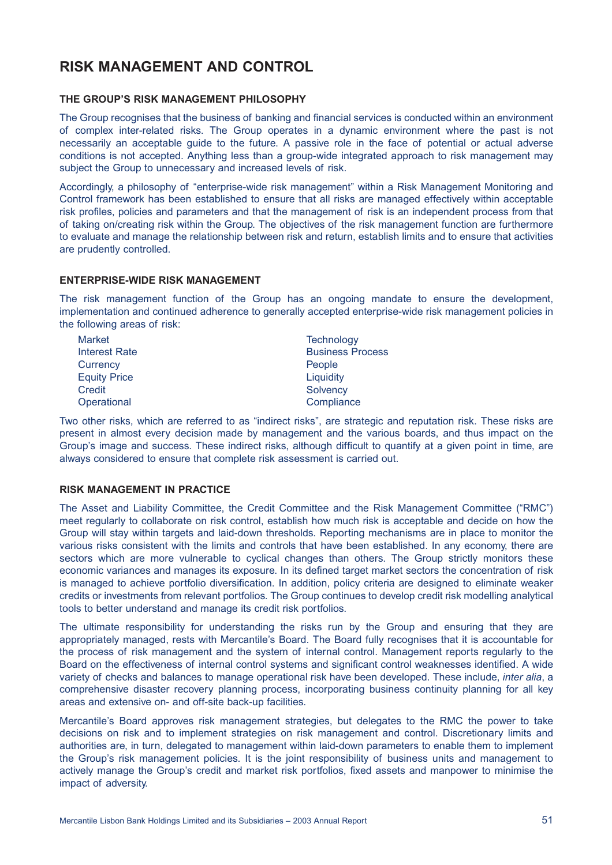# **RISK MANAGEMENT AND CONTROL**

### **THE GROUP'S RISK MANAGEMENT PHILOSOPHY**

The Group recognises that the business of banking and financial services is conducted within an environment of complex inter-related risks. The Group operates in a dynamic environment where the past is not necessarily an acceptable guide to the future. A passive role in the face of potential or actual adverse conditions is not accepted. Anything less than a group-wide integrated approach to risk management may subject the Group to unnecessary and increased levels of risk.

Accordingly, a philosophy of "enterprise-wide risk management" within a Risk Management Monitoring and Control framework has been established to ensure that all risks are managed effectively within acceptable risk profiles, policies and parameters and that the management of risk is an independent process from that of taking on/creating risk within the Group. The objectives of the risk management function are furthermore to evaluate and manage the relationship between risk and return, establish limits and to ensure that activities are prudently controlled.

### **ENTERPRISE-WIDE RISK MANAGEMENT**

The risk management function of the Group has an ongoing mandate to ensure the development, implementation and continued adherence to generally accepted enterprise-wide risk management policies in the following areas of risk:

| <b>Market</b>        | Technology              |
|----------------------|-------------------------|
| <b>Interest Rate</b> | <b>Business Process</b> |
| Currency             | People                  |
| <b>Equity Price</b>  | Liquidity               |
| Credit               | Solvency                |
| Operational          | Compliance              |

Two other risks, which are referred to as "indirect risks", are strategic and reputation risk. These risks are present in almost every decision made by management and the various boards, and thus impact on the Group's image and success. These indirect risks, although difficult to quantify at a given point in time, are always considered to ensure that complete risk assessment is carried out.

### **RISK MANAGEMENT IN PRACTICE**

The Asset and Liability Committee, the Credit Committee and the Risk Management Committee ("RMC") meet regularly to collaborate on risk control, establish how much risk is acceptable and decide on how the Group will stay within targets and laid-down thresholds. Reporting mechanisms are in place to monitor the various risks consistent with the limits and controls that have been established. In any economy, there are sectors which are more vulnerable to cyclical changes than others. The Group strictly monitors these economic variances and manages its exposure. In its defined target market sectors the concentration of risk is managed to achieve portfolio diversification. In addition, policy criteria are designed to eliminate weaker credits or investments from relevant portfolios. The Group continues to develop credit risk modelling analytical tools to better understand and manage its credit risk portfolios.

The ultimate responsibility for understanding the risks run by the Group and ensuring that they are appropriately managed, rests with Mercantile's Board. The Board fully recognises that it is accountable for the process of risk management and the system of internal control. Management reports regularly to the Board on the effectiveness of internal control systems and significant control weaknesses identified. A wide variety of checks and balances to manage operational risk have been developed. These include, *inter alia*, a comprehensive disaster recovery planning process, incorporating business continuity planning for all key areas and extensive on- and off-site back-up facilities.

Mercantile's Board approves risk management strategies, but delegates to the RMC the power to take decisions on risk and to implement strategies on risk management and control. Discretionary limits and authorities are, in turn, delegated to management within laid-down parameters to enable them to implement the Group's risk management policies. It is the joint responsibility of business units and management to actively manage the Group's credit and market risk portfolios, fixed assets and manpower to minimise the impact of adversity.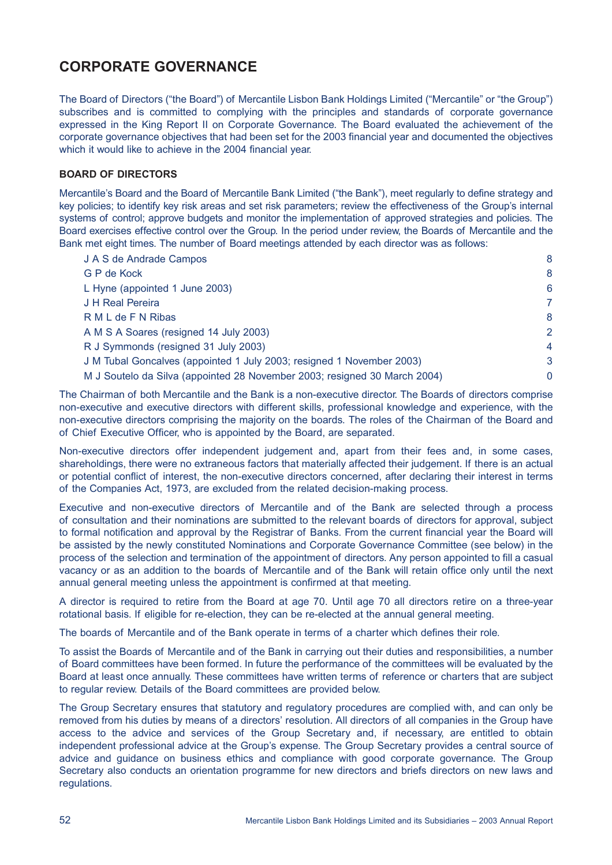# **CORPORATE GOVERNANCE**

The Board of Directors ("the Board") of Mercantile Lisbon Bank Holdings Limited ("Mercantile" or "the Group") subscribes and is committed to complying with the principles and standards of corporate governance expressed in the King Report II on Corporate Governance. The Board evaluated the achievement of the corporate governance objectives that had been set for the 2003 financial year and documented the objectives which it would like to achieve in the 2004 financial year.

### **BOARD OF DIRECTORS**

Mercantile's Board and the Board of Mercantile Bank Limited ("the Bank"), meet regularly to define strategy and key policies; to identify key risk areas and set risk parameters; review the effectiveness of the Group's internal systems of control; approve budgets and monitor the implementation of approved strategies and policies. The Board exercises effective control over the Group. In the period under review, the Boards of Mercantile and the Bank met eight times. The number of Board meetings attended by each director was as follows:

| J A S de Andrade Campos                                                   | 8              |
|---------------------------------------------------------------------------|----------------|
| G P de Kock                                                               | 8              |
| L Hyne (appointed 1 June 2003)                                            | 6              |
| J H Real Pereira                                                          | 7              |
| R M L de F N Ribas                                                        | 8              |
| A M S A Soares (resigned 14 July 2003)                                    | 2              |
| R J Symmonds (resigned 31 July 2003)                                      | $\overline{4}$ |
| J M Tubal Goncalves (appointed 1 July 2003; resigned 1 November 2003)     | 3              |
| M J Soutelo da Silva (appointed 28 November 2003; resigned 30 March 2004) | 0              |

The Chairman of both Mercantile and the Bank is a non-executive director. The Boards of directors comprise non-executive and executive directors with different skills, professional knowledge and experience, with the non-executive directors comprising the majority on the boards. The roles of the Chairman of the Board and of Chief Executive Officer, who is appointed by the Board, are separated.

Non-executive directors offer independent judgement and, apart from their fees and, in some cases, shareholdings, there were no extraneous factors that materially affected their judgement. If there is an actual or potential conflict of interest, the non-executive directors concerned, after declaring their interest in terms of the Companies Act, 1973, are excluded from the related decision-making process.

Executive and non-executive directors of Mercantile and of the Bank are selected through a process of consultation and their nominations are submitted to the relevant boards of directors for approval, subject to formal notification and approval by the Registrar of Banks. From the current financial year the Board will be assisted by the newly constituted Nominations and Corporate Governance Committee (see below) in the process of the selection and termination of the appointment of directors. Any person appointed to fill a casual vacancy or as an addition to the boards of Mercantile and of the Bank will retain office only until the next annual general meeting unless the appointment is confirmed at that meeting.

A director is required to retire from the Board at age 70. Until age 70 all directors retire on a three-year rotational basis. If eligible for re-election, they can be re-elected at the annual general meeting.

The boards of Mercantile and of the Bank operate in terms of a charter which defines their role.

To assist the Boards of Mercantile and of the Bank in carrying out their duties and responsibilities, a number of Board committees have been formed. In future the performance of the committees will be evaluated by the Board at least once annually. These committees have written terms of reference or charters that are subject to regular review. Details of the Board committees are provided below.

The Group Secretary ensures that statutory and regulatory procedures are complied with, and can only be removed from his duties by means of a directors' resolution. All directors of all companies in the Group have access to the advice and services of the Group Secretary and, if necessary, are entitled to obtain independent professional advice at the Group's expense. The Group Secretary provides a central source of advice and guidance on business ethics and compliance with good corporate governance. The Group Secretary also conducts an orientation programme for new directors and briefs directors on new laws and regulations.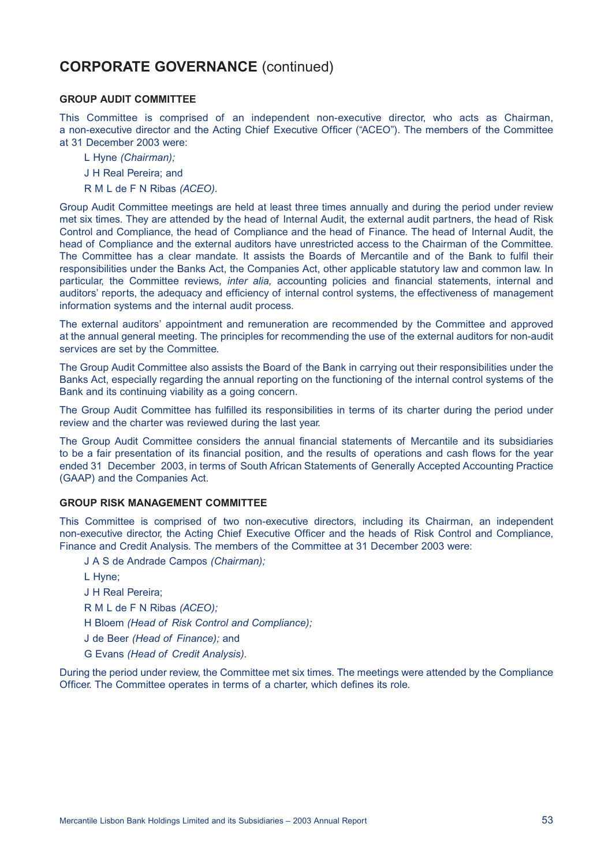# **CORPORATE GOVERNANCE** (continued)

#### **GROUP AUDIT COMMITTEE**

This Committee is comprised of an independent non-executive director, who acts as Chairman, a non-executive director and the Acting Chief Executive Officer ("ACEO"). The members of the Committee at 31 December 2003 were:

- L Hyne *(Chairman);*
- J H Real Pereira; and
- R M L de F N Ribas *(ACEO).*

Group Audit Committee meetings are held at least three times annually and during the period under review met six times. They are attended by the head of Internal Audit, the external audit partners, the head of Risk Control and Compliance, the head of Compliance and the head of Finance. The head of Internal Audit, the head of Compliance and the external auditors have unrestricted access to the Chairman of the Committee. The Committee has a clear mandate. It assists the Boards of Mercantile and of the Bank to fulfil their responsibilities under the Banks Act, the Companies Act, other applicable statutory law and common law. In particular, the Committee reviews*, inter alia,* accounting policies and financial statements, internal and auditors' reports, the adequacy and efficiency of internal control systems, the effectiveness of management information systems and the internal audit process.

The external auditors' appointment and remuneration are recommended by the Committee and approved at the annual general meeting. The principles for recommending the use of the external auditors for non-audit services are set by the Committee.

The Group Audit Committee also assists the Board of the Bank in carrying out their responsibilities under the Banks Act, especially regarding the annual reporting on the functioning of the internal control systems of the Bank and its continuing viability as a going concern.

The Group Audit Committee has fulfilled its responsibilities in terms of its charter during the period under review and the charter was reviewed during the last year.

The Group Audit Committee considers the annual financial statements of Mercantile and its subsidiaries to be a fair presentation of its financial position, and the results of operations and cash flows for the year ended 31 December 2003, in terms of South African Statements of Generally Accepted Accounting Practice (GAAP) and the Companies Act.

#### **GROUP RISK MANAGEMENT COMMITTEE**

This Committee is comprised of two non-executive directors, including its Chairman, an independent non-executive director, the Acting Chief Executive Officer and the heads of Risk Control and Compliance, Finance and Credit Analysis. The members of the Committee at 31 December 2003 were:

- J A S de Andrade Campos *(Chairman);*
- L Hyne;
- J H Real Pereira;
- R M L de F N Ribas *(ACEO);*
- H Bloem *(Head of Risk Control and Compliance);*
- J de Beer *(Head of Finance);* and
- G Evans *(Head of Credit Analysis).*

During the period under review, the Committee met six times. The meetings were attended by the Compliance Officer. The Committee operates in terms of a charter, which defines its role.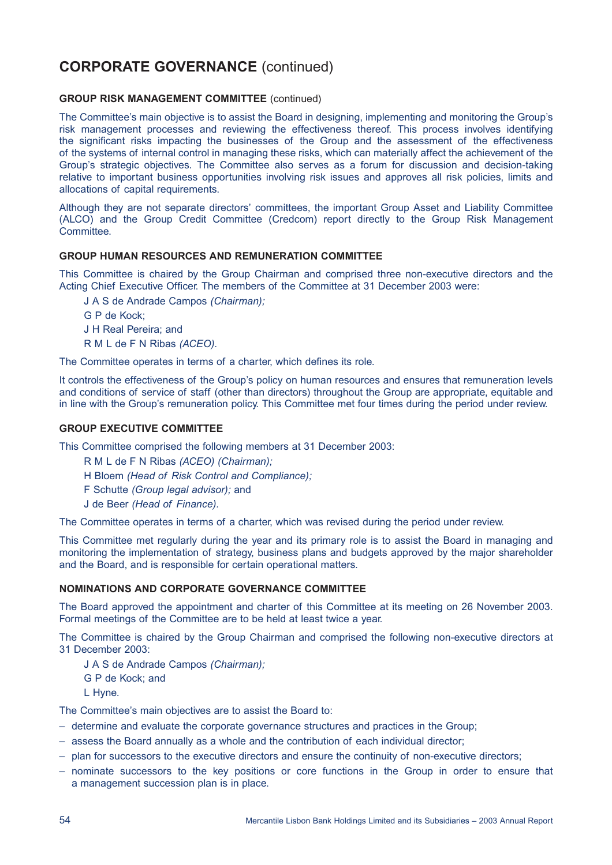# **CORPORATE GOVERNANCE** (continued)

### **GROUP RISK MANAGEMENT COMMITTEE** (continued)

The Committee's main objective is to assist the Board in designing, implementing and monitoring the Group's risk management processes and reviewing the effectiveness thereof. This process involves identifying the significant risks impacting the businesses of the Group and the assessment of the effectiveness of the systems of internal control in managing these risks, which can materially affect the achievement of the Group's strategic objectives. The Committee also serves as a forum for discussion and decision-taking relative to important business opportunities involving risk issues and approves all risk policies, limits and allocations of capital requirements.

Although they are not separate directors' committees, the important Group Asset and Liability Committee (ALCO) and the Group Credit Committee (Credcom) report directly to the Group Risk Management Committee.

### **GROUP HUMAN RESOURCES AND REMUNERATION COMMITTEE**

This Committee is chaired by the Group Chairman and comprised three non-executive directors and the Acting Chief Executive Officer. The members of the Committee at 31 December 2003 were:

J A S de Andrade Campos *(Chairman);*

- G P de Kock;
- J H Real Pereira; and
- R M L de F N Ribas *(ACEO).*

The Committee operates in terms of a charter, which defines its role.

It controls the effectiveness of the Group's policy on human resources and ensures that remuneration levels and conditions of service of staff (other than directors) throughout the Group are appropriate, equitable and in line with the Group's remuneration policy. This Committee met four times during the period under review.

#### **GROUP EXECUTIVE COMMITTEE**

This Committee comprised the following members at 31 December 2003:

- R M L de F N Ribas *(ACEO) (Chairman);*
- H Bloem *(Head of Risk Control and Compliance);*
- F Schutte *(Group legal advisor);* and
- J de Beer *(Head of Finance).*

The Committee operates in terms of a charter, which was revised during the period under review.

This Committee met regularly during the year and its primary role is to assist the Board in managing and monitoring the implementation of strategy, business plans and budgets approved by the major shareholder and the Board, and is responsible for certain operational matters.

#### **NOMINATIONS AND CORPORATE GOVERNANCE COMMITTEE**

The Board approved the appointment and charter of this Committee at its meeting on 26 November 2003. Formal meetings of the Committee are to be held at least twice a year.

The Committee is chaired by the Group Chairman and comprised the following non-executive directors at 31 December 2003:

- J A S de Andrade Campos *(Chairman);*
- G P de Kock; and
	- L Hyne.

The Committee's main objectives are to assist the Board to:

- determine and evaluate the corporate governance structures and practices in the Group;
- assess the Board annually as a whole and the contribution of each individual director;
- plan for successors to the executive directors and ensure the continuity of non-executive directors;
- nominate successors to the key positions or core functions in the Group in order to ensure that a management succession plan is in place.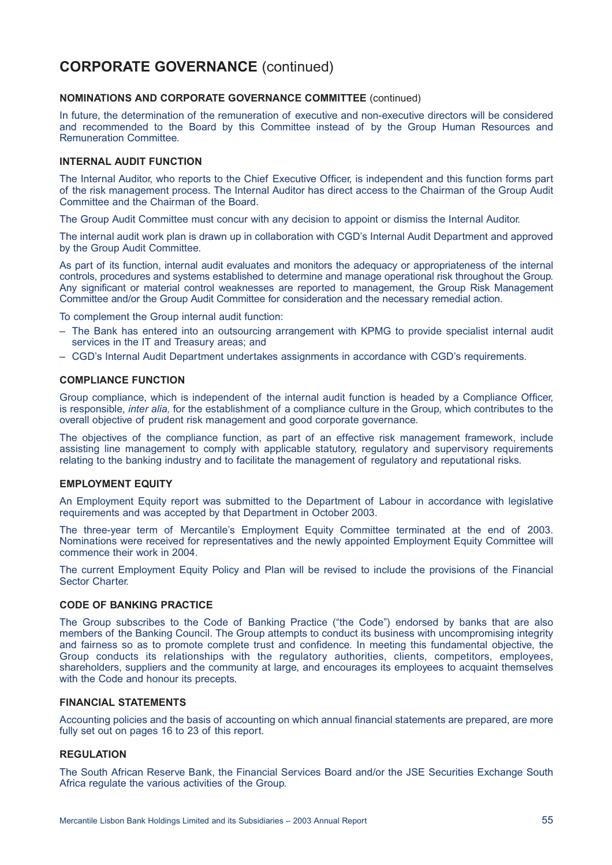# **CORPORATE GOVERNANCE** (continued)

#### **NOMINATIONS AND CORPORATE GOVERNANCE COMMITTEE** (continued)

In future, the determination of the remuneration of executive and non-executive directors will be considered and recommended to the Board by this Committee instead of by the Group Human Resources and Remuneration Committee.

#### **INTERNAL AUDIT FUNCTION**

The Internal Auditor, who reports to the Chief Executive Officer, is independent and this function forms part of the risk management process. The Internal Auditor has direct access to the Chairman of the Group Audit Committee and the Chairman of the Board.

The Group Audit Committee must concur with any decision to appoint or dismiss the Internal Auditor.

The internal audit work plan is drawn up in collaboration with CGD's Internal Audit Department and approved by the Group Audit Committee.

As part of its function, internal audit evaluates and monitors the adequacy or appropriateness of the internal controls, procedures and systems established to determine and manage operational risk throughout the Group. Any significant or material control weaknesses are reported to management, the Group Risk Management Committee and/or the Group Audit Committee for consideration and the necessary remedial action.

To complement the Group internal audit function:

- The Bank has entered into an outsourcing arrangement with KPMG to provide specialist internal audit services in the IT and Treasury areas; and
- CGD's Internal Audit Department undertakes assignments in accordance with CGD's requirements.

#### **COMPLIANCE FUNCTION**

Group compliance, which is independent of the internal audit function is headed by a Compliance Officer, is responsible, *inter alia,* for the establishment of a compliance culture in the Group, which contributes to the overall objective of prudent risk management and good corporate governance.

The objectives of the compliance function, as part of an effective risk management framework, include assisting line management to comply with applicable statutory, regulatory and supervisory requirements relating to the banking industry and to facilitate the management of regulatory and reputational risks.

#### **EMPLOYMENT EQUITY**

An Employment Equity report was submitted to the Department of Labour in accordance with legislative requirements and was accepted by that Department in October 2003.

The three-year term of Mercantile's Employment Equity Committee terminated at the end of 2003. Nominations were received for representatives and the newly appointed Employment Equity Committee will commence their work in 2004.

The current Employment Equity Policy and Plan will be revised to include the provisions of the Financial Sector Charter.

### **CODE OF BANKING PRACTICE**

The Group subscribes to the Code of Banking Practice ("the Code") endorsed by banks that are also members of the Banking Council. The Group attempts to conduct its business with uncompromising integrity and fairness so as to promote complete trust and confidence. In meeting this fundamental objective, the Group conducts its relationships with the regulatory authorities, clients, competitors, employees, shareholders, suppliers and the community at large, and encourages its employees to acquaint themselves with the Code and honour its precepts.

### **FINANCIAL STATEMENTS**

Accounting policies and the basis of accounting on which annual financial statements are prepared, are more fully set out on pages 16 to 23 of this report.

#### **REGULATION**

The South African Reserve Bank, the Financial Services Board and/or the JSE Securities Exchange South Africa regulate the various activities of the Group.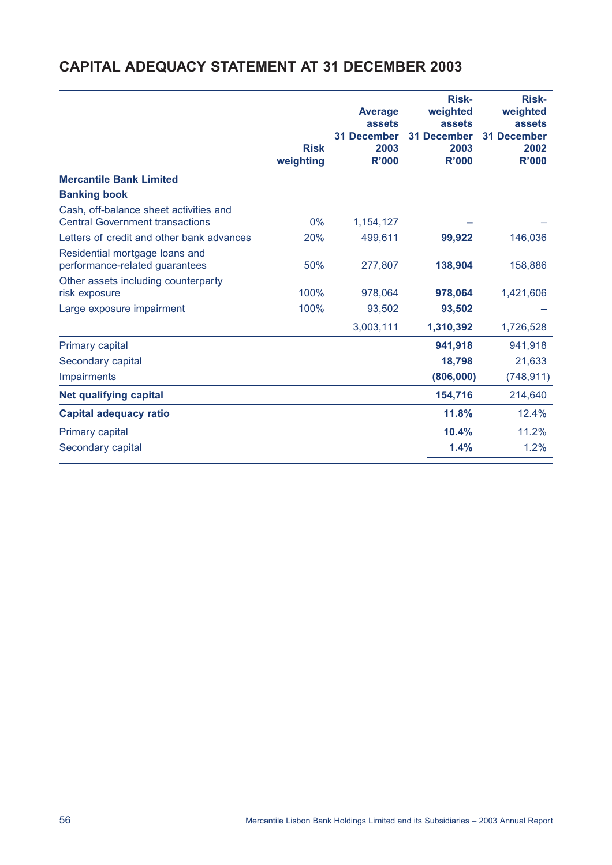# **CAPITAL ADEQUACY STATEMENT AT 31 DECEMBER 2003**

|                                                                                  | <b>Risk</b><br>weighting | <b>Average</b><br>assets<br><b>31 December</b><br>2003<br><b>R'000</b> | <b>Risk-</b><br>weighted<br>assets<br><b>31 December</b><br>2003<br><b>R'000</b> | <b>Risk-</b><br>weighted<br>assets<br><b>31 December</b><br>2002<br><b>R'000</b> |
|----------------------------------------------------------------------------------|--------------------------|------------------------------------------------------------------------|----------------------------------------------------------------------------------|----------------------------------------------------------------------------------|
| <b>Mercantile Bank Limited</b>                                                   |                          |                                                                        |                                                                                  |                                                                                  |
| <b>Banking book</b>                                                              |                          |                                                                        |                                                                                  |                                                                                  |
| Cash, off-balance sheet activities and<br><b>Central Government transactions</b> | 0%                       | 1,154,127                                                              |                                                                                  |                                                                                  |
| Letters of credit and other bank advances                                        | 20%                      | 499,611                                                                | 99,922                                                                           | 146,036                                                                          |
| Residential mortgage loans and<br>performance-related guarantees                 | 50%                      | 277,807                                                                | 138,904                                                                          | 158,886                                                                          |
| Other assets including counterparty<br>risk exposure                             | 100%                     | 978,064                                                                | 978,064                                                                          | 1,421,606                                                                        |
| Large exposure impairment                                                        | 100%                     | 93,502                                                                 | 93,502                                                                           |                                                                                  |
|                                                                                  |                          | 3,003,111                                                              | 1,310,392                                                                        | 1,726,528                                                                        |
| <b>Primary capital</b>                                                           |                          |                                                                        | 941,918                                                                          | 941,918                                                                          |
| Secondary capital                                                                |                          |                                                                        | 18,798                                                                           | 21,633                                                                           |
| Impairments                                                                      |                          |                                                                        | (806,000)                                                                        | (748, 911)                                                                       |
| <b>Net qualifying capital</b>                                                    |                          |                                                                        | 154,716                                                                          | 214,640                                                                          |
| <b>Capital adequacy ratio</b>                                                    |                          |                                                                        | 11.8%                                                                            | 12.4%                                                                            |
| Primary capital                                                                  |                          |                                                                        | 10.4%                                                                            | 11.2%                                                                            |
| Secondary capital                                                                |                          |                                                                        | 1.4%                                                                             | 1.2%                                                                             |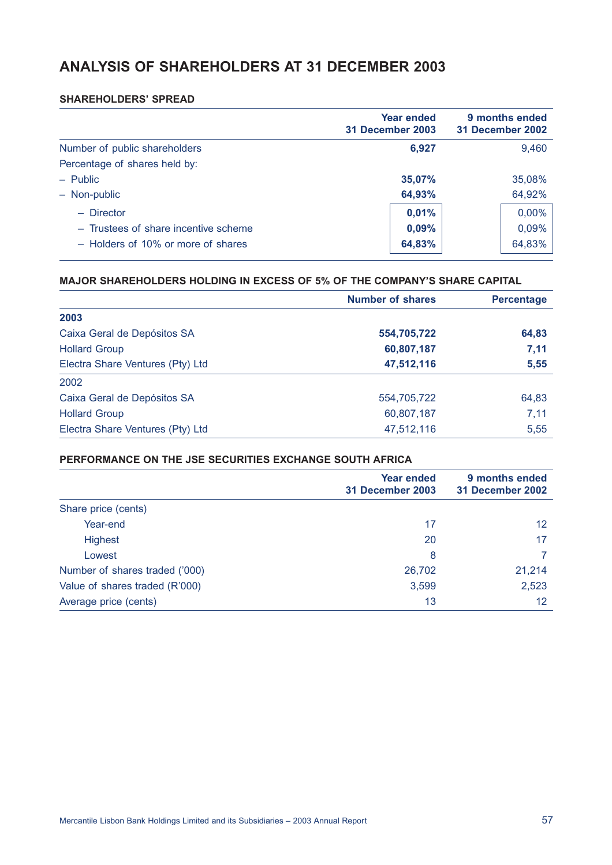# **ANALYSIS OF SHAREHOLDERS AT 31 DECEMBER 2003**

### **SHAREHOLDERS' SPREAD**

|                                      | Year ended<br>31 December 2003 | 9 months ended<br>31 December 2002 |
|--------------------------------------|--------------------------------|------------------------------------|
| Number of public shareholders        | 6,927                          | 9,460                              |
| Percentage of shares held by:        |                                |                                    |
| $-$ Public                           | 35,07%                         | 35,08%                             |
| - Non-public                         | 64,93%                         | 64,92%                             |
| $-$ Director                         | 0,01%                          | 0,00%                              |
| - Trustees of share incentive scheme | 0,09%                          | 0,09%                              |
| - Holders of 10% or more of shares   | 64,83%                         | 64,83%                             |

### **MAJOR SHAREHOLDERS HOLDING IN EXCESS OF 5% OF THE COMPANY'S SHARE CAPITAL**

|                                  | <b>Number of shares</b> | <b>Percentage</b> |
|----------------------------------|-------------------------|-------------------|
| 2003                             |                         |                   |
| Caixa Geral de Depósitos SA      | 554,705,722             | 64,83             |
| <b>Hollard Group</b>             | 60,807,187              | 7,11              |
| Electra Share Ventures (Pty) Ltd | 47,512,116              | 5,55              |
| 2002                             |                         |                   |
| Caixa Geral de Depósitos SA      | 554,705,722             | 64,83             |
| <b>Hollard Group</b>             | 60,807,187              | 7,11              |
| Electra Share Ventures (Pty) Ltd | 47,512,116              | 5,55              |

### **PERFORMANCE ON THE JSE SECURITIES EXCHANGE SOUTH AFRICA**

|                                | <b>Year ended</b><br>31 December 2003 | 9 months ended<br>31 December 2002 |
|--------------------------------|---------------------------------------|------------------------------------|
| Share price (cents)            |                                       |                                    |
| Year-end                       | 17                                    | 12                                 |
| <b>Highest</b>                 | 20                                    | 17                                 |
| Lowest                         | 8                                     |                                    |
| Number of shares traded ('000) | 26,702                                | 21,214                             |
| Value of shares traded (R'000) | 3,599                                 | 2,523                              |
| Average price (cents)          | 13                                    | 12                                 |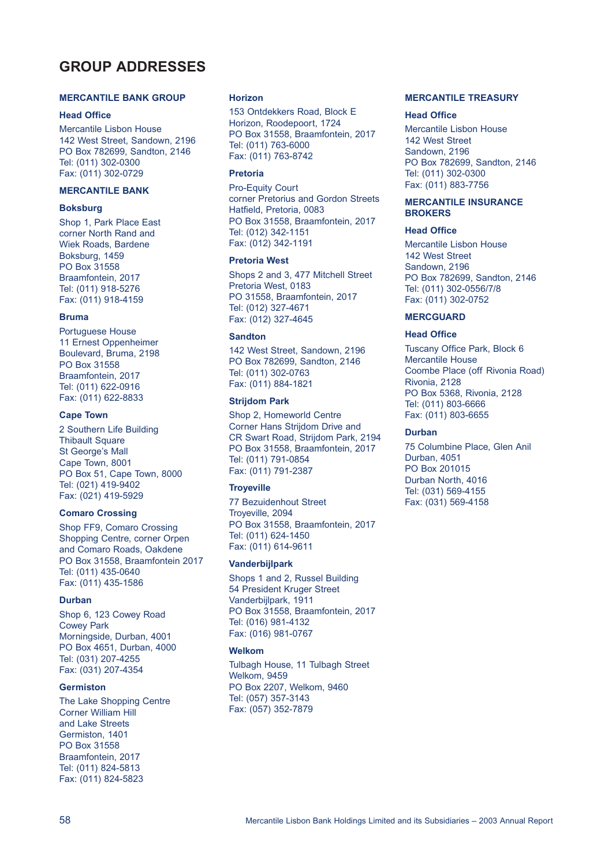# **GROUP ADDRESSES**

#### **MERCANTILE BANK GROUP**

#### **Head Office**

Mercantile Lisbon House 142 West Street, Sandown, 2196 PO Box 782699, Sandton, 2146 Tel: (011) 302-0300 Fax: (011) 302-0729

#### **MERCANTILE BANK**

#### **Boksburg**

Shop 1, Park Place East corner North Rand and Wiek Roads, Bardene Boksburg, 1459 PO Box 31558 Braamfontein, 2017 Tel: (011) 918-5276 Fax: (011) 918-4159

#### **Bruma**

Portuguese House 11 Ernest Oppenheimer Boulevard, Bruma, 2198 PO Box 31558 Braamfontein, 2017 Tel: (011) 622-0916 Fax: (011) 622-8833

#### **Cape Town**

2 Southern Life Building Thibault Square St George's Mall Cape Town, 8001 PO Box 51, Cape Town, 8000 Tel: (021) 419-9402 Fax: (021) 419-5929

#### **Comaro Crossing**

Shop FF9, Comaro Crossing Shopping Centre, corner Orpen and Comaro Roads, Oakdene PO Box 31558, Braamfontein 2017 Tel: (011) 435-0640 Fax: (011) 435-1586

#### **Durban**

Shop 6, 123 Cowey Road Cowey Park Morningside, Durban, 4001 PO Box 4651, Durban, 4000 Tel: (031) 207-4255 Fax: (031) 207-4354

#### **Germiston**

The Lake Shopping Centre Corner William Hill and Lake Streets Germiston, 1401 PO Box 31558 Braamfontein, 2017 Tel: (011) 824-5813 Fax: (011) 824-5823

#### **Horizon**

153 Ontdekkers Road, Block E Horizon, Roodepoort, 1724 PO Box 31558, Braamfontein, 2017 Tel: (011) 763-6000 Fax: (011) 763-8742

#### **Pretoria**

Pro-Equity Court corner Pretorius and Gordon Streets Hatfield, Pretoria, 0083 PO Box 31558, Braamfontein, 2017 Tel: (012) 342-1151 Fax: (012) 342-1191

#### **Pretoria West**

Shops 2 and 3, 477 Mitchell Street Pretoria West, 0183 PO 31558, Braamfontein, 2017 Tel: (012) 327-4671 Fax: (012) 327-4645

#### **Sandton**

142 West Street, Sandown, 2196 PO Box 782699, Sandton, 2146 Tel: (011) 302-0763 Fax: (011) 884-1821

#### **Strijdom Park**

Shop 2, Homeworld Centre Corner Hans Strijdom Drive and CR Swart Road, Strijdom Park, 2194 PO Box 31558, Braamfontein, 2017 Tel: (011) 791-0854 Fax: (011) 791-2387

#### **Troyeville**

77 Bezuidenhout Street Troyeville, 2094 PO Box 31558, Braamfontein, 2017 Tel: (011) 624-1450 Fax: (011) 614-9611

#### **Vanderbijlpark**

Shops 1 and 2, Russel Building 54 President Kruger Street Vanderbijlpark, 1911 PO Box 31558, Braamfontein, 2017 Tel: (016) 981-4132 Fax: (016) 981-0767

#### **Welkom**

Tulbagh House, 11 Tulbagh Street Welkom, 9459 PO Box 2207, Welkom, 9460 Tel: (057) 357-3143 Fax: (057) 352-7879

#### **MERCANTILE TREASURY**

#### **Head Office**

Mercantile Lisbon House 142 West Street Sandown, 2196 PO Box 782699, Sandton, 2146 Tel: (011) 302-0300 Fax: (011) 883-7756

#### **MERCANTILE INSURANCE BROKERS**

#### **Head Office**

Mercantile Lisbon House 142 West Street Sandown, 2196 PO Box 782699, Sandton, 2146 Tel: (011) 302-0556/7/8 Fax: (011) 302-0752

#### **MERCGUARD**

#### **Head Office**

Tuscany Office Park, Block 6 Mercantile House Coombe Place (off Rivonia Road) Rivonia, 2128 PO Box 5368, Rivonia, 2128 Tel: (011) 803-6666 Fax: (011) 803-6655

#### **Durban**

75 Columbine Place, Glen Anil Durban, 4051 PO Box 201015 Durban North, 4016 Tel: (031) 569-4155 Fax: (031) 569-4158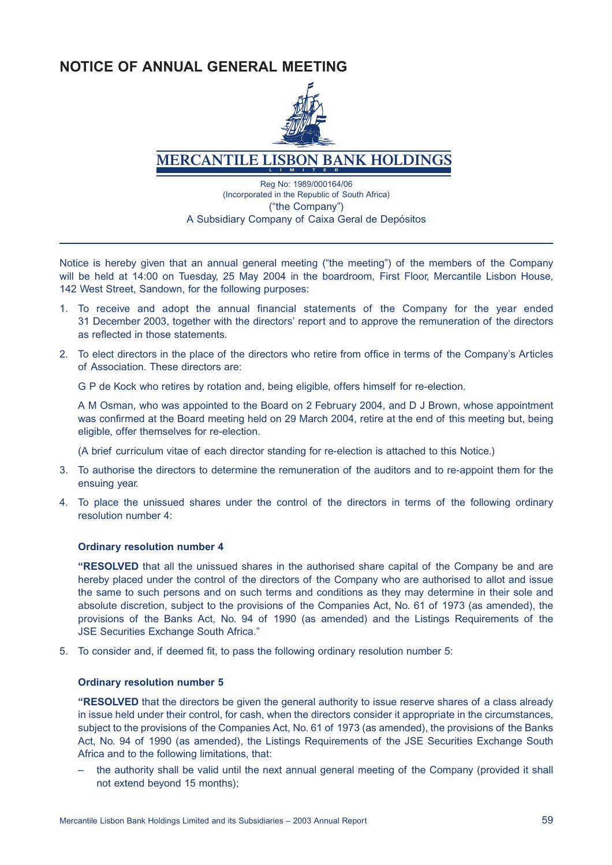# **NOTICE OF ANNUAL GENERAL MEETING**



# **MERCANTILE LISBON BANK HOLDINGS**

Reg No: 1989/000164/06 (Incorporated in the Republic of South Africa) ("the Company") A Subsidiary Company of Caixa Geral de Depósitos

Notice is hereby given that an annual general meeting ("the meeting") of the members of the Company will be held at 14:00 on Tuesday, 25 May 2004 in the boardroom, First Floor, Mercantile Lisbon House, 142 West Street, Sandown, for the following purposes:

- 1. To receive and adopt the annual financial statements of the Company for the year ended 31 December 2003, together with the directors' report and to approve the remuneration of the directors as reflected in those statements.
- 2. To elect directors in the place of the directors who retire from office in terms of the Company's Articles of Association. These directors are:

G P de Kock who retires by rotation and, being eligible, offers himself for re-election.

A M Osman, who was appointed to the Board on 2 February 2004, and D J Brown, whose appointment was confirmed at the Board meeting held on 29 March 2004, retire at the end of this meeting but, being eligible, offer themselves for re-election.

(A brief curriculum vitae of each director standing for re-election is attached to this Notice.)

- 3. To authorise the directors to determine the remuneration of the auditors and to re-appoint them for the ensuing year.
- 4. To place the unissued shares under the control of the directors in terms of the following ordinary resolution number 4:

### **Ordinary resolution number 4**

**"RESOLVED** that all the unissued shares in the authorised share capital of the Company be and are hereby placed under the control of the directors of the Company who are authorised to allot and issue the same to such persons and on such terms and conditions as they may determine in their sole and absolute discretion, subject to the provisions of the Companies Act, No. 61 of 1973 (as amended), the provisions of the Banks Act, No. 94 of 1990 (as amended) and the Listings Requirements of the JSE Securities Exchange South Africa."

5. To consider and, if deemed fit, to pass the following ordinary resolution number 5:

### **Ordinary resolution number 5**

**"RESOLVED** that the directors be given the general authority to issue reserve shares of a class already in issue held under their control, for cash, when the directors consider it appropriate in the circumstances, subject to the provisions of the Companies Act, No. 61 of 1973 (as amended), the provisions of the Banks Act, No. 94 of 1990 (as amended), the Listings Requirements of the JSE Securities Exchange South Africa and to the following limitations, that:

– the authority shall be valid until the next annual general meeting of the Company (provided it shall not extend beyond 15 months);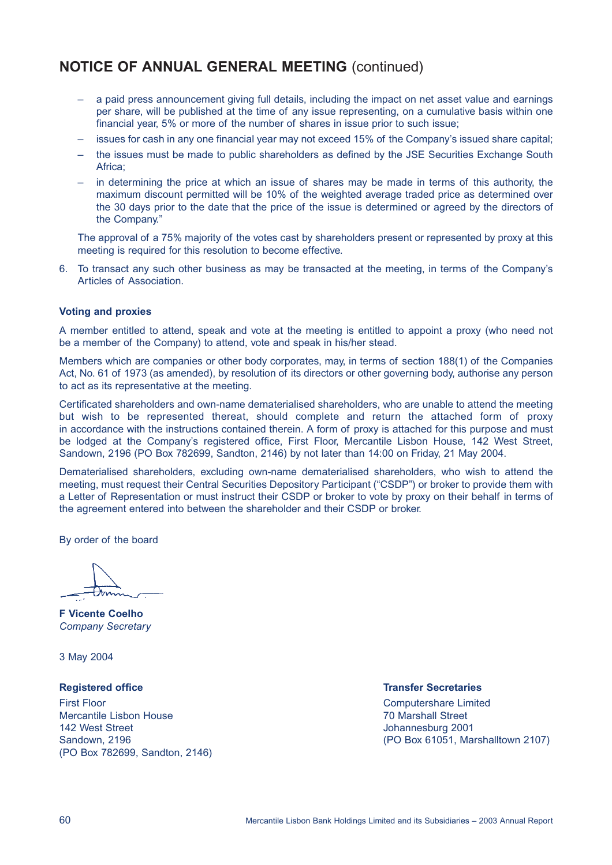# **NOTICE OF ANNUAL GENERAL MEETING** (continued)

- a paid press announcement giving full details, including the impact on net asset value and earnings per share, will be published at the time of any issue representing, on a cumulative basis within one financial year, 5% or more of the number of shares in issue prior to such issue;
- issues for cash in any one financial year may not exceed 15% of the Company's issued share capital;
- the issues must be made to public shareholders as defined by the JSE Securities Exchange South Africa;
- in determining the price at which an issue of shares may be made in terms of this authority, the maximum discount permitted will be 10% of the weighted average traded price as determined over the 30 days prior to the date that the price of the issue is determined or agreed by the directors of the Company."

The approval of a 75% majority of the votes cast by shareholders present or represented by proxy at this meeting is required for this resolution to become effective.

6. To transact any such other business as may be transacted at the meeting, in terms of the Company's Articles of Association.

#### **Voting and proxies**

A member entitled to attend, speak and vote at the meeting is entitled to appoint a proxy (who need not be a member of the Company) to attend, vote and speak in his/her stead.

Members which are companies or other body corporates, may, in terms of section 188(1) of the Companies Act, No. 61 of 1973 (as amended), by resolution of its directors or other governing body, authorise any person to act as its representative at the meeting.

Certificated shareholders and own-name dematerialised shareholders, who are unable to attend the meeting but wish to be represented thereat, should complete and return the attached form of proxy in accordance with the instructions contained therein. A form of proxy is attached for this purpose and must be lodged at the Company's registered office, First Floor, Mercantile Lisbon House, 142 West Street, Sandown, 2196 (PO Box 782699, Sandton, 2146) by not later than 14:00 on Friday, 21 May 2004.

Dematerialised shareholders, excluding own-name dematerialised shareholders, who wish to attend the meeting, must request their Central Securities Depository Participant ("CSDP") or broker to provide them with a Letter of Representation or must instruct their CSDP or broker to vote by proxy on their behalf in terms of the agreement entered into between the shareholder and their CSDP or broker.

By order of the board

**F Vicente Coelho** *Company Secretary*

3 May 2004

First Floor Computershare Limited Mercantile Lisbon House 70 Marshall Street 142 West Street **Johannesburg 2001** (PO Box 782699, Sandton, 2146)

**Registered office Transfer Secretaries** 

Sandown, 2196 (PO Box 61051, Marshalltown 2107)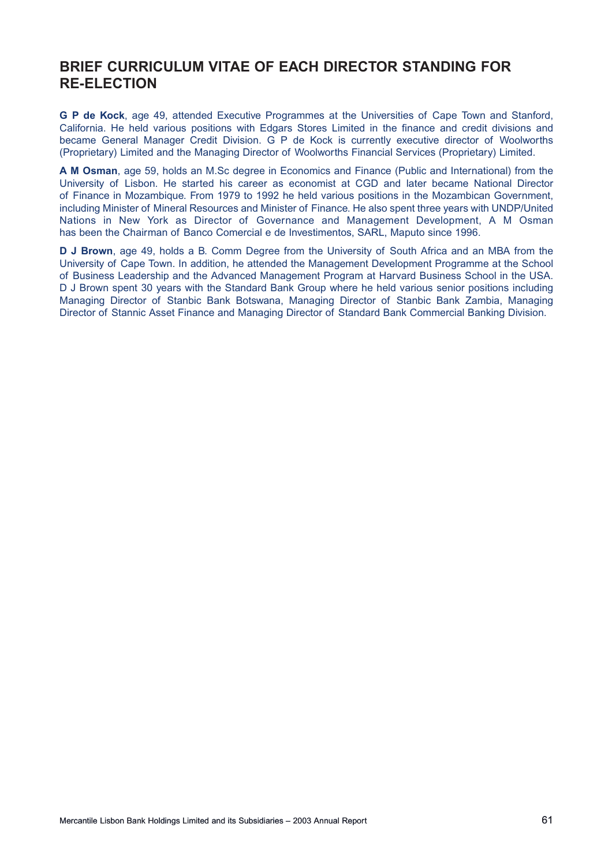# **BRIEF CURRICULUM VITAE OF EACH DIRECTOR STANDING FOR RE-ELECTION**

**G P de Kock**, age 49, attended Executive Programmes at the Universities of Cape Town and Stanford, California. He held various positions with Edgars Stores Limited in the finance and credit divisions and became General Manager Credit Division. G P de Kock is currently executive director of Woolworths (Proprietary) Limited and the Managing Director of Woolworths Financial Services (Proprietary) Limited.

**A M Osman**, age 59, holds an M.Sc degree in Economics and Finance (Public and International) from the University of Lisbon. He started his career as economist at CGD and later became National Director of Finance in Mozambique. From 1979 to 1992 he held various positions in the Mozambican Government, including Minister of Mineral Resources and Minister of Finance. He also spent three years with UNDP/United Nations in New York as Director of Governance and Management Development, A M Osman has been the Chairman of Banco Comercial e de Investimentos, SARL, Maputo since 1996.

**D J Brown**, age 49, holds a B. Comm Degree from the University of South Africa and an MBA from the University of Cape Town. In addition, he attended the Management Development Programme at the School of Business Leadership and the Advanced Management Program at Harvard Business School in the USA. D J Brown spent 30 years with the Standard Bank Group where he held various senior positions including Managing Director of Stanbic Bank Botswana, Managing Director of Stanbic Bank Zambia, Managing Director of Stannic Asset Finance and Managing Director of Standard Bank Commercial Banking Division.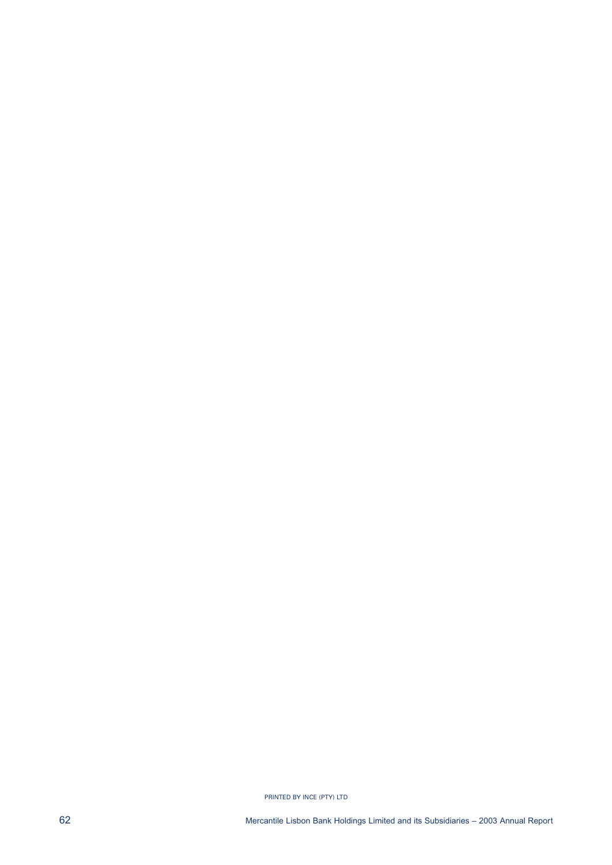PRINTED BY INCE (PTY) LTD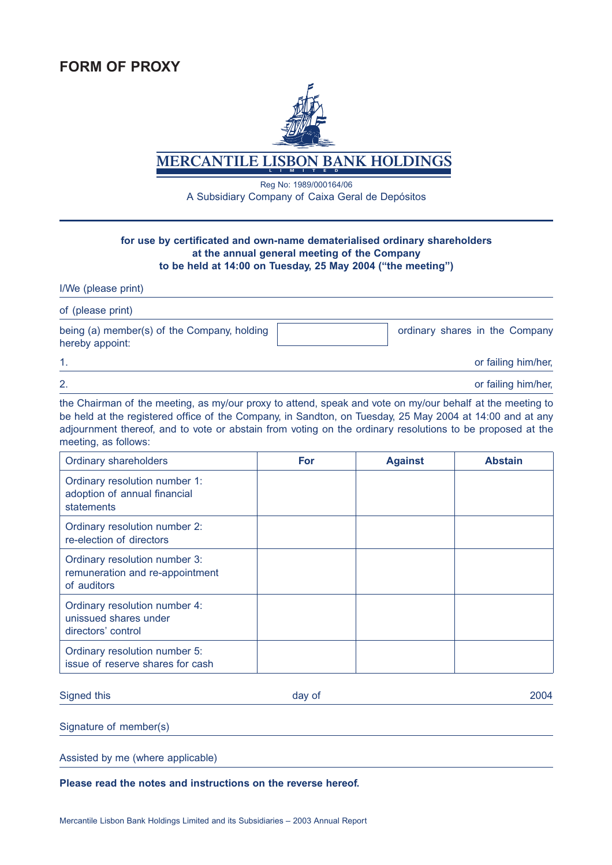

**MERCANTILE LISBON BANK HOLDIN** 

Reg No: 1989/000164/06 A Subsidiary Company of Caixa Geral de Depósitos

### **for use by certificated and own-name dematerialised ordinary shareholders at the annual general meeting of the Company to be held at 14:00 on Tuesday, 25 May 2004 ("the meeting")**

I/We (please print)

of (please print) being (a) member(s) of the Company, holding | states are stated ordinary shares in the Company hereby appoint: 1. Only the contract of the contract of the contract of the contract of the contract of the contract of the contract of the contract of the contract of the contract of the contract of the contract of the contract of the co

2. or failing him/her,

the Chairman of the meeting, as my/our proxy to attend, speak and vote on my/our behalf at the meeting to be held at the registered office of the Company, in Sandton, on Tuesday, 25 May 2004 at 14:00 and at any adjournment thereof, and to vote or abstain from voting on the ordinary resolutions to be proposed at the meeting, as follows:

| <b>Ordinary shareholders</b>                                                    | <b>For</b> | <b>Against</b> | <b>Abstain</b> |
|---------------------------------------------------------------------------------|------------|----------------|----------------|
| Ordinary resolution number 1:<br>adoption of annual financial<br>statements     |            |                |                |
| Ordinary resolution number 2:<br>re-election of directors                       |            |                |                |
| Ordinary resolution number 3:<br>remuneration and re-appointment<br>of auditors |            |                |                |
| Ordinary resolution number 4:<br>unissued shares under<br>directors' control    |            |                |                |
| Ordinary resolution number 5:<br>issue of reserve shares for cash               |            |                |                |

Signed this **Example 2004 Contract Contract Contract Contract Contract Contract Contract Contract Contract Contract Contract Contract Contract Contract Contract Contract Contract Contract Contract Contract Contract Contr** 

Signature of member(s)

Assisted by me (where applicable)

**Please read the notes and instructions on the reverse hereof.**